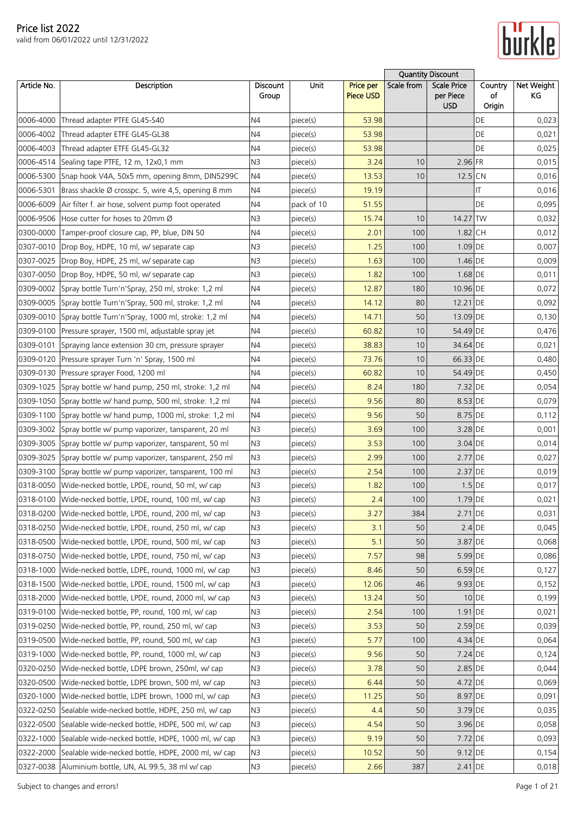

|             |                                                              |                          |            |                               |            | <b>Quantity Discount</b>                      |                         |                  |
|-------------|--------------------------------------------------------------|--------------------------|------------|-------------------------------|------------|-----------------------------------------------|-------------------------|------------------|
| Article No. | Description                                                  | <b>Discount</b><br>Group | Unit       | <b>Price per</b><br>Piece USD | Scale from | <b>Scale Price</b><br>per Piece<br><b>USD</b> | Country<br>of<br>Origin | Net Weight<br>ΚG |
| 0006-4000   | Thread adapter PTFE GL45-S40                                 | N4                       | piece(s)   | 53.98                         |            |                                               | DE                      | 0,023            |
| 0006-4002   | Thread adapter ETFE GL45-GL38                                | N4                       | piece(s)   | 53.98                         |            |                                               | DE                      | 0,021            |
| 0006-4003   | Thread adapter ETFE GL45-GL32                                | N4                       | piece(s)   | 53.98                         |            |                                               | DE                      | 0,025            |
| 0006-4514   | Sealing tape PTFE, 12 m, 12x0,1 mm                           | N <sub>3</sub>           | piece(s)   | 3.24                          | 10         | 2.96 FR                                       |                         | 0,015            |
| 0006-5300   | Snap hook V4A, 50x5 mm, opening 8mm, DIN5299C                | N4                       | piece(s)   | 13.53                         | 10         | $12.5$ CN                                     |                         | 0,016            |
| 0006-5301   | Brass shackle Ø crosspc. 5, wire 4,5, opening 8 mm           | N <sub>4</sub>           | piece(s)   | 19.19                         |            |                                               | IT                      | 0,016            |
| 0006-6009   | Air filter f. air hose, solvent pump foot operated           | N <sub>4</sub>           | pack of 10 | 51.55                         |            |                                               | DE                      | 0,095            |
| 0006-9506   | Hose cutter for hoses to 20mm Ø                              | N3                       | piece(s)   | 15.74                         | 10         | 14.27 TW                                      |                         | 0,032            |
| 0300-0000   | Tamper-proof closure cap, PP, blue, DIN 50                   | N <sub>4</sub>           | piece(s)   | 2.01                          | 100        | 1.82 CH                                       |                         | 0,012            |
|             | 0307-0010   Drop Boy, HDPE, 10 ml, w/ separate cap           | N <sub>3</sub>           | piece(s)   | 1.25                          | 100        | $1.09$ DE                                     |                         | 0,007            |
| 0307-0025   | Drop Boy, HDPE, 25 ml, w/ separate cap                       | N3                       | piece(s)   | 1.63                          | 100        | 1.46 DE                                       |                         | 0,009            |
| 0307-0050   | Drop Boy, HDPE, 50 ml, w/ separate cap                       | N <sub>3</sub>           | piece(s)   | 1.82                          | 100        | $1.68$ DE                                     |                         | 0,011            |
| 0309-0002   | Spray bottle Turn'n'Spray, 250 ml, stroke: 1,2 ml            | N4                       | piece(s)   | 12.87                         | 180        | 10.96 DE                                      |                         | 0,072            |
| 0309-0005   | Spray bottle Turn'n'Spray, 500 ml, stroke: 1,2 ml            | N <sub>4</sub>           | piece(s)   | 14.12                         | 80         | 12.21 DE                                      |                         | 0,092            |
| 0309-0010   | Spray bottle Turn'n'Spray, 1000 ml, stroke: 1,2 ml           | N4                       | piece(s)   | 14.71                         | 50         | 13.09 DE                                      |                         | 0,130            |
|             | 0309-0100 Pressure sprayer, 1500 ml, adjustable spray jet    | N <sub>4</sub>           | piece(s)   | 60.82                         | 10         | 54.49 DE                                      |                         | 0,476            |
| 0309-0101   | Spraying lance extension 30 cm, pressure sprayer             | N4                       | piece(s)   | 38.83                         | 10         | 34.64 DE                                      |                         | 0,021            |
|             | 0309-0120 Pressure sprayer Turn 'n' Spray, 1500 ml           | N4                       | piece(s)   | 73.76                         | 10         | 66.33 DE                                      |                         | 0,480            |
| 0309-0130   | Pressure sprayer Food, 1200 ml                               | N <sub>4</sub>           | piece(s)   | 60.82                         | 10         | 54.49 DE                                      |                         | 0,450            |
| 0309-1025   | Spray bottle w/ hand pump, 250 ml, stroke: 1,2 ml            | N4                       | piece(s)   | 8.24                          | 180        | 7.32 DE                                       |                         | 0,054            |
| 0309-1050   | Spray bottle w/ hand pump, 500 ml, stroke: 1,2 ml            | <b>N4</b>                | piece(s)   | 9.56                          | 80         | 8.53 DE                                       |                         | 0,079            |
|             | 0309-1100 Spray bottle w/ hand pump, 1000 ml, stroke: 1,2 ml | N4                       | piece(s)   | 9.56                          | 50         | 8.75 DE                                       |                         | 0,112            |
| 0309-3002   | Spray bottle w/ pump vaporizer, tansparent, 20 ml            | N <sub>3</sub>           | piece(s)   | 3.69                          | 100        | 3.28 DE                                       |                         | 0,001            |
| 0309-3005   | Spray bottle w/ pump vaporizer, tansparent, 50 ml            | N3                       | piece(s)   | 3.53                          | 100        | 3.04 DE                                       |                         | 0,014            |
| 0309-3025   | Spray bottle w/ pump vaporizer, tansparent, 250 ml           | N <sub>3</sub>           | piece(s)   | 2.99                          | 100        | 2.77 DE                                       |                         | 0,027            |
| 0309-3100   | Spray bottle w/ pump vaporizer, tansparent, 100 ml           | N <sub>3</sub>           | piece(s)   | 2.54                          | 100        | $2.37$ DE                                     |                         | 0,019            |
|             | 0318-0050 Wide-necked bottle, LPDE, round, 50 ml, w/ cap     | N3                       | piece(s)   | 1.82                          | 100        | $1.5$ DE                                      |                         | 0,017            |
|             | 0318-0100 Wide-necked bottle, LPDE, round, 100 ml, w/ cap    | N <sub>3</sub>           | piece(s)   | 2.4                           | 100        | $1.79$ DE                                     |                         | 0,021            |
|             | 0318-0200 Wide-necked bottle, LPDE, round, 200 ml, w/ cap    | N <sub>3</sub>           | piece(s)   | 3.27                          | 384        | $2.71$ DE                                     |                         | 0,031            |
| 0318-0250   | Wide-necked bottle, LPDE, round, 250 ml, w/ cap              | N <sub>3</sub>           | piece(s)   | 3.1                           | 50         | $2.4$ DE                                      |                         | 0,045            |
| 0318-0500   | Wide-necked bottle, LPDE, round, 500 ml, w/ cap              | N <sub>3</sub>           | piece(s)   | 5.1                           | 50         | 3.87 DE                                       |                         | 0,068            |
| 0318-0750   | Wide-necked bottle, LPDE, round, 750 ml, w/ cap              | N <sub>3</sub>           | piece(s)   | 7.57                          | 98         | 5.99 DE                                       |                         | 0,086            |
| 0318-1000   | Wide-necked bottle, LDPE, round, 1000 ml, w/ cap             | N <sub>3</sub>           | piece(s)   | 8.46                          | 50         | $6.59$ DE                                     |                         | 0,127            |
| 0318-1500   | Wide-necked bottle, LPDE, round, 1500 ml, w/ cap             | N <sub>3</sub>           | piece(s)   | 12.06                         | 46         | $9.93$ DE                                     |                         | 0,152            |
|             | 0318-2000 Wide-necked bottle, LPDE, round, 2000 ml, w/ cap   | N <sub>3</sub>           | piece(s)   | 13.24                         | 50         |                                               | 10 DE                   | 0,199            |
| 0319-0100   | Wide-necked bottle, PP, round, 100 ml, w/ cap                | N3                       | piece(s)   | 2.54                          | 100        | 1.91 DE                                       |                         | 0,021            |
| 0319-0250   | Wide-necked bottle, PP, round, 250 ml, w/ cap                | N <sub>3</sub>           | piece(s)   | 3.53                          | 50         | $2.59$ DE                                     |                         | 0,039            |
| 0319-0500   | Wide-necked bottle, PP, round, 500 ml, w/ cap                | N <sub>3</sub>           | piece(s)   | 5.77                          | 100        | 4.34 DE                                       |                         | 0,064            |
| 0319-1000   | Wide-necked bottle, PP, round, 1000 ml, w/ cap               | N3                       | piece(s)   | 9.56                          | 50         | $7.24$ DE                                     |                         | 0,124            |
| 0320-0250   | Wide-necked bottle, LDPE brown, 250ml, w/ cap                | N <sub>3</sub>           | piece(s)   | 3.78                          | 50         | 2.85 DE                                       |                         | 0,044            |
| 0320-0500   | Wide-necked bottle, LDPE brown, 500 ml, w/ cap               | N <sub>3</sub>           | piece(s)   | 6.44                          | 50         | 4.72 DE                                       |                         | 0,069            |
| 0320-1000   | Wide-necked bottle, LDPE brown, 1000 ml, w/ cap              | N <sub>3</sub>           | piece(s)   | 11.25                         | 50         | 8.97 DE                                       |                         | 0,091            |
| 0322-0250   | Sealable wide-necked bottle, HDPE, 250 ml, w/ cap            | N <sub>3</sub>           | piece(s)   | 4.4                           | 50         | 3.79 DE                                       |                         | 0,035            |
| 0322-0500   | Sealable wide-necked bottle, HDPE, 500 ml, w/ cap            | N <sub>3</sub>           | piece(s)   | 4.54                          | 50         | 3.96 DE                                       |                         | 0,058            |
| 0322-1000   | Sealable wide-necked bottle, HDPE, 1000 ml, w/ cap           | N <sub>3</sub>           | piece(s)   | 9.19                          | 50         | 7.72 DE                                       |                         | 0,093            |
| 0322-2000   | Sealable wide-necked bottle, HDPE, 2000 ml, w/ cap           | N <sub>3</sub>           | piece(s)   | 10.52                         | 50         | $9.12$ DE                                     |                         | 0,154            |
|             | 0327-0038 Aluminium bottle, UN, AL 99.5, 38 ml w/ cap        | N <sub>3</sub>           | piece(s)   | 2.66                          | 387        | $2.41$ DE                                     |                         | 0,018            |
|             |                                                              |                          |            |                               |            |                                               |                         |                  |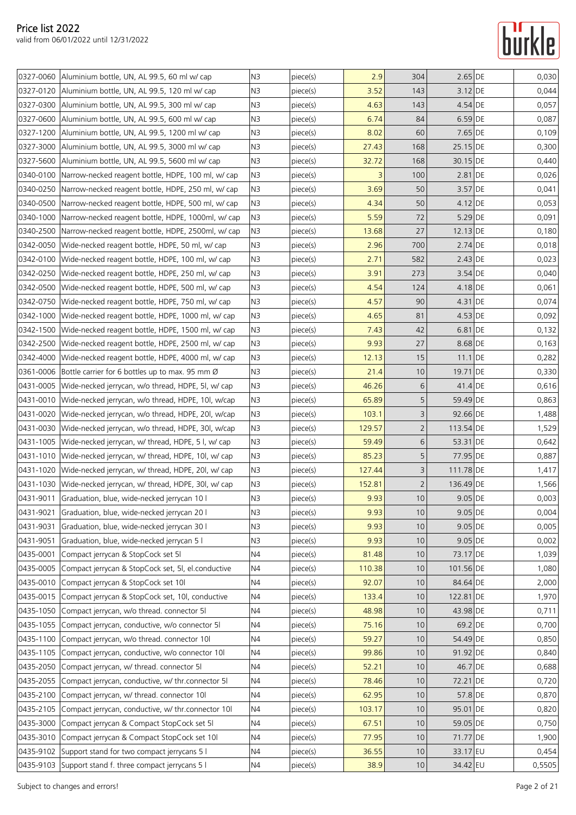|           | 0327-0060 Aluminium bottle, UN, AL 99.5, 60 ml w/ cap                                                    | N <sub>3</sub> | piece(s) | 2.9    | 304            | 2.65 DE    | 0,030  |
|-----------|----------------------------------------------------------------------------------------------------------|----------------|----------|--------|----------------|------------|--------|
|           | 0327-0120 Aluminium bottle, UN, AL 99.5, 120 ml w/ cap                                                   | N <sub>3</sub> | piece(s) | 3.52   | 143            | 3.12 DE    | 0,044  |
|           | 0327-0300 Aluminium bottle, UN, AL 99.5, 300 ml w/ cap                                                   | N <sub>3</sub> | piece(s) | 4.63   | 143            | 4.54 DE    | 0,057  |
|           | 0327-0600 Aluminium bottle, UN, AL 99.5, 600 ml w/ cap                                                   | N <sub>3</sub> | piece(s) | 6.74   | 84             | $6.59$ DE  | 0,087  |
|           | 0327-1200   Aluminium bottle, UN, AL 99.5, 1200 ml w/ cap                                                | N <sub>3</sub> | piece(s) | 8.02   | 60             | 7.65 DE    | 0,109  |
|           | 0327-3000   Aluminium bottle, UN, AL 99.5, 3000 ml w/ cap                                                | N3             | piece(s) | 27.43  | 168            | 25.15 DE   | 0,300  |
| 0327-5600 | Aluminium bottle, UN, AL 99.5, 5600 ml w/ cap                                                            | N3             |          | 32.72  | 168            | 30.15 DE   | 0,440  |
| 0340-0100 |                                                                                                          | N3             | piece(s) | 3      | 100            | 2.81 DE    | 0,026  |
|           | Narrow-necked reagent bottle, HDPE, 100 ml, w/ cap<br>Narrow-necked reagent bottle, HDPE, 250 ml, w/ cap |                | piece(s) |        | 50             |            |        |
| 0340-0250 |                                                                                                          | N <sub>3</sub> | piece(s) | 3.69   |                | $3.57$ DE  | 0,041  |
| 0340-0500 | Narrow-necked reagent bottle, HDPE, 500 ml, w/ cap                                                       | N <sub>3</sub> | piece(s) | 4.34   | 50             | 4.12 DE    | 0,053  |
|           | 0340-1000 Narrow-necked reagent bottle, HDPE, 1000ml, w/ cap                                             | N <sub>3</sub> | piece(s) | 5.59   | 72             | 5.29 DE    | 0,091  |
|           | 0340-2500 Narrow-necked reagent bottle, HDPE, 2500ml, w/ cap                                             | N <sub>3</sub> | piece(s) | 13.68  | 27             | $12.13$ DE | 0,180  |
| 0342-0050 | Wide-necked reagent bottle, HDPE, 50 ml, w/ cap                                                          | N3             | piece(s) | 2.96   | 700            | 2.74 DE    | 0,018  |
| 0342-0100 | Wide-necked reagent bottle, HDPE, 100 ml, w/ cap                                                         | N <sub>3</sub> | piece(s) | 2.71   | 582            | $2.43$ DE  | 0,023  |
| 0342-0250 | Wide-necked reagent bottle, HDPE, 250 ml, w/ cap                                                         | N <sub>3</sub> | piece(s) | 3.91   | 273            | $3.54$ DE  | 0,040  |
| 0342-0500 | Wide-necked reagent bottle, HDPE, 500 ml, w/ cap                                                         | N <sub>3</sub> | piece(s) | 4.54   | 124            | 4.18 DE    | 0,061  |
|           | 0342-0750 Wide-necked reagent bottle, HDPE, 750 ml, w/ cap                                               | N <sub>3</sub> | piece(s) | 4.57   | 90             | 4.31 DE    | 0,074  |
| 0342-1000 | Wide-necked reagent bottle, HDPE, 1000 ml, w/ cap                                                        | N3             | piece(s) | 4.65   | 81             | 4.53 DE    | 0,092  |
| 0342-1500 | Wide-necked reagent bottle, HDPE, 1500 ml, w/ cap                                                        | N <sub>3</sub> | piece(s) | 7.43   | 42             | 6.81 DE    | 0,132  |
| 0342-2500 | Wide-necked reagent bottle, HDPE, 2500 ml, w/ cap                                                        | N <sub>3</sub> | piece(s) | 9.93   | 27             | 8.68 DE    | 0,163  |
| 0342-4000 | Wide-necked reagent bottle, HDPE, 4000 ml, w/ cap                                                        | N <sub>3</sub> | piece(s) | 12.13  | 15             | $11.1$ DE  | 0,282  |
| 0361-0006 | Bottle carrier for 6 bottles up to max. 95 mm Ø                                                          | N <sub>3</sub> | piece(s) | 21.4   | 10             | 19.71 DE   | 0,330  |
| 0431-0005 | Wide-necked jerrycan, w/o thread, HDPE, 51, w/ cap                                                       | N <sub>3</sub> | piece(s) | 46.26  | 6              | 41.4 DE    | 0,616  |
|           | 0431-0010 Wide-necked jerrycan, w/o thread, HDPE, 10l, w/cap                                             | N <sub>3</sub> | piece(s) | 65.89  | 5              | 59.49 DE   | 0,863  |
|           | 0431-0020 Wide-necked jerrycan, w/o thread, HDPE, 20, w/cap                                              | N3             | piece(s) | 103.1  | 3              | 92.66 DE   | 1,488  |
| 0431-0030 | Wide-necked jerrycan, w/o thread, HDPE, 30l, w/cap                                                       | N3             | piece(s) | 129.57 | $\overline{2}$ | 113.54 DE  | 1,529  |
| 0431-1005 | Wide-necked jerrycan, w/ thread, HDPE, 5 l, w/ cap                                                       | N3             | piece(s) | 59.49  | 6              | 53.31 DE   | 0,642  |
|           | 0431-1010 Wide-necked jerrycan, w/ thread, HDPE, 10l, w/ cap                                             | N <sub>3</sub> | piece(s) | 85.23  | 5              | 77.95 DE   | 0,887  |
|           | 0431-1020 Wide-necked jerrycan, w/ thread, HDPE, 20, w/ cap                                              | N <sub>3</sub> | piece(s) | 127.44 | 3              | 111.78 DE  | 1,417  |
|           | 0431-1030 Wide-necked jerrycan, w/ thread, HDPE, 30l, w/ cap                                             | N3             | piece(s) | 152.81 | 2              | 136.49 DE  | 1,566  |
|           | 0431-9011 Graduation, blue, wide-necked jerrycan 10 l                                                    | N <sub>3</sub> | piece(s) | 9.93   | 10             | $9.05$ DE  | 0,003  |
| 0431-9021 | Graduation, blue, wide-necked jerrycan 20 l                                                              | N <sub>3</sub> | piece(s) | 9.93   | 10             | $9.05$ DE  | 0,004  |
| 0431-9031 | Graduation, blue, wide-necked jerrycan 30 l                                                              | N <sub>3</sub> | piece(s) | 9.93   | 10             | $9.05$ DE  | 0,005  |
| 0431-9051 | Graduation, blue, wide-necked jerrycan 5 l                                                               | N <sub>3</sub> | piece(s) | 9.93   | 10             | $9.05$ DE  | 0,002  |
| 0435-0001 | Compact jerrycan & StopCock set 51                                                                       | N <sub>4</sub> | piece(s) | 81.48  | 10             | 73.17 DE   | 1,039  |
| 0435-0005 | Compact jerrycan & StopCock set, 5l, el.conductive                                                       | <b>N4</b>      | piece(s) | 110.38 | 10             | 101.56 DE  | 1,080  |
| 0435-0010 | Compact jerrycan & StopCock set 10l                                                                      | N4             | piece(s) | 92.07  | 10             | 84.64 DE   | 2,000  |
| 0435-0015 | Compact jerrycan & StopCock set, 10l, conductive                                                         | N4             | piece(s) | 133.4  | 10             | 122.81 DE  | 1,970  |
| 0435-1050 | Compact jerrycan, w/o thread. connector 51                                                               | N <sub>4</sub> | piece(s) | 48.98  | 10             | 43.98 DE   | 0,711  |
| 0435-1055 | Compact jerrycan, conductive, w/o connector 5I                                                           | N <sub>4</sub> | piece(s) | 75.16  | 10             | 69.2 DE    | 0,700  |
| 0435-1100 | Compact jerrycan, w/o thread. connector 10                                                               | N <sub>4</sub> | piece(s) | 59.27  | 10             | 54.49 DE   | 0,850  |
| 0435-1105 | Compact jerrycan, conductive, w/o connector 10                                                           | N4             | piece(s) | 99.86  | 10             | 91.92 DE   | 0,840  |
|           | 0435-2050 Compact jerrycan, w/ thread. connector 51                                                      | N <sub>4</sub> | piece(s) | 52.21  | 10             | 46.7 DE    | 0,688  |
| 0435-2055 | Compact jerrycan, conductive, w/ thr.connector 51                                                        | N4             | piece(s) | 78.46  | 10             | 72.21 DE   | 0,720  |
| 0435-2100 | Compact jerrycan, w/ thread. connector 10l                                                               | N4             | piece(s) | 62.95  | 10             | 57.8 DE    | 0,870  |
| 0435-2105 | Compact jerrycan, conductive, w/ thr.connector 10l                                                       | N <sub>4</sub> | piece(s) | 103.17 | 10             | 95.01 DE   | 0,820  |
| 0435-3000 | Compact jerrycan & Compact StopCock set 51                                                               | N <sub>4</sub> | piece(s) | 67.51  | 10             | 59.05 DE   | 0,750  |
| 0435-3010 | Compact jerrycan & Compact StopCock set 10l                                                              | N <sub>4</sub> | piece(s) | 77.95  | 10             | 71.77 DE   | 1,900  |
|           | 0435-9102 Support stand for two compact jerrycans 5 l                                                    | N4             | piece(s) | 36.55  | 10             | 33.17 EU   | 0,454  |
|           | 0435-9103 Support stand f. three compact jerrycans 5 l                                                   | N4             | piece(s) | 38.9   | 10             | 34.42 EU   | 0,5505 |
|           |                                                                                                          |                |          |        |                |            |        |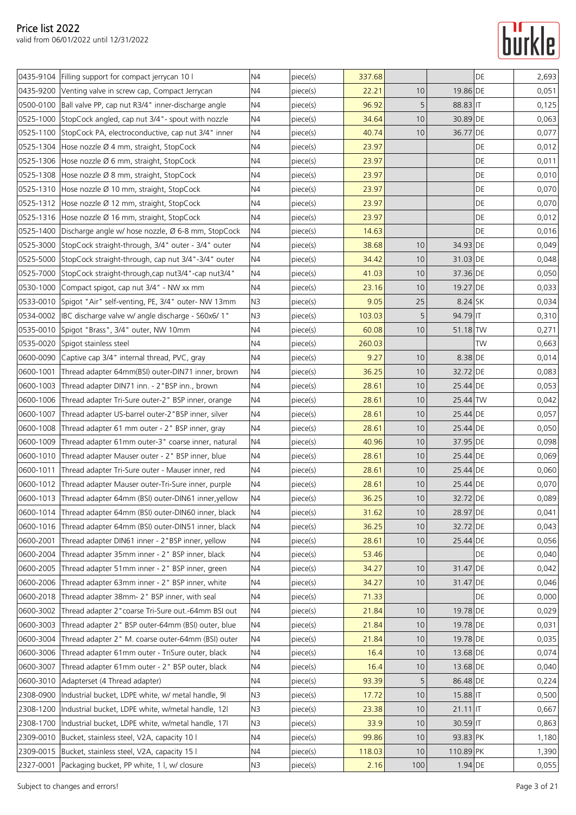

|           | 0435-9104 Filling support for compact jerrycan 10 l           | N4             | piece(s) | 337.68 |     |            | DE | 2,693 |
|-----------|---------------------------------------------------------------|----------------|----------|--------|-----|------------|----|-------|
| 0435-9200 | Venting valve in screw cap, Compact Jerrycan                  | N4             | piece(s) | 22.21  | 10  | 19.86 DE   |    | 0,051 |
| 0500-0100 | Ball valve PP, cap nut R3/4" inner-discharge angle            | N <sub>4</sub> | piece(s) | 96.92  | 5   | 88.83 IT   |    | 0,125 |
| 0525-1000 | StopCock angled, cap nut 3/4" - spout with nozzle             | N4             | piece(s) | 34.64  | 10  | 30.89 DE   |    | 0,063 |
|           | 0525-1100 StopCock PA, electroconductive, cap nut 3/4" inner  | N <sub>4</sub> | piece(s) | 40.74  | 10  | 36.77 DE   |    | 0,077 |
|           | 0525-1304 Hose nozzle Ø 4 mm, straight, StopCock              | N4             | piece(s) | 23.97  |     |            | DE | 0,012 |
|           | 0525-1306 Hose nozzle Ø 6 mm, straight, StopCock              | N4             | piece(s) | 23.97  |     |            | DE | 0,011 |
|           | 0525-1308 Hose nozzle Ø 8 mm, straight, StopCock              | N4             | piece(s) | 23.97  |     |            | DE | 0,010 |
| 0525-1310 | Hose nozzle Ø 10 mm, straight, StopCock                       | N4             | piece(s) | 23.97  |     |            | DE | 0,070 |
|           | 0525-1312 Hose nozzle Ø 12 mm, straight, StopCock             | N <sub>4</sub> | piece(s) | 23.97  |     |            | DE | 0,070 |
|           | 0525-1316 Hose nozzle Ø 16 mm, straight, StopCock             | N4             | piece(s) | 23.97  |     |            | DE | 0,012 |
| 0525-1400 | Discharge angle w/ hose nozzle, Ø 6-8 mm, StopCock            | N4             | piece(s) | 14.63  |     |            | DE | 0,016 |
| 0525-3000 | StopCock straight-through, 3/4" outer - 3/4" outer            | N4             | piece(s) | 38.68  | 10  | 34.93 DE   |    | 0,049 |
| 0525-5000 | StopCock straight-through, cap nut 3/4"-3/4" outer            | N4             | piece(s) | 34.42  | 10  | 31.03 DE   |    | 0,048 |
| 0525-7000 | StopCock straight-through, cap nut 3/4" - cap nut 3/4"        | N4             | piece(s) | 41.03  | 10  | 37.36 DE   |    | 0,050 |
| 0530-1000 | Compact spigot, cap nut 3/4" - NW xx mm                       | N4             | piece(s) | 23.16  | 10  | 19.27 DE   |    | 0,033 |
| 0533-0010 | Spigot "Air" self-venting, PE, 3/4" outer- NW 13mm            | N3             | piece(s) | 9.05   | 25  | 8.24 SK    |    | 0,034 |
| 0534-0002 | IBC discharge valve w/ angle discharge - S60x6/1"             | N3             | piece(s) | 103.03 | 5   | 94.79 IT   |    | 0,310 |
| 0535-0010 | Spigot "Brass", 3/4" outer, NW 10mm                           | N4             | piece(s) | 60.08  | 10  | 51.18 TW   |    | 0,271 |
| 0535-0020 | Spigot stainless steel                                        | N4             | piece(s) | 260.03 |     |            | TW | 0,663 |
| 0600-0090 | Captive cap 3/4" internal thread, PVC, gray                   | N4             | piece(s) | 9.27   | 10  | 8.38 DE    |    | 0,014 |
| 0600-1001 | Thread adapter 64mm(BSI) outer-DIN71 inner, brown             | N4             | piece(s) | 36.25  | 10  | 32.72 DE   |    | 0,083 |
| 0600-1003 | Thread adapter DIN71 inn. - 2"BSP inn., brown                 | N4             | piece(s) | 28.61  | 10  | 25.44 DE   |    | 0,053 |
| 0600-1006 | Thread adapter Tri-Sure outer-2" BSP inner, orange            | N4             | piece(s) | 28.61  | 10  | 25.44 TW   |    | 0,042 |
| 0600-1007 | Thread adapter US-barrel outer-2 "BSP inner, silver           | N4             | piece(s) | 28.61  | 10  | 25.44 DE   |    | 0,057 |
| 0600-1008 | Thread adapter 61 mm outer - 2" BSP inner, gray               | N4             | piece(s) | 28.61  | 10  | 25.44 DE   |    | 0,050 |
| 0600-1009 | Thread adapter 61mm outer-3" coarse inner, natural            | N4             | piece(s) | 40.96  | 10  | 37.95 DE   |    | 0,098 |
| 0600-1010 | Thread adapter Mauser outer - 2" BSP inner, blue              | N <sub>4</sub> | piece(s) | 28.61  | 10  | 25.44 DE   |    | 0,069 |
| 0600-1011 | Thread adapter Tri-Sure outer - Mauser inner, red             | N4             | piece(s) | 28.61  | 10  | 25.44 DE   |    | 0,060 |
|           | 0600-1012 Thread adapter Mauser outer-Tri-Sure inner, purple  | N4             | piece(s) | 28.61  | 10  | 25.44 DE   |    | 0,070 |
|           | 0600-1013 Thread adapter 64mm (BSI) outer-DIN61 inner, yellow | N <sub>4</sub> | piece(s) | 36.25  | 10  | 32.72 DE   |    | 0,089 |
| 0600-1014 | Thread adapter 64mm (BSI) outer-DIN60 inner, black            | N4             | piece(s) | 31.62  | 10  | 28.97 DE   |    | 0,041 |
| 0600-1016 | Thread adapter 64mm (BSI) outer-DIN51 inner, black            | N4             | piece(s) | 36.25  | 10  | 32.72 DE   |    | 0,043 |
| 0600-2001 | Thread adapter DIN61 inner - 2 "BSP inner, yellow             | N <sub>4</sub> | piece(s) | 28.61  | 10  | 25.44 DE   |    | 0,056 |
| 0600-2004 | Thread adapter 35mm inner - 2" BSP inner, black               | N4             | piece(s) | 53.46  |     |            | DE | 0,040 |
| 0600-2005 | Thread adapter 51mm inner - 2" BSP inner, green               | N <sub>4</sub> | piece(s) | 34.27  | 10  | 31.47 DE   |    | 0,042 |
| 0600-2006 | Thread adapter 63mm inner - 2" BSP inner, white               | N4             | piece(s) | 34.27  | 10  | 31.47 DE   |    | 0,046 |
| 0600-2018 | Thread adapter 38mm- 2" BSP inner, with seal                  | N4             | piece(s) | 71.33  |     |            | DE | 0,000 |
| 0600-3002 | Thread adapter 2" coarse Tri-Sure out.-64mm BSI out           | N4             | piece(s) | 21.84  | 10  | 19.78 DE   |    | 0,029 |
| 0600-3003 | Thread adapter 2" BSP outer-64mm (BSI) outer, blue            | N4             | piece(s) | 21.84  | 10  | 19.78 DE   |    | 0,031 |
| 0600-3004 | Thread adapter 2" M. coarse outer-64mm (BSI) outer            | N <sub>4</sub> | piece(s) | 21.84  | 10  | 19.78 DE   |    | 0,035 |
| 0600-3006 | Thread adapter 61mm outer - TriSure outer, black              | N4             | piece(s) | 16.4   | 10  | 13.68 DE   |    | 0,074 |
| 0600-3007 | Thread adapter 61mm outer - 2" BSP outer, black               | N <sub>4</sub> | piece(s) | 16.4   | 10  | 13.68 DE   |    | 0,040 |
| 0600-3010 | Adapterset (4 Thread adapter)                                 | N4             | piece(s) | 93.39  | 5   | 86.48 DE   |    | 0,224 |
| 2308-0900 | Industrial bucket, LDPE white, w/ metal handle, 9I            | N3             | piece(s) | 17.72  | 10  | $15.88$ IT |    | 0,500 |
| 2308-1200 | Industrial bucket, LDPE white, w/metal handle, 12l            | N <sub>3</sub> | piece(s) | 23.38  | 10  | $21.11$ IT |    | 0,667 |
| 2308-1700 | Industrial bucket, LDPE white, w/metal handle, 17l            | N3             | piece(s) | 33.9   | 10  | $30.59$ IT |    | 0,863 |
| 2309-0010 | Bucket, stainless steel, V2A, capacity 10 l                   | N <sub>4</sub> | piece(s) | 99.86  | 10  | 93.83 PK   |    | 1,180 |
| 2309-0015 | Bucket, stainless steel, V2A, capacity 15 l                   | N4             | piece(s) | 118.03 | 10  | 110.89 PK  |    | 1,390 |
| 2327-0001 | Packaging bucket, PP white, 1 l, w/ closure                   | N <sub>3</sub> | piece(s) | 2.16   | 100 | $1.94$ DE  |    | 0,055 |
|           |                                                               |                |          |        |     |            |    |       |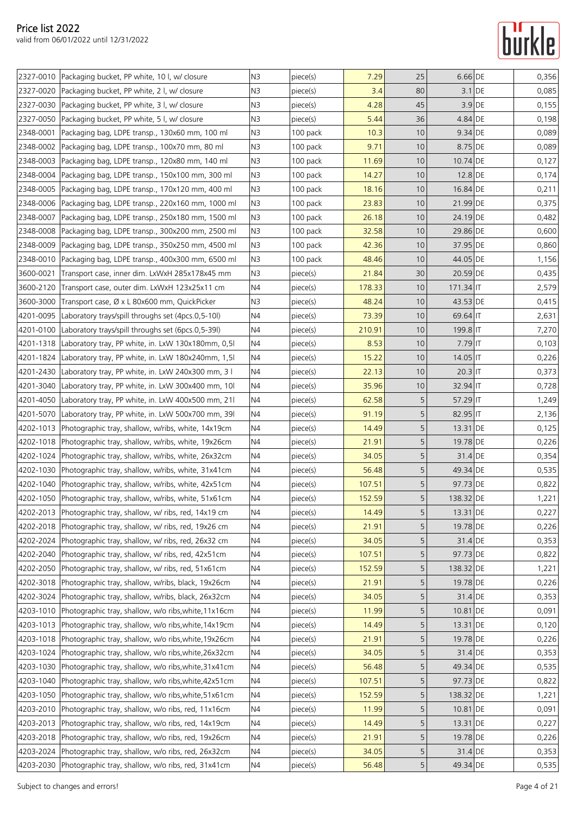|           | 2327-0010 Packaging bucket, PP white, 10 l, w/ closure         | N <sub>3</sub> | piece(s) | 7.29   | 25              | $6.66$ DE   | 0,356 |
|-----------|----------------------------------------------------------------|----------------|----------|--------|-----------------|-------------|-------|
|           | 2327-0020 Packaging bucket, PP white, 2 I, w/ closure          | N <sub>3</sub> | piece(s) | 3.4    | 80              | $3.1$ DE    | 0,085 |
| 2327-0030 | Packaging bucket, PP white, 3 l, w/ closure                    | N <sub>3</sub> | piece(s) | 4.28   | 45              | $3.9$ DE    | 0,155 |
|           | 2327-0050 Packaging bucket, PP white, 5 l, w/ closure          | N <sub>3</sub> | piece(s) | 5.44   | 36              | 4.84 DE     | 0,198 |
| 2348-0001 | Packaging bag, LDPE transp., 130x60 mm, 100 ml                 | N <sub>3</sub> | 100 pack | 10.3   | 10              | $9.34$ DE   | 0,089 |
| 2348-0002 | Packaging bag, LDPE transp., 100x70 mm, 80 ml                  | N3             | 100 pack | 9.71   | 10              | 8.75 DE     | 0,089 |
|           | 2348-0003 Packaging bag, LDPE transp., 120x80 mm, 140 ml       | N <sub>3</sub> | 100 pack | 11.69  | 10              | 10.74 DE    | 0,127 |
|           | 2348-0004 Packaging bag, LDPE transp., 150x100 mm, 300 ml      | N <sub>3</sub> | 100 pack | 14.27  | 10              | 12.8 DE     | 0,174 |
| 2348-0005 | Packaging bag, LDPE transp., 170x120 mm, 400 ml                | N <sub>3</sub> | 100 pack | 18.16  | 10              | 16.84 DE    | 0,211 |
|           | 2348-0006 Packaging bag, LDPE transp., 220x160 mm, 1000 ml     | N <sub>3</sub> | 100 pack | 23.83  | 10 <sup>°</sup> | 21.99 DE    | 0,375 |
| 2348-0007 | Packaging bag, LDPE transp., 250x180 mm, 1500 ml               | N3             | 100 pack | 26.18  | 10              | 24.19 DE    | 0,482 |
|           | 2348-0008 Packaging bag, LDPE transp., 300x200 mm, 2500 ml     | N3             | 100 pack | 32.58  | 10              | 29.86 DE    | 0,600 |
| 2348-0009 | Packaging bag, LDPE transp., 350x250 mm, 4500 ml               | N <sub>3</sub> | 100 pack | 42.36  | 10              | 37.95 DE    | 0,860 |
| 2348-0010 | Packaging bag, LDPE transp., 400x300 mm, 6500 ml               | N <sub>3</sub> | 100 pack | 48.46  | 10              | 44.05 DE    | 1,156 |
| 3600-0021 | Transport case, inner dim. LxWxH 285x178x45 mm                 | N <sub>3</sub> | piece(s) | 21.84  | 30              | 20.59 DE    | 0,435 |
|           | 3600-2120 Transport case, outer dim. LxWxH 123x25x11 cm        | N <sub>4</sub> | piece(s) | 178.33 | 10              | $171.34$ IT | 2,579 |
| 3600-3000 | Transport case, Ø x L 80x600 mm, QuickPicker                   | N <sub>3</sub> | piece(s) | 48.24  | 10              | 43.53 DE    | 0,415 |
| 4201-0095 | Laboratory trays/spill throughs set (4pcs.0.5-10l)             | N4             | piece(s) | 73.39  | 10              | 69.64 IT    | 2,631 |
|           | 4201-0100 Laboratory trays/spill throughs set (6pcs.0,5-39l)   | N <sub>4</sub> | piece(s) | 210.91 | 10              | 199.8 IT    | 7,270 |
|           | 4201-1318 Laboratory tray, PP white, in. LxW 130x180mm, 0,51   | N <sub>4</sub> | piece(s) | 8.53   | 10              | $7.79$ IT   | 0,103 |
|           | 4201-1824 Laboratory tray, PP white, in. LxW 180x240mm, 1,5I   | N4             | piece(s) | 15.22  | 10              | $14.05$ IT  | 0,226 |
|           | 4201-2430 Laboratory tray, PP white, in. LxW 240x300 mm, 3 l   | N <sub>4</sub> | piece(s) | 22.13  | 10              | $20.3$ IT   | 0,373 |
| 4201-3040 | Laboratory tray, PP white, in. LxW 300x400 mm, 10              | N4             | piece(s) | 35.96  | 10              | 32.94 IT    | 0,728 |
|           | 4201-4050 Laboratory tray, PP white, in. LxW 400x500 mm, 21l   | N <sub>4</sub> | piece(s) | 62.58  | 5               | $57.29$ IT  | 1,249 |
| 4201-5070 | Laboratory tray, PP white, in. LxW 500x700 mm, 39I             | N4             | piece(s) | 91.19  | 5               | 82.95 IT    | 2,136 |
|           | 4202-1013 Photographic tray, shallow, w/ribs, white, 14x19cm   | N <sub>4</sub> | piece(s) | 14.49  | 5               | 13.31 DE    | 0,125 |
|           | 4202-1018 Photographic tray, shallow, w/ribs, white, 19x26cm   | N <sub>4</sub> | piece(s) | 21.91  | 5               | 19.78 DE    | 0,226 |
|           | 4202-1024   Photographic tray, shallow, w/ribs, white, 26x32cm | N4             | piece(s) | 34.05  | 5               | 31.4 DE     | 0,354 |
|           | 4202-1030 Photographic tray, shallow, w/ribs, white, 31x41cm   | N <sub>4</sub> | piece(s) | 56.48  | 5               | 49.34 DE    | 0,535 |
|           | 4202-1040 Photographic tray, shallow, w/ribs, white, 42x51cm   | N4             | piece(s) | 107.51 | 5               | 97.73 DE    | 0,822 |
|           | 4202-1050 Photographic tray, shallow, w/ribs, white, 51x61cm   | N4             | piece(s) | 152.59 | 5               | 138.32 DE   | 1,221 |
|           | 4202-2013 Photographic tray, shallow, w/ ribs, red, 14x19 cm   | N4             | piece(s) | 14.49  | 5               | 13.31 DE    | 0,227 |
|           | 4202-2018 Photographic tray, shallow, w/ ribs, red, 19x26 cm   | N4             | piece(s) | 21.91  | 5               | 19.78 DE    | 0,226 |
|           | 4202-2024 Photographic tray, shallow, w/ ribs, red, 26x32 cm   | N4             | piece(s) | 34.05  | 5               | 31.4 DE     | 0,353 |
| 4202-2040 | Photographic tray, shallow, w/ ribs, red, 42x51cm              | N4             | piece(s) | 107.51 | 5               | 97.73 DE    | 0,822 |
|           | 4202-2050 Photographic tray, shallow, w/ ribs, red, 51x61cm    | N <sub>4</sub> | piece(s) | 152.59 | 5               | 138.32 DE   | 1,221 |
| 4202-3018 | Photographic tray, shallow, w/ribs, black, 19x26cm             | N4             | piece(s) | 21.91  | 5               | 19.78 DE    | 0,226 |
|           | 4202-3024 Photographic tray, shallow, w/ribs, black, 26x32cm   | N4             | piece(s) | 34.05  | 5               | 31.4 DE     | 0,353 |
| 4203-1010 | Photographic tray, shallow, w/o ribs, white, 11x16cm           | N4             | piece(s) | 11.99  | 5               | 10.81 DE    | 0,091 |
|           | 4203-1013 Photographic tray, shallow, w/o ribs, white, 14x19cm | N4             | piece(s) | 14.49  | 5               | 13.31 DE    | 0,120 |
|           | 4203-1018 Photographic tray, shallow, w/o ribs, white, 19x26cm | N <sub>4</sub> | piece(s) | 21.91  | 5               | 19.78 DE    | 0,226 |
|           | 4203-1024 Photographic tray, shallow, w/o ribs, white, 26x32cm | N4             | piece(s) | 34.05  | 5               | 31.4 DE     | 0,353 |
| 4203-1030 | Photographic tray, shallow, w/o ribs, white, 31x41cm           | N <sub>4</sub> | piece(s) | 56.48  | 5               | 49.34 DE    | 0,535 |
| 4203-1040 | Photographic tray, shallow, w/o ribs, white, 42x51cm           | N4             | piece(s) | 107.51 | 5               | 97.73 DE    | 0,822 |
| 4203-1050 | Photographic tray, shallow, w/o ribs, white, 51x61cm           | N4             | piece(s) | 152.59 | 5               | 138.32 DE   | 1,221 |
| 4203-2010 | Photographic tray, shallow, w/o ribs, red, 11x16cm             | N <sub>4</sub> | piece(s) | 11.99  | 5               | 10.81 DE    | 0,091 |
|           | 4203-2013 Photographic tray, shallow, w/o ribs, red, 14x19cm   | N <sub>4</sub> | piece(s) | 14.49  | 5               | 13.31 DE    | 0,227 |
|           | 4203-2018 Photographic tray, shallow, w/o ribs, red, 19x26cm   | N4             | piece(s) | 21.91  | 5               | 19.78 DE    | 0,226 |
|           | 4203-2024 Photographic tray, shallow, w/o ribs, red, 26x32cm   | N4             | piece(s) | 34.05  | 5               | 31.4 DE     | 0,353 |
|           | 4203-2030 Photographic tray, shallow, w/o ribs, red, 31x41cm   | N4             | piece(s) | 56.48  | 5               | 49.34 DE    | 0,535 |
|           |                                                                |                |          |        |                 |             |       |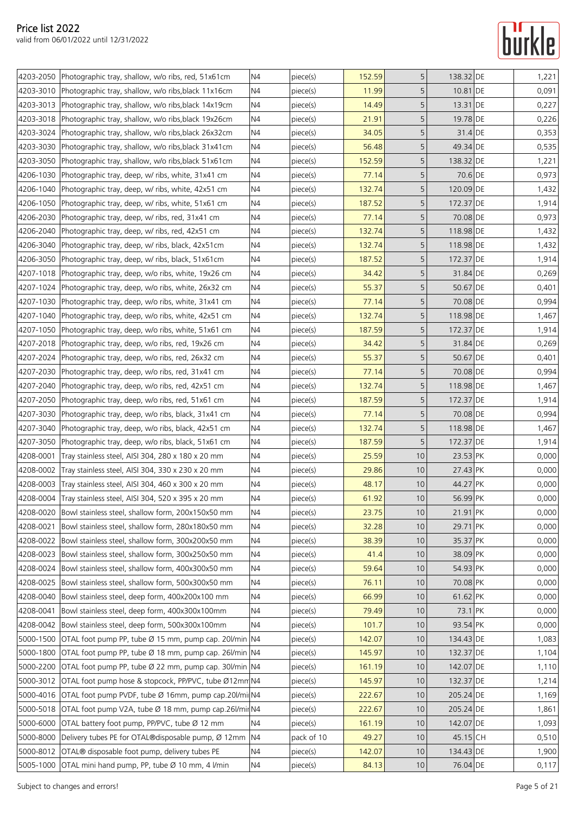|           | 4203-2050 Photographic tray, shallow, w/o ribs, red, 51x61cm    | N <sub>4</sub> | piece(s)   | 152.59 | 5           | 138.32 DE | 1,221 |
|-----------|-----------------------------------------------------------------|----------------|------------|--------|-------------|-----------|-------|
|           | 4203-3010 Photographic tray, shallow, w/o ribs, black 11x16cm   | N <sub>4</sub> | piece(s)   | 11.99  | 5           | 10.81 DE  | 0,091 |
|           | 4203-3013 Photographic tray, shallow, w/o ribs, black 14x19cm   | N <sub>4</sub> | piece(s)   | 14.49  | 5           | 13.31 DE  | 0,227 |
|           | 4203-3018   Photographic tray, shallow, w/o ribs, black 19x26cm | N4             | piece(s)   | 21.91  | 5           | 19.78 DE  | 0,226 |
|           | 4203-3024 Photographic tray, shallow, w/o ribs, black 26x32cm   | N <sub>4</sub> | piece(s)   | 34.05  | 5           | 31.4 DE   | 0,353 |
| 4203-3030 | Photographic tray, shallow, w/o ribs, black 31x41cm             | N4             | piece(s)   | 56.48  | 5           | 49.34 DE  | 0,535 |
|           | 4203-3050 Photographic tray, shallow, w/o ribs, black 51x61cm   | N <sub>4</sub> | piece(s)   | 152.59 | 5           | 138.32 DE | 1,221 |
|           | 4206-1030 Photographic tray, deep, w/ ribs, white, 31x41 cm     | N <sub>4</sub> | piece(s)   | 77.14  | 5           | 70.6 DE   | 0,973 |
|           | 4206-1040 Photographic tray, deep, w/ ribs, white, 42x51 cm     | N <sub>4</sub> | piece(s)   | 132.74 | 5           | 120.09 DE | 1,432 |
|           | 4206-1050 Photographic tray, deep, w/ ribs, white, 51x61 cm     | N <sub>4</sub> | piece(s)   | 187.52 | 5           | 172.37 DE | 1,914 |
|           | 4206-2030 Photographic tray, deep, w/ ribs, red, 31x41 cm       | N4             | piece(s)   | 77.14  | 5           | 70.08 DE  | 0,973 |
|           | 4206-2040 Photographic tray, deep, w/ ribs, red, 42x51 cm       | N4             | piece(s)   | 132.74 | 5           | 118.98 DE | 1,432 |
| 4206-3040 | Photographic tray, deep, w/ ribs, black, 42x51cm                | N4             | piece(s)   | 132.74 | 5           | 118.98 DE | 1,432 |
|           | 4206-3050 Photographic tray, deep, w/ ribs, black, 51x61cm      | N <sub>4</sub> | piece(s)   | 187.52 | 5           | 172.37 DE | 1,914 |
|           | 4207-1018 Photographic tray, deep, w/o ribs, white, 19x26 cm    | N <sub>4</sub> | piece(s)   | 34.42  | $\mathsf S$ | 31.84 DE  | 0,269 |
|           | 4207-1024 Photographic tray, deep, w/o ribs, white, 26x32 cm    | N4             | piece(s)   | 55.37  | 5           | 50.67 DE  | 0,401 |
|           | 4207-1030 Photographic tray, deep, w/o ribs, white, 31x41 cm    | N <sub>4</sub> | piece(s)   | 77.14  | 5           | 70.08 DE  | 0,994 |
|           | 4207-1040 Photographic tray, deep, w/o ribs, white, 42x51 cm    | N4             | piece(s)   | 132.74 | 5           | 118.98 DE | 1,467 |
|           | 4207-1050 Photographic tray, deep, w/o ribs, white, 51x61 cm    | N <sub>4</sub> | piece(s)   | 187.59 | 5           | 172.37 DE | 1,914 |
|           | 4207-2018 Photographic tray, deep, w/o ribs, red, 19x26 cm      | N <sub>4</sub> | piece(s)   | 34.42  | 5           | 31.84 DE  | 0,269 |
|           | 4207-2024 Photographic tray, deep, w/o ribs, red, 26x32 cm      | N4             | piece(s)   | 55.37  | 5           | 50.67 DE  | 0,401 |
|           | 4207-2030 Photographic tray, deep, w/o ribs, red, 31x41 cm      | N <sub>4</sub> | piece(s)   | 77.14  | 5           | 70.08 DE  | 0,994 |
|           | 4207-2040 Photographic tray, deep, w/o ribs, red, 42x51 cm      | N4             | piece(s)   | 132.74 | 5           | 118.98 DE | 1,467 |
|           | 4207-2050 Photographic tray, deep, w/o ribs, red, 51x61 cm      | N <sub>4</sub> | piece(s)   | 187.59 | 5           | 172.37 DE | 1,914 |
| 4207-3030 | Photographic tray, deep, w/o ribs, black, 31x41 cm              | N4             | piece(s)   | 77.14  | 5           | 70.08 DE  | 0,994 |
|           | 4207-3040 Photographic tray, deep, w/o ribs, black, 42x51 cm    | N <sub>4</sub> | piece(s)   | 132.74 | 5           | 118.98 DE | 1,467 |
|           | 4207-3050 Photographic tray, deep, w/o ribs, black, 51x61 cm    | N <sub>4</sub> | piece(s)   | 187.59 | 5           | 172.37 DE | 1,914 |
| 4208-0001 | Tray stainless steel, AISI 304, 280 x 180 x 20 mm               | N <sub>4</sub> | piece(s)   | 25.59  | 10          | 23.53 PK  | 0,000 |
|           | 4208-0002 Tray stainless steel, AISI 304, 330 x 230 x 20 mm     | N <sub>4</sub> | piece(s)   | 29.86  | 10          | 27.43 PK  | 0,000 |
|           | 4208-0003 Tray stainless steel, AISI 304, 460 x 300 x 20 mm     | N4             | piece(s)   | 48.17  | 10          | 44.27 PK  | 0,000 |
|           | 4208-0004 Tray stainless steel, AISI 304, 520 x 395 x 20 mm     | N4             | piece(s)   | 61.92  | 10          | 56.99 PK  | 0,000 |
|           | 4208-0020 Bowl stainless steel, shallow form, 200x150x50 mm     | N4             | piece(s)   | 23.75  | $10$        | 21.91 PK  | 0,000 |
| 4208-0021 | Bowl stainless steel, shallow form, 280x180x50 mm               | N <sub>4</sub> | piece(s)   | 32.28  | 10          | 29.71 PK  | 0,000 |
|           | 4208-0022 Bowl stainless steel, shallow form, 300x200x50 mm     | N <sub>4</sub> | piece(s)   | 38.39  | 10          | 35.37 PK  | 0,000 |
| 4208-0023 | Bowl stainless steel, shallow form, 300x250x50 mm               | N4             | piece(s)   | 41.4   | 10          | 38.09 PK  | 0,000 |
|           | 4208-0024 Bowl stainless steel, shallow form, 400x300x50 mm     | N <sub>4</sub> | piece(s)   | 59.64  | 10          | 54.93 PK  | 0,000 |
| 4208-0025 | Bowl stainless steel, shallow form, 500x300x50 mm               | N4             | piece(s)   | 76.11  | 10          | 70.08 PK  | 0,000 |
| 4208-0040 | Bowl stainless steel, deep form, 400x200x100 mm                 | N <sub>4</sub> | piece(s)   | 66.99  | 10          | 61.62 PK  | 0,000 |
| 4208-0041 | Bowl stainless steel, deep form, 400x300x100mm                  | N <sub>4</sub> | piece(s)   | 79.49  | 10          | 73.1 PK   | 0,000 |
| 4208-0042 | Bowl stainless steel, deep form, 500x300x100mm                  | N <sub>4</sub> | piece(s)   | 101.7  | 10          | 93.54 PK  | 0,000 |
|           | 5000-1500 OTAL foot pump PP, tube Ø 15 mm, pump cap. 20//min N4 |                | piece(s)   | 142.07 | 10          | 134.43 DE | 1,083 |
| 5000-1800 | OTAL foot pump PP, tube Ø 18 mm, pump cap. 26/min N4            |                | piece(s)   | 145.97 | 10          | 132.37 DE | 1,104 |
| 5000-2200 | OTAL foot pump PP, tube Ø 22 mm, pump cap. 30/min N4            |                | piece(s)   | 161.19 | 10          | 142.07 DE | 1,110 |
| 5000-3012 | OTAL foot pump hose & stopcock, PP/PVC, tube Ø12mm N4           |                | piece(s)   | 145.97 | 10          | 132.37 DE | 1,214 |
| 5000-4016 | OTAL foot pump PVDF, tube Ø 16mm, pump cap.20l/milN4            |                | piece(s)   | 222.67 | 10          | 205.24 DE | 1,169 |
|           | 5000-5018 OTAL foot pump V2A, tube Ø 18 mm, pump cap.26/mir N4  |                | piece(s)   | 222.67 | 10          | 205.24 DE | 1,861 |
| 5000-6000 | OTAL battery foot pump, PP/PVC, tube Ø 12 mm                    | N4             | piece(s)   | 161.19 | 10          | 142.07 DE | 1,093 |
|           | 5000-8000 Delivery tubes PE for OTAL®disposable pump, Ø 12mm    | N <sub>4</sub> | pack of 10 | 49.27  | 10          | 45.15 CH  | 0,510 |
| 5000-8012 | OTAL® disposable foot pump, delivery tubes PE                   | N4             | piece(s)   | 142.07 | 10          | 134.43 DE | 1,900 |
|           | 5005-1000 OTAL mini hand pump, PP, tube Ø 10 mm, 4 l/min        | N <sub>4</sub> | piece(s)   | 84.13  | 10          | 76.04 DE  | 0,117 |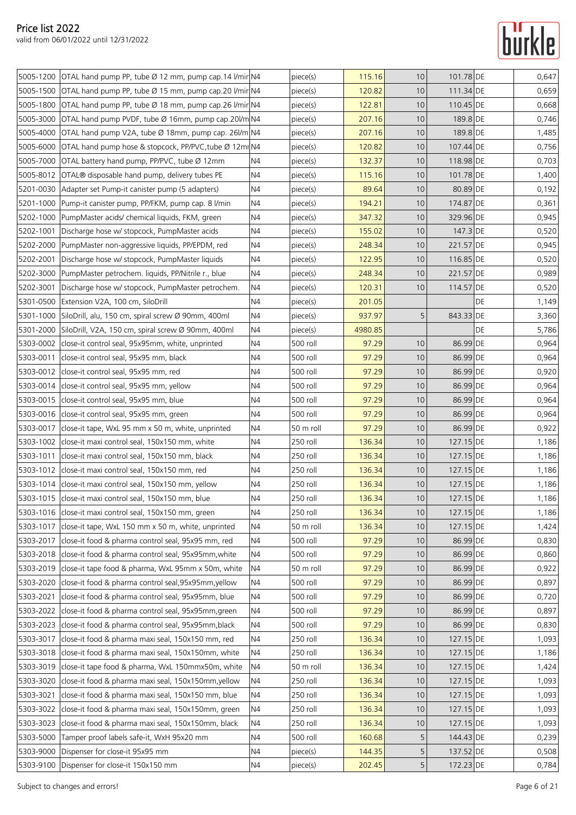|           | 5005-1200 OTAL hand pump PP, tube Ø 12 mm, pump cap.14 l/mir N4 |                      | piece(s)  | 115.16  | 10   | 101.78 DE |    | 0,647          |
|-----------|-----------------------------------------------------------------|----------------------|-----------|---------|------|-----------|----|----------------|
|           | 5005-1500 OTAL hand pump PP, tube Ø 15 mm, pump cap.20 l/mir N4 |                      | piece(s)  | 120.82  | 10   | 111.34 DE |    | 0,659          |
| 5005-1800 | OTAL hand pump PP, tube Ø 18 mm, pump cap.26 l/mir N4           |                      | piece(s)  | 122.81  | 10   | 110.45 DE |    | 0,668          |
| 5005-3000 | OTAL hand pump PVDF, tube Ø 16mm, pump cap.20l/m N4             |                      | piece(s)  | 207.16  | 10   | 189.8 DE  |    | 0,746          |
| 5005-4000 | OTAL hand pump V2A, tube Ø 18mm, pump cap. 26/m N4              |                      | piece(s)  | 207.16  | 10   | 189.8 DE  |    | 1,485          |
| 5005-6000 | OTAL hand pump hose & stopcock, PP/PVC, tube Ø 12mr N4          |                      | piece(s)  | 120.82  | 10   | 107.44 DE |    | 0,756          |
| 5005-7000 | OTAL battery hand pump, PP/PVC, tube Ø 12mm                     | N4                   | piece(s)  | 132.37  | 10   | 118.98 DE |    | 0,703          |
| 5005-8012 | OTAL® disposable hand pump, delivery tubes PE                   | N4                   | piece(s)  | 115.16  | 10   | 101.78 DE |    | 1,400          |
| 5201-0030 | Adapter set Pump-it canister pump (5 adapters)                  | N <sub>4</sub>       | piece(s)  | 89.64   | 10   | 80.89 DE  |    | 0,192          |
| 5201-1000 | Pump-it canister pump, PP/FKM, pump cap. 8 l/min                | N4                   |           | 194.21  | 10   | 174.87 DE |    |                |
| 5202-1000 | PumpMaster acids/ chemical liquids, FKM, green                  |                      | piece(s)  | 347.32  | 10   | 329.96 DE |    | 0,361<br>0,945 |
| 5202-1001 |                                                                 | N4<br>N <sub>4</sub> | piece(s)  |         | 10   |           |    | 0,520          |
|           | Discharge hose w/ stopcock, PumpMaster acids                    |                      | piece(s)  | 155.02  |      | 147.3 DE  |    |                |
| 5202-2000 | PumpMaster non-aggressive liquids, PP/EPDM, red                 | N4                   | piece(s)  | 248.34  | 10   | 221.57 DE |    | 0,945          |
| 5202-2001 | Discharge hose w/ stopcock, PumpMaster liquids                  | N4                   | piece(s)  | 122.95  | 10   | 116.85 DE |    | 0,520          |
| 5202-3000 | PumpMaster petrochem. liquids, PP/Nitrile r., blue              | N4                   | piece(s)  | 248.34  | 10   | 221.57 DE |    | 0,989          |
| 5202-3001 | Discharge hose w/ stopcock, PumpMaster petrochem.               | N4                   | piece(s)  | 120.31  | 10   | 114.57 DE |    | 0,520          |
| 5301-0500 | Extension V2A, 100 cm, SiloDrill                                | N4                   | piece(s)  | 201.05  |      |           | DE | 1,149          |
|           | 5301-1000 SiloDrill, alu, 150 cm, spiral screw Ø 90mm, 400ml    | N4                   | piece(s)  | 937.97  | 5    | 843.33 DE |    | 3,360          |
| 5301-2000 | SiloDrill, V2A, 150 cm, spiral screw Ø 90mm, 400ml              | <b>N4</b>            | piece(s)  | 4980.85 |      |           | DE | 5,786          |
| 5303-0002 | close-it control seal, 95x95mm, white, unprinted                | N4                   | 500 roll  | 97.29   | 10   | 86.99 DE  |    | 0,964          |
| 5303-0011 | close-it control seal, 95x95 mm, black                          | N4                   | 500 roll  | 97.29   | 10   | 86.99 DE  |    | 0,964          |
| 5303-0012 | close-it control seal, 95x95 mm, red                            | N4                   | 500 roll  | 97.29   | 10   | 86.99 DE  |    | 0,920          |
| 5303-0014 | close-it control seal, 95x95 mm, yellow                         | N4                   | 500 roll  | 97.29   | 10   | 86.99 DE  |    | 0,964          |
| 5303-0015 | close-it control seal, 95x95 mm, blue                           | N <sub>4</sub>       | 500 roll  | 97.29   | 10   | 86.99 DE  |    | 0,964          |
| 5303-0016 | close-it control seal, 95x95 mm, green                          | N4                   | 500 roll  | 97.29   | 10   | 86.99 DE  |    | 0,964          |
| 5303-0017 | close-it tape, WxL 95 mm x 50 m, white, unprinted               | N4                   | 50 m roll | 97.29   | 10   | 86.99 DE  |    | 0,922          |
| 5303-1002 | close-it maxi control seal, 150x150 mm, white                   | N4                   | 250 roll  | 136.34  | 10   | 127.15 DE |    | 1,186          |
| 5303-1011 | close-it maxi control seal, 150x150 mm, black                   | N4                   | 250 roll  | 136.34  | 10   | 127.15 DE |    | 1,186          |
| 5303-1012 | close-it maxi control seal, 150x150 mm, red                     | N4                   | 250 roll  | 136.34  | 10   | 127.15 DE |    | 1,186          |
|           | 5303-1014   close-it maxi control seal, 150x150 mm, yellow      | N4                   | 250 roll  | 136.34  | 10   | 127.15 DE |    | 1,186          |
|           | 5303-1015   close-it maxi control seal, 150x150 mm, blue        | N <sub>4</sub>       | 250 roll  | 136.34  | 10   | 127.15 DE |    | 1,186          |
|           | 5303-1016 close-it maxi control seal, 150x150 mm, green         | N <sub>4</sub>       | 250 roll  | 136.34  | $10$ | 127.15 DE |    | 1,186          |
| 5303-1017 | close-it tape, WxL 150 mm x 50 m, white, unprinted              | N <sub>4</sub>       | 50 m roll | 136.34  | 10   | 127.15 DE |    | 1,424          |
| 5303-2017 | close-it food & pharma control seal, 95x95 mm, red              | N <sub>4</sub>       | 500 roll  | 97.29   | 10   | 86.99 DE  |    | 0,830          |
| 5303-2018 | close-it food & pharma control seal, 95x95mm, white             | N <sub>4</sub>       | 500 roll  | 97.29   | 10   | 86.99 DE  |    | 0,860          |
| 5303-2019 | close-it tape food & pharma, WxL 95mm x 50m, white              | N <sub>4</sub>       | 50 m roll | 97.29   | 10   | 86.99 DE  |    | 0,922          |
| 5303-2020 | close-it food & pharma control seal, 95x95mm, yellow            | N4                   | 500 roll  | 97.29   | 10   | 86.99 DE  |    | 0,897          |
| 5303-2021 | close-it food & pharma control seal, 95x95mm, blue              | N4                   | 500 roll  | 97.29   | 10   | 86.99 DE  |    | 0,720          |
| 5303-2022 | close-it food & pharma control seal, 95x95mm, green             | N4                   | 500 roll  | 97.29   | 10   | 86.99 DE  |    | 0,897          |
| 5303-2023 | close-it food & pharma control seal, 95x95mm, black             | N <sub>4</sub>       | 500 roll  | 97.29   | 10   | 86.99 DE  |    | 0,830          |
| 5303-3017 | close-it food & pharma maxi seal, 150x150 mm, red               | N4                   | 250 roll  | 136.34  | 10   | 127.15 DE |    | 1,093          |
| 5303-3018 | close-it food & pharma maxi seal, 150x150mm, white              | N <sub>4</sub>       | 250 roll  | 136.34  | 10   | 127.15 DE |    | 1,186          |
| 5303-3019 | close-it tape food & pharma, WxL 150mmx50m, white               | N4                   | 50 m roll | 136.34  | 10   | 127.15 DE |    | 1,424          |
| 5303-3020 | close-it food & pharma maxi seal, 150x150mm, yellow             | N4                   | 250 roll  | 136.34  | 10   | 127.15 DE |    | 1,093          |
| 5303-3021 | close-it food & pharma maxi seal, 150x150 mm, blue              | N4                   | 250 roll  | 136.34  | 10   | 127.15 DE |    | 1,093          |
| 5303-3022 | close-it food & pharma maxi seal, 150x150mm, green              | N4                   | 250 roll  | 136.34  | 10   | 127.15 DE |    | 1,093          |
| 5303-3023 | close-it food & pharma maxi seal, 150x150mm, black              | N4                   | 250 roll  | 136.34  | 10   | 127.15 DE |    | 1,093          |
| 5303-5000 | Tamper proof labels safe-it, WxH 95x20 mm                       | N <sub>4</sub>       | 500 roll  | 160.68  | 5    | 144.43 DE |    | 0,239          |
| 5303-9000 | Dispenser for close-it 95x95 mm                                 | N4                   | piece(s)  | 144.35  | 5    | 137.52 DE |    | 0,508          |
| 5303-9100 | Dispenser for close-it 150x150 mm                               | N <sub>4</sub>       | piece(s)  | 202.45  | 5    | 172.23 DE |    | 0,784          |
|           |                                                                 |                      |           |         |      |           |    |                |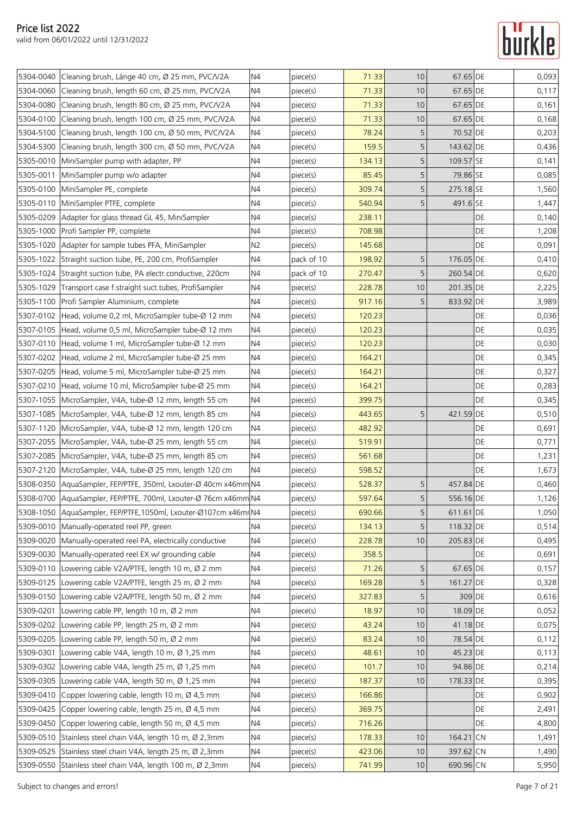## **Gurkle**

|           | 5304-0040 Cleaning brush, Länge 40 cm, Ø 25 mm, PVC/V2A           | N <sub>4</sub> | piece(s)   | 71.33  | 10             | 67.65 DE  |           | 0,093 |
|-----------|-------------------------------------------------------------------|----------------|------------|--------|----------------|-----------|-----------|-------|
| 5304-0060 | Cleaning brush, length 60 cm, Ø 25 mm, PVC/V2A                    | N4             | piece(s)   | 71.33  | 10             | 67.65 DE  |           | 0,117 |
| 5304-0080 | Cleaning brush, length 80 cm, Ø 25 mm, PVC/V2A                    | N <sub>4</sub> | piece(s)   | 71.33  | 10             | 67.65 DE  |           | 0,161 |
| 5304-0100 | Cleaning brush, length 100 cm, Ø 25 mm, PVC/V2A                   | N <sub>4</sub> | piece(s)   | 71.33  | 10             | 67.65 DE  |           | 0,168 |
| 5304-5100 | Cleaning brush, length 100 cm, Ø 50 mm, PVC/V2A                   | N <sub>4</sub> | piece(s)   | 78.24  | 5              | 70.52 DE  |           | 0,203 |
| 5304-5300 | Cleaning brush, length 300 cm, Ø 50 mm, PVC/V2A                   | N4             |            | 159.5  | 5              | 143.62 DE |           |       |
|           |                                                                   | N <sub>4</sub> | piece(s)   |        |                | 109.57 SE |           | 0,436 |
|           | 5305-0010 MiniSampler pump with adapter, PP                       |                | piece(s)   | 134.13 | 5              |           |           | 0,141 |
| 5305-0011 | MiniSampler pump w/o adapter                                      | N4             | piece(s)   | 85.45  | 5              | 79.86 SE  |           | 0,085 |
|           | 5305-0100 MiniSampler PE, complete                                | N4             | piece(s)   | 309.74 | 5              | 275.18 SE |           | 1,560 |
|           | 5305-0110 MiniSampler PTFE, complete                              | N <sub>4</sub> | piece(s)   | 540.94 | 5              | 491.6 SE  |           | 1,447 |
|           | 5305-0209   Adapter for glass thread GL 45, MiniSampler           | N <sub>4</sub> | piece(s)   | 238.11 |                |           | DE        | 0,140 |
|           | 5305-1000   Profi Sampler PP, complete                            | N <sub>4</sub> | piece(s)   | 708.98 |                |           | DE        | 1,208 |
|           | 5305-1020 Adapter for sample tubes PFA, MiniSampler               | N <sub>2</sub> | piece(s)   | 145.68 |                |           | DE        | 0,091 |
|           | 5305-1022 Straight suction tube, PE, 200 cm, ProfiSampler         | N4             | pack of 10 | 198.92 | 5              | 176.05 DE |           | 0,410 |
|           | 5305-1024 Straight suction tube, PA electr.conductive, 220cm      | N4             | pack of 10 | 270.47 | 5              | 260.54 DE |           | 0,620 |
|           | 5305-1029 Transport case f.straight suct.tubes, ProfiSampler      | N <sub>4</sub> | piece(s)   | 228.78 | 10             | 201.35 DE |           | 2,225 |
|           | 5305-1100 Profi Sampler Aluminium, complete                       | N <sub>4</sub> | piece(s)   | 917.16 | 5              | 833.92 DE |           | 3,989 |
|           | 5307-0102   Head, volume 0,2 ml, MicroSampler tube-Ø 12 mm        | N <sub>4</sub> | piece(s)   | 120.23 |                |           | DE        | 0,036 |
|           | 5307-0105   Head, volume 0,5 ml, MicroSampler tube-Ø 12 mm        | N <sub>4</sub> | piece(s)   | 120.23 |                |           | DE        | 0,035 |
|           | 5307-0110 Head, volume 1 ml, MicroSampler tube-Ø 12 mm            | N4             | piece(s)   | 120.23 |                |           | DE        | 0,030 |
|           | 5307-0202 Head, volume 2 ml, MicroSampler tube-Ø 25 mm            | N4             | piece(s)   | 164.21 |                |           | <b>DE</b> | 0,345 |
| 5307-0205 | Head, volume 5 ml, MicroSampler tube-Ø 25 mm                      | N <sub>4</sub> | piece(s)   | 164.21 |                |           | <b>DE</b> | 0,327 |
| 5307-0210 | Head, volume 10 ml, MicroSampler tube-Ø 25 mm                     | N <sub>4</sub> | piece(s)   | 164.21 |                |           | <b>DE</b> | 0,283 |
|           | 5307-1055 MicroSampler, V4A, tube-Ø 12 mm, length 55 cm           | N <sub>4</sub> | piece(s)   | 399.75 |                |           | DE        | 0,345 |
|           | 5307-1085   MicroSampler, V4A, tube-Ø 12 mm, length 85 cm         | N <sub>4</sub> | piece(s)   | 443.65 | 5              | 421.59 DE |           | 0,510 |
|           | 5307-1120 MicroSampler, V4A, tube-Ø 12 mm, length 120 cm          | N <sub>4</sub> | piece(s)   | 482.92 |                |           | DE        | 0,691 |
| 5307-2055 | MicroSampler, V4A, tube-Ø 25 mm, length 55 cm                     | N4             | piece(s)   | 519.91 |                |           | DE        | 0,771 |
|           | 5307-2085   MicroSampler, V4A, tube-Ø 25 mm, length 85 cm         | N <sub>4</sub> | piece(s)   | 561.68 |                |           | <b>DE</b> | 1,231 |
|           | 5307-2120 MicroSampler, V4A, tube-Ø 25 mm, length 120 cm          | N <sub>4</sub> | piece(s)   | 598.52 |                |           | DE        | 1,673 |
|           | 5308-0350 AquaSampler, FEP/PTFE, 350ml, Lxouter-Ø 40cm x46mm N4   |                | piece(s)   | 528.37 | 5              | 457.84 DE |           | 0,460 |
|           | 5308-0700   AquaSampler, FEP/PTFE, 700ml, Lxouter-Ø 76cm x46mm N4 |                | piece(s)   | 597.64 | 5 <sub>l</sub> | 556.16 DE |           | 1,126 |
|           | 5308-1050 AquaSampler, FEP/PTFE, 1050ml, Lxouter-Ø107cm x46mr N4  |                | piece(s)   | 690.66 | $\mathsf S$    | 611.61 DE |           | 1,050 |
|           | 5309-0010 Manually-operated reel PP, green                        | N4             | piece(s)   | 134.13 | 5              | 118.32 DE |           | 0,514 |
| 5309-0020 | Manually-operated reel PA, electrically conductive                | N <sub>4</sub> | piece(s)   | 228.78 | 10             | 205.83 DE |           | 0,495 |
| 5309-0030 | Manually-operated reel EX w/ grounding cable                      | N <sub>4</sub> | piece(s)   | 358.5  |                |           | DE        | 0,691 |
|           | 5309-0110 Lowering cable V2A/PTFE, length 10 m, Ø 2 mm            | N <sub>4</sub> | piece(s)   | 71.26  | $\mathsf S$    | 67.65 DE  |           | 0,157 |
| 5309-0125 | Lowering cable V2A/PTFE, length 25 m, Ø 2 mm                      | N4             | piece(s)   | 169.28 | 5              | 161.27 DE |           | 0,328 |
|           | 5309-0150 Lowering cable V2A/PTFE, length 50 m, Ø 2 mm            | N <sub>4</sub> | piece(s)   | 327.83 | 5              | 309 DE    |           | 0,616 |
| 5309-0201 | Lowering cable PP, length 10 m, Ø 2 mm                            | N4             | piece(s)   | 18.97  | 10             | 18.09 DE  |           | 0,052 |
| 5309-0202 | Lowering cable PP, length 25 m, Ø 2 mm                            | N4             | piece(s)   | 43.24  | 10             | 41.18 DE  |           | 0,075 |
| 5309-0205 | Lowering cable PP, length 50 m, Ø 2 mm                            | N4             | piece(s)   | 83.24  | 10             | 78.54 DE  |           | 0,112 |
| 5309-0301 | Lowering cable V4A, length 10 m, Ø 1,25 mm                        | N4             | piece(s)   | 48.61  | 10             | 45.23 DE  |           | 0,113 |
| 5309-0302 | Lowering cable V4A, length 25 m, Ø 1,25 mm                        | N <sub>4</sub> | piece(s)   | 101.7  | 10             | 94.86 DE  |           | 0,214 |
| 5309-0305 | Lowering cable V4A, length 50 m, Ø 1,25 mm                        | N4             | piece(s)   | 187.37 | 10             | 178.33 DE |           | 0,395 |
| 5309-0410 | Copper lowering cable, length 10 m, Ø 4,5 mm                      | N <sub>4</sub> | piece(s)   | 166.86 |                |           | DE        | 0,902 |
| 5309-0425 | Copper lowering cable, length 25 m, Ø 4,5 mm                      | N4             | piece(s)   | 369.75 |                |           | DE        | 2,491 |
| 5309-0450 | Copper lowering cable, length 50 m, Ø 4,5 mm                      | N4             | piece(s)   | 716.26 |                |           | DE        | 4,800 |
| 5309-0510 | Stainless steel chain V4A, length 10 m, Ø 2,3mm                   | N <sub>4</sub> | piece(s)   | 178.33 | 10             | 164.21 CN |           | 1,491 |
| 5309-0525 | Stainless steel chain V4A, length 25 m, Ø 2,3mm                   | N4             | piece(s)   | 423.06 | 10             | 397.62 CN |           | 1,490 |
|           |                                                                   | N <sub>4</sub> |            |        |                |           |           |       |
|           | 5309-0550 Stainless steel chain V4A, length 100 m, Ø 2,3mm        |                | piece(s)   | 741.99 | 10             | 690.96 CN |           | 5,950 |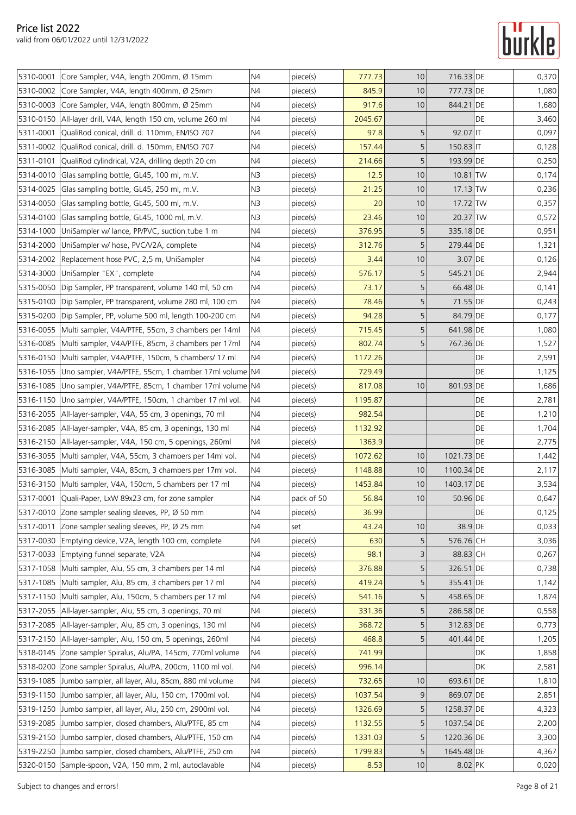|           | 5310-0001 Core Sampler, V4A, length 200mm, Ø 15mm             | N4             | piece(s)   | 777.73  | 10              | 716.33 DE   |    | 0,370 |
|-----------|---------------------------------------------------------------|----------------|------------|---------|-----------------|-------------|----|-------|
|           | 5310-0002 Core Sampler, V4A, length 400mm, Ø 25mm             | N4             | piece(s)   | 845.9   | 10              | 777.73 DE   |    | 1,080 |
| 5310-0003 | Core Sampler, V4A, length 800mm, Ø 25mm                       | N4             | piece(s)   | 917.6   | 10              | 844.21 DE   |    | 1,680 |
| 5310-0150 | All-layer drill, V4A, length 150 cm, volume 260 ml            | N4             | piece(s)   | 2045.67 |                 |             | DE | 3,460 |
| 5311-0001 | QualiRod conical, drill. d. 110mm, EN/ISO 707                 | N <sub>4</sub> | piece(s)   | 97.8    | 5               | 92.07 IT    |    | 0,097 |
|           | 5311-0002 QualiRod conical, drill. d. 150mm, EN/ISO 707       | N4             | piece(s)   | 157.44  | 5               | $150.83$ IT |    | 0,128 |
| 5311-0101 | QualiRod cylindrical, V2A, drilling depth 20 cm               | N4             | piece(s)   | 214.66  | 5               | 193.99 DE   |    | 0,250 |
| 5314-0010 | Glas sampling bottle, GL45, 100 ml, m.V.                      | N3             | piece(s)   | 12.5    | 10              | $10.81$ TW  |    | 0,174 |
| 5314-0025 | Glas sampling bottle, GL45, 250 ml, m.V.                      | N <sub>3</sub> | piece(s)   | 21.25   | 10              | 17.13 TW    |    | 0,236 |
| 5314-0050 | Glas sampling bottle, GL45, 500 ml, m.V.                      | N3             | piece(s)   | 20      | 10              | 17.72 TW    |    | 0,357 |
|           | 5314-0100 Glas sampling bottle, GL45, 1000 ml, m.V.           | N <sub>3</sub> | piece(s)   | 23.46   | 10              | 20.37 TW    |    | 0,572 |
| 5314-1000 | UniSampler w/ lance, PP/PVC, suction tube 1 m                 | N4             | piece(s)   | 376.95  | 5               | 335.18 DE   |    | 0,951 |
| 5314-2000 | UniSampler w/ hose, PVC/V2A, complete                         | N4             | piece(s)   | 312.76  | 5               | 279.44 DE   |    | 1,321 |
|           | 5314-2002 Replacement hose PVC, 2,5 m, UniSampler             | N4             | piece(s)   | 3.44    | 10              | 3.07 DE     |    | 0,126 |
| 5314-3000 | UniSampler "EX", complete                                     | N4             | piece(s)   | 576.17  | 5               | 545.21 DE   |    | 2,944 |
|           | 5315-0050 Dip Sampler, PP transparent, volume 140 ml, 50 cm   | N4             | piece(s)   | 73.17   | 5               | 66.48 DE    |    | 0,141 |
|           | 5315-0100 Dip Sampler, PP transparent, volume 280 ml, 100 cm  | N <sub>4</sub> | piece(s)   | 78.46   | 5               | 71.55 DE    |    | 0,243 |
|           | 5315-0200 Dip Sampler, PP, volume 500 ml, length 100-200 cm   | N4             | piece(s)   | 94.28   | 5               | 84.79 DE    |    | 0,177 |
|           | 5316-0055 Multi sampler, V4A/PTFE, 55cm, 3 chambers per 14ml  | N <sub>4</sub> | piece(s)   | 715.45  | $5\overline{)}$ | 641.98 DE   |    | 1,080 |
| 5316-0085 | Multi sampler, V4A/PTFE, 85cm, 3 chambers per 17ml            | N4             | piece(s)   | 802.74  | 5               | 767.36 DE   |    | 1,527 |
| 5316-0150 | Multi sampler, V4A/PTFE, 150cm, 5 chambers/ 17 ml             | N4             | piece(s)   | 1172.26 |                 |             | DE | 2,591 |
| 5316-1055 | Uno sampler, V4A/PTFE, 55cm, 1 chamber 17ml volume N4         |                | piece(s)   | 729.49  |                 |             | DE | 1,125 |
| 5316-1085 | Uno sampler, V4A/PTFE, 85cm, 1 chamber 17ml volume N4         |                | piece(s)   | 817.08  | 10              | 801.93 DE   |    | 1,686 |
| 5316-1150 | Uno sampler, V4A/PTFE, 150cm, 1 chamber 17 ml vol.            | N <sub>4</sub> | piece(s)   | 1195.87 |                 |             | DE | 2,781 |
|           | 5316-2055   All-layer-sampler, V4A, 55 cm, 3 openings, 70 ml  | N4             | piece(s)   | 982.54  |                 |             | DE | 1,210 |
| 5316-2085 | All-layer-sampler, V4A, 85 cm, 3 openings, 130 ml             | N <sub>4</sub> | piece(s)   | 1132.92 |                 |             | DE | 1,704 |
| 5316-2150 | All-layer-sampler, V4A, 150 cm, 5 openings, 260ml             | N4             | piece(s)   | 1363.9  |                 |             | DE | 2,775 |
|           | 5316-3055 Multi sampler, V4A, 55cm, 3 chambers per 14ml vol.  | N <sub>4</sub> | piece(s)   | 1072.62 | 10              | 1021.73 DE  |    | 1,442 |
|           | 5316-3085 Multi sampler, V4A, 85cm, 3 chambers per 17ml vol.  | N4             | piece(s)   | 1148.88 | 10              | 1100.34 DE  |    | 2,117 |
|           | 5316-3150 Multi sampler, V4A, 150cm, 5 chambers per 17 ml     | N4             | piece(s)   | 1453.84 | 10              | 1403.17 DE  |    | 3,534 |
|           | 5317-0001 Quali-Paper, LxW 89x23 cm, for zone sampler         | N4             | pack of 50 | 56.84   | 10              | 50.96 DE    |    | 0,647 |
|           | 5317-0010 Zone sampler sealing sleeves, PP, Ø 50 mm           | N4             | piece(s)   | 36.99   |                 |             | DE | 0,125 |
|           | 5317-0011 Zone sampler sealing sleeves, PP, Ø 25 mm           | N <sub>4</sub> | set        | 43.24   | 10              | 38.9 DE     |    | 0,033 |
|           | 5317-0030 Emptying device, V2A, length 100 cm, complete       | N4             | piece(s)   | 630     | 5               | 576.76 CH   |    | 3,036 |
|           | 5317-0033 Emptying funnel separate, V2A                       | N <sub>4</sub> | piece(s)   | 98.1    | 3               | 88.83 CH    |    | 0,267 |
|           | 5317-1058 Multi sampler, Alu, 55 cm, 3 chambers per 14 ml     | N <sub>4</sub> | piece(s)   | 376.88  | 5               | 326.51 DE   |    | 0,738 |
| 5317-1085 | Multi sampler, Alu, 85 cm, 3 chambers per 17 ml               | N4             | piece(s)   | 419.24  | 5               | 355.41 DE   |    | 1,142 |
|           | 5317-1150 Multi sampler, Alu, 150cm, 5 chambers per 17 ml     | N <sub>4</sub> | piece(s)   | 541.16  | 5               | 458.65 DE   |    | 1,874 |
| 5317-2055 | All-layer-sampler, Alu, 55 cm, 3 openings, 70 ml              | N4             | piece(s)   | 331.36  | 5               | 286.58 DE   |    | 0,558 |
|           | 5317-2085   All-layer-sampler, Alu, 85 cm, 3 openings, 130 ml | N4             | piece(s)   | 368.72  | 5               | 312.83 DE   |    | 0,773 |
| 5317-2150 | All-layer-sampler, Alu, 150 cm, 5 openings, 260ml             | N4             | piece(s)   | 468.8   | 5               | 401.44 DE   |    | 1,205 |
|           | 5318-0145 Zone sampler Spiralus, Alu/PA, 145cm, 770ml volume  | N4             | piece(s)   | 741.99  |                 |             | DK | 1,858 |
|           | 5318-0200 Zone sampler Spiralus, Alu/PA, 200cm, 1100 ml vol.  | N4             | piece(s)   | 996.14  |                 |             | DK | 2,581 |
| 5319-1085 | Jumbo sampler, all layer, Alu, 85cm, 880 ml volume            | N4             | piece(s)   | 732.65  | 10              | 693.61 DE   |    | 1,810 |
| 5319-1150 | Jumbo sampler, all layer, Alu, 150 cm, 1700ml vol.            | N <sub>4</sub> | piece(s)   | 1037.54 | 9               | 869.07 DE   |    | 2,851 |
| 5319-1250 | Jumbo sampler, all layer, Alu, 250 cm, 2900ml vol.            | N4             | piece(s)   | 1326.69 | 5               | 1258.37 DE  |    | 4,323 |
| 5319-2085 | Jumbo sampler, closed chambers, Alu/PTFE, 85 cm               | N <sub>4</sub> | piece(s)   | 1132.55 | 5               | 1037.54 DE  |    | 2,200 |
| 5319-2150 | Jumbo sampler, closed chambers, Alu/PTFE, 150 cm              | N4             | piece(s)   | 1331.03 | 5               | 1220.36 DE  |    | 3,300 |
| 5319-2250 | Jumbo sampler, closed chambers, Alu/PTFE, 250 cm              | N4             | piece(s)   | 1799.83 | 5               | 1645.48 DE  |    | 4,367 |
|           | 5320-0150 Sample-spoon, V2A, 150 mm, 2 ml, autoclavable       | N <sub>4</sub> | piece(s)   | 8.53    | $10$            | 8.02 PK     |    | 0,020 |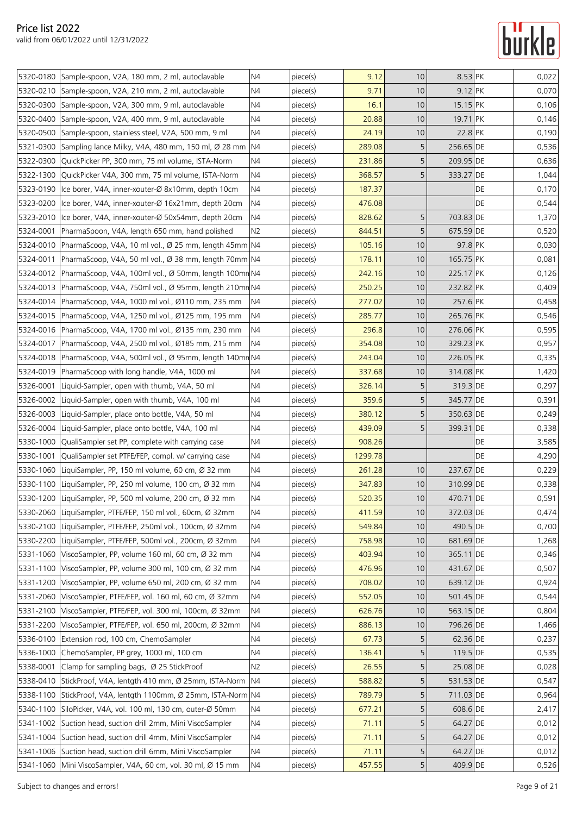|           | 5320-0180 Sample-spoon, V2A, 180 mm, 2 ml, autoclavable         | N <sub>4</sub> | piece(s) | 9.12    | 10              | 8.53 PK   |    | 0,022 |
|-----------|-----------------------------------------------------------------|----------------|----------|---------|-----------------|-----------|----|-------|
|           | 5320-0210 Sample-spoon, V2A, 210 mm, 2 ml, autoclavable         | N4             | piece(s) | 9.71    | 10              | 9.12 PK   |    | 0,070 |
| 5320-0300 | Sample-spoon, V2A, 300 mm, 9 ml, autoclavable                   | N4             | piece(s) | 16.1    | 10              | 15.15 PK  |    | 0,106 |
| 5320-0400 | Sample-spoon, V2A, 400 mm, 9 ml, autoclavable                   | N4             | piece(s) | 20.88   | 10              | 19.71 PK  |    | 0,146 |
|           | 5320-0500 Sample-spoon, stainless steel, V2A, 500 mm, 9 ml      | N4             | piece(s) | 24.19   | 10              | 22.8 PK   |    | 0,190 |
|           | 5321-0300 Sampling lance Milky, V4A, 480 mm, 150 ml, Ø 28 mm    | N4             | piece(s) | 289.08  | 5               | 256.65 DE |    | 0,536 |
|           | 5322-0300 QuickPicker PP, 300 mm, 75 ml volume, ISTA-Norm       | N <sub>4</sub> | piece(s) | 231.86  | 5               | 209.95 DE |    | 0,636 |
| 5322-1300 | QuickPicker V4A, 300 mm, 75 ml volume, ISTA-Norm                | N4             | piece(s) | 368.57  | 5               | 333.27 DE |    | 1,044 |
| 5323-0190 | Ice borer, V4A, inner-xouter-Ø 8x10mm, depth 10cm               | N4             | piece(s) | 187.37  |                 |           | DE | 0,170 |
| 5323-0200 | Ice borer, V4A, inner-xouter-Ø 16x21mm, depth 20cm              | N4             | piece(s) | 476.08  |                 |           | DE | 0,544 |
| 5323-2010 | Ice borer, V4A, inner-xouter-Ø 50x54mm, depth 20cm              | N <sub>4</sub> | piece(s) | 828.62  | 5               | 703.83 DE |    | 1,370 |
| 5324-0001 | PharmaSpoon, V4A, length 650 mm, hand polished                  | N2             | piece(s) | 844.51  | 5               | 675.59 DE |    | 0,520 |
| 5324-0010 | PharmaScoop, V4A, 10 ml vol., Ø 25 mm, length 45mm N4           |                | piece(s) | 105.16  | 10              | 97.8 PK   |    | 0,030 |
| 5324-0011 | PharmaScoop, V4A, 50 ml vol., Ø 38 mm, length 70mm N4           |                | piece(s) | 178.11  | 10              | 165.75 PK |    | 0,081 |
| 5324-0012 | PharmaScoop, V4A, 100ml vol., Ø 50mm, length 100mn N4           |                | piece(s) | 242.16  | 10              | 225.17 PK |    | 0,126 |
|           | 5324-0013 PharmaScoop, V4A, 750ml vol., Ø 95mm, length 210mn N4 |                | piece(s) | 250.25  | 10              | 232.82 PK |    | 0,409 |
|           | 5324-0014 PharmaScoop, V4A, 1000 ml vol., Ø110 mm, 235 mm       | N4             | piece(s) | 277.02  | 10              | 257.6 PK  |    | 0,458 |
|           | 5324-0015 PharmaScoop, V4A, 1250 ml vol., Ø125 mm, 195 mm       | N <sub>4</sub> | piece(s) | 285.77  | 10              | 265.76 PK |    | 0,546 |
|           | 5324-0016 PharmaScoop, V4A, 1700 ml vol., Ø135 mm, 230 mm       | N4             | piece(s) | 296.8   | 10 <sup>°</sup> | 276.06 PK |    | 0,595 |
| 5324-0017 | PharmaScoop, V4A, 2500 ml vol., Ø185 mm, 215 mm                 | N <sub>4</sub> | piece(s) | 354.08  | 10              | 329.23 PK |    | 0,957 |
|           | 5324-0018 PharmaScoop, V4A, 500ml vol., Ø 95mm, length 140mn N4 |                | piece(s) | 243.04  | 10              | 226.05 PK |    | 0,335 |
| 5324-0019 | PharmaScoop with long handle, V4A, 1000 ml                      | N4             | piece(s) | 337.68  | 10              | 314.08 PK |    | 1,420 |
| 5326-0001 | Liquid-Sampler, open with thumb, V4A, 50 ml                     | N <sub>4</sub> | piece(s) | 326.14  | 5               | 319.3 DE  |    | 0,297 |
| 5326-0002 | Liquid-Sampler, open with thumb, V4A, 100 ml                    | N <sub>4</sub> | piece(s) | 359.6   | 5               | 345.77 DE |    | 0,391 |
|           | 5326-0003 Liquid-Sampler, place onto bottle, V4A, 50 ml         | N4             | piece(s) | 380.12  | 5               | 350.63 DE |    | 0,249 |
|           | 5326-0004 Liquid-Sampler, place onto bottle, V4A, 100 ml        | N <sub>4</sub> | piece(s) | 439.09  | 5               | 399.31 DE |    | 0,338 |
| 5330-1000 | QualiSampler set PP, complete with carrying case                | N4             | piece(s) | 908.26  |                 |           | DE | 3,585 |
| 5330-1001 | QualiSampler set PTFE/FEP, compl. w/ carrying case              | N4             | piece(s) | 1299.78 |                 |           | DE | 4,290 |
|           | 5330-1060 LiquiSampler, PP, 150 ml volume, 60 cm, Ø 32 mm       | N <sub>4</sub> | piece(s) | 261.28  | 10              | 237.67 DE |    | 0,229 |
|           | 5330-1100 LiquiSampler, PP, 250 ml volume, 100 cm, Ø 32 mm      | N <sub>4</sub> | piece(s) | 347.83  | 10              | 310.99 DE |    | 0,338 |
|           | 5330-1200 LiquiSampler, PP, 500 ml volume, 200 cm, Ø 32 mm      | N <sub>4</sub> | piece(s) | 520.35  | 10              | 470.71 DE |    | 0,591 |
|           | 5330-2060 LiquiSampler, PTFE/FEP, 150 ml vol., 60cm, Ø 32mm     | N4             | piece(s) | 411.59  | 10              | 372.03 DE |    | 0,474 |
| 5330-2100 | LiquiSampler, PTFE/FEP, 250ml vol., 100cm, Ø 32mm               | N <sub>4</sub> | piece(s) | 549.84  | 10              | 490.5 DE  |    | 0,700 |
| 5330-2200 | LiquiSampler, PTFE/FEP, 500ml vol., 200cm, Ø 32mm               | N4             | piece(s) | 758.98  | 10              | 681.69 DE |    | 1,268 |
| 5331-1060 | ViscoSampler, PP, volume 160 ml, 60 cm, Ø 32 mm                 | N <sub>4</sub> | piece(s) | 403.94  | 10              | 365.11 DE |    | 0,346 |
| 5331-1100 | ViscoSampler, PP, volume 300 ml, 100 cm, Ø 32 mm                | N4             | piece(s) | 476.96  | 10              | 431.67 DE |    | 0,507 |
| 5331-1200 | ViscoSampler, PP, volume 650 ml, 200 cm, Ø 32 mm                | N4             | piece(s) | 708.02  | 10              | 639.12 DE |    | 0,924 |
| 5331-2060 | ViscoSampler, PTFE/FEP, vol. 160 ml, 60 cm, Ø 32mm              | N4             | piece(s) | 552.05  | 10              | 501.45 DE |    | 0,544 |
| 5331-2100 | ViscoSampler, PTFE/FEP, vol. 300 ml, 100cm, Ø 32mm              | N4             | piece(s) | 626.76  | 10              | 563.15 DE |    | 0,804 |
|           | 5331-2200 ViscoSampler, PTFE/FEP, vol. 650 ml, 200cm, Ø 32mm    | N <sub>4</sub> | piece(s) | 886.13  | 10              | 796.26 DE |    | 1,466 |
| 5336-0100 | Extension rod, 100 cm, ChemoSampler                             | N4             | piece(s) | 67.73   | 5               | 62.36 DE  |    | 0,237 |
| 5336-1000 | ChemoSampler, PP grey, 1000 ml, 100 cm                          | N4             | piece(s) | 136.41  | 5               | 119.5 DE  |    | 0,535 |
| 5338-0001 | Clamp for sampling bags, Ø 25 StickProof                        | N2             | piece(s) | 26.55   | 5               | 25.08 DE  |    | 0,028 |
|           | 5338-0410 StickProof, V4A, lentgth 410 mm, Ø 25mm, ISTA-Norm    | <b>N4</b>      | piece(s) | 588.82  | 5               | 531.53 DE |    | 0,547 |
|           | 5338-1100 StickProof, V4A, lentgth 1100mm, Ø 25mm, ISTA-Norm N4 |                | piece(s) | 789.79  | 5               | 711.03 DE |    | 0,964 |
|           | 5340-1100 SiloPicker, V4A, vol. 100 ml, 130 cm, outer-Ø 50mm    | N4             | piece(s) | 677.21  | 5               | 608.6 DE  |    | 2,417 |
|           | 5341-1002 Suction head, suction drill 2mm, Mini ViscoSampler    | N <sub>4</sub> | piece(s) | 71.11   | 5               | 64.27 DE  |    | 0,012 |
|           | 5341-1004 Suction head, suction drill 4mm, Mini ViscoSampler    | N <sub>4</sub> | piece(s) | 71.11   | 5               | 64.27 DE  |    | 0,012 |
|           | 5341-1006 Suction head, suction drill 6mm, Mini ViscoSampler    | N4             | piece(s) | 71.11   | 5               | 64.27 DE  |    | 0,012 |
|           | 5341-1060 Mini ViscoSampler, V4A, 60 cm, vol. 30 ml, Ø 15 mm    | N4             | piece(s) | 457.55  | 5               | 409.9 DE  |    | 0,526 |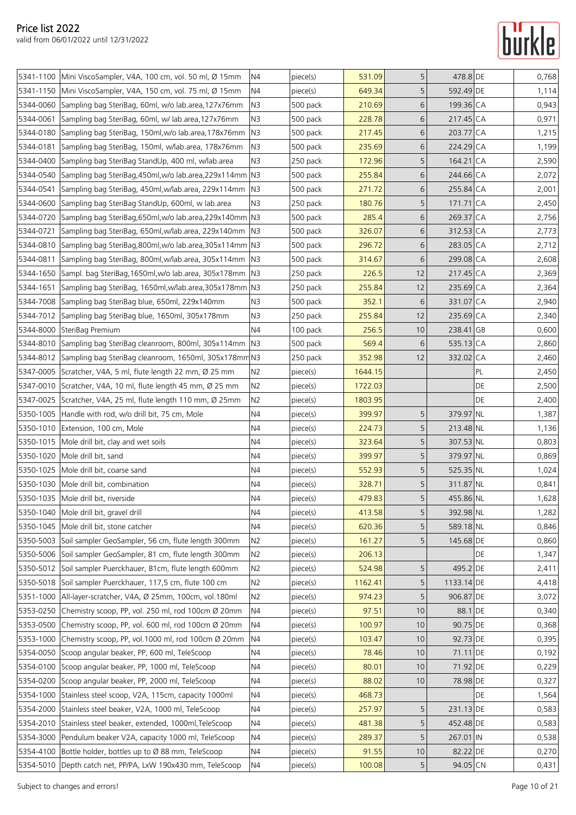### **Turkle**

|           | 5341-1100 Mini ViscoSampler, V4A, 100 cm, vol. 50 ml, Ø 15mm        | N <sub>4</sub> | piece(s) | 531.09  | 5               | 478.8 DE   |    | 0,768 |
|-----------|---------------------------------------------------------------------|----------------|----------|---------|-----------------|------------|----|-------|
|           | 5341-1150 Mini ViscoSampler, V4A, 150 cm, vol. 75 ml, Ø 15mm        | N4             | piece(s) | 649.34  | 5               | 592.49 DE  |    | 1,114 |
| 5344-0060 | Sampling bag SteriBag, 60ml, w/o lab.area, 127x76mm                 | N3             | 500 pack | 210.69  | 6               | 199.36 CA  |    | 0,943 |
| 5344-0061 | Sampling bag SteriBag, 60ml, w/ lab.area, 127x76mm                  | N <sub>3</sub> | 500 pack | 228.78  | 6               | 217.45 CA  |    | 0,971 |
| 5344-0180 | Sampling bag SteriBag, 150ml, w/o lab.area, 178x76mm                | N <sub>3</sub> | 500 pack | 217.45  | 6               | 203.77 CA  |    | 1,215 |
| 5344-0181 | Sampling bag SteriBag, 150ml, w/lab.area, 178x76mm                  | N <sub>3</sub> | 500 pack | 235.69  | 6               | 224.29 CA  |    | 1,199 |
|           | 5344-0400 Sampling bag SteriBag StandUp, 400 ml, w/lab.area         | N <sub>3</sub> | 250 pack | 172.96  | 5               | 164.21 CA  |    | 2,590 |
| 5344-0540 | Sampling bag SteriBag,450ml,w/o lab.area,229x114mm N3               |                | 500 pack | 255.84  | 6               | 244.66 CA  |    | 2,072 |
| 5344-0541 | Sampling bag SteriBag, 450ml, w/lab.area, 229x114mm                 | N <sub>3</sub> | 500 pack | 271.72  | 6               | 255.84 CA  |    | 2,001 |
| 5344-0600 | Sampling bag SteriBag StandUp, 600ml, w lab.area                    | N <sub>3</sub> | 250 pack | 180.76  | 5               | 171.71 CA  |    | 2,450 |
|           | 5344-0720 Sampling bag SteriBag, 650ml, w/o lab. area, 229x140mm N3 |                | 500 pack | 285.4   | 6               | 269.37 CA  |    | 2,756 |
| 5344-0721 | Sampling bag SteriBag, 650ml, w/lab.area, 229x140mm                 | N <sub>3</sub> | 500 pack | 326.07  | 6               | 312.53 CA  |    | 2,773 |
|           | 5344-0810 Sampling bag SteriBag, 800ml, w/o lab. area, 305x114mm N3 |                | 500 pack | 296.72  | 6               | 283.05 CA  |    | 2,712 |
| 5344-0811 | Sampling bag SteriBag, 800ml, w/lab.area, 305x114mm   N3            |                | 500 pack | 314.67  | 6               | 299.08 CA  |    | 2,608 |
| 5344-1650 | Sampl. bag SteriBag, 1650ml, w/o lab.area, 305x178mm N3             |                | 250 pack | 226.5   | 12              | 217.45 CA  |    | 2,369 |
| 5344-1651 | Sampling bag SteriBag, 1650ml, w/lab.area, 305x178mm   N3           |                | 250 pack | 255.84  | 12              | 235.69 CA  |    | 2,364 |
|           | 5344-7008 Sampling bag SteriBag blue, 650ml, 229x140mm              | N3             | 500 pack | 352.1   | 6               | 331.07 CA  |    | 2,940 |
|           | 5344-7012 Sampling bag SteriBag blue, 1650ml, 305x178mm             | N3             | 250 pack | 255.84  | 12              | 235.69 CA  |    | 2,340 |
|           | 5344-8000 SteriBag Premium                                          | N4             | 100 pack | 256.5   | 10 <sup>°</sup> | 238.41 GB  |    | 0,600 |
|           | 5344-8010 Sampling bag SteriBag cleanroom, 800ml, 305x114mm N3      |                | 500 pack | 569.4   | 6               | 535.13 CA  |    | 2,860 |
|           | 5344-8012 Sampling bag SteriBag cleanroom, 1650ml, 305x178mm N3     |                | 250 pack | 352.98  | 12              | 332.02 CA  |    | 2,460 |
|           | 5347-0005 Scratcher, V4A, 5 ml, flute length 22 mm, Ø 25 mm         | N2             | piece(s) | 1644.15 |                 |            | PL | 2,450 |
|           | 5347-0010 Scratcher, V4A, 10 ml, flute length 45 mm, Ø 25 mm        | N2             | piece(s) | 1722.03 |                 |            | DE | 2,500 |
|           | 5347-0025 Scratcher, V4A, 25 ml, flute length 110 mm, Ø 25mm        | N2             | piece(s) | 1803.95 |                 |            | DE | 2,400 |
|           | 5350-1005 Handle with rod, w/o drill bit, 75 cm, Mole               | N4             | piece(s) | 399.97  | 5               | 379.97 NL  |    | 1,387 |
|           | 5350-1010 Extension, 100 cm, Mole                                   | N <sub>4</sub> | piece(s) | 224.73  | 5               | 213.48 NL  |    | 1,136 |
|           | 5350-1015 Mole drill bit, clay and wet soils                        | N4             | piece(s) | 323.64  | 5               | 307.53 NL  |    | 0,803 |
|           | 5350-1020 Mole drill bit, sand                                      | N4             | piece(s) | 399.97  | 5               | 379.97 NL  |    | 0,869 |
|           | 5350-1025 Mole drill bit, coarse sand                               | N4             | piece(s) | 552.93  | 5               | 525.35 NL  |    | 1,024 |
|           | 5350-1030 Mole drill bit, combination                               | N4             | piece(s) | 328.71  | 5               | 311.87 NL  |    | 0,841 |
|           | 5350-1035 Mole drill bit, riverside                                 | N <sub>4</sub> | piece(s) | 479.83  | 5               | 455.86 NL  |    | 1,628 |
|           | 5350-1040 Mole drill bit, gravel drill                              | N4             | piece(s) | 413.58  | 5               | 392.98 NL  |    | 1,282 |
|           | 5350-1045 Mole drill bit, stone catcher                             | N4             | piece(s) | 620.36  | 5               | 589.18 NL  |    | 0,846 |
|           | 5350-5003 Soil sampler GeoSampler, 56 cm, flute length 300mm        | N2             | piece(s) | 161.27  | 5               | 145.68 DE  |    | 0,860 |
|           | 5350-5006 Soil sampler GeoSampler, 81 cm, flute length 300mm        | N2             | piece(s) | 206.13  |                 |            | DE | 1,347 |
|           | 5350-5012 Soil sampler Puerckhauer, 81cm, flute length 600mm        | N <sub>2</sub> | piece(s) | 524.98  | 5               | 495.2 DE   |    | 2,411 |
|           | 5350-5018 Soil sampler Puerckhauer, 117,5 cm, flute 100 cm          | N2             | piece(s) | 1162.41 | 5               | 1133.14 DE |    | 4,418 |
|           | 5351-1000   All-layer-scratcher, V4A, Ø 25mm, 100cm, vol.180ml      | N2             | piece(s) | 974.23  | 5               | 906.87 DE  |    | 3,072 |
| 5353-0250 | Chemistry scoop, PP, vol. 250 ml, rod 100cm Ø 20mm                  | N4             | piece(s) | 97.51   | 10              | 88.1 DE    |    | 0,340 |
|           | 5353-0500 Chemistry scoop, PP, vol. 600 ml, rod 100cm Ø 20mm        | N4             | piece(s) | 100.97  | 10              | 90.75 DE   |    | 0,368 |
| 5353-1000 | Chemistry scoop, PP, vol.1000 ml, rod 100cm Ø 20mm                  | N4             | piece(s) | 103.47  | 10              | 92.73 DE   |    | 0,395 |
|           | 5354-0050 Scoop angular beaker, PP, 600 ml, TeleScoop               | N4             | piece(s) | 78.46   | 10              | 71.11 DE   |    | 0,192 |
|           | 5354-0100 Scoop angular beaker, PP, 1000 ml, TeleScoop              | N4             | piece(s) | 80.01   | 10              | 71.92 DE   |    | 0,229 |
|           | 5354-0200 Scoop angular beaker, PP, 2000 ml, TeleScoop              | N4             | piece(s) | 88.02   | 10              | 78.98 DE   |    | 0,327 |
|           | 5354-1000 Stainless steel scoop, V2A, 115cm, capacity 1000ml        | N <sub>4</sub> | piece(s) | 468.73  |                 |            | DE | 1,564 |
|           | 5354-2000 Stainless steel beaker, V2A, 1000 ml, TeleScoop           | N4             | piece(s) | 257.97  | 5               | 231.13 DE  |    | 0,583 |
|           | 5354-2010 Stainless steel beaker, extended, 1000ml, TeleScoop       | N <sub>4</sub> | piece(s) | 481.38  | 5               | 452.48 DE  |    | 0,583 |
| 5354-3000 | Pendulum beaker V2A, capacity 1000 ml, TeleScoop                    | N4             | piece(s) | 289.37  | 5               | 267.01 IN  |    | 0,538 |
|           | 5354-4100 Bottle holder, bottles up to Ø 88 mm, TeleScoop           | N <sub>4</sub> | piece(s) | 91.55   | $10$            | 82.22 DE   |    | 0,270 |
|           | 5354-5010   Depth catch net, PP/PA, LxW 190x430 mm, TeleScoop       | N4             | piece(s) | 100.08  | 5               | 94.05 CN   |    | 0,431 |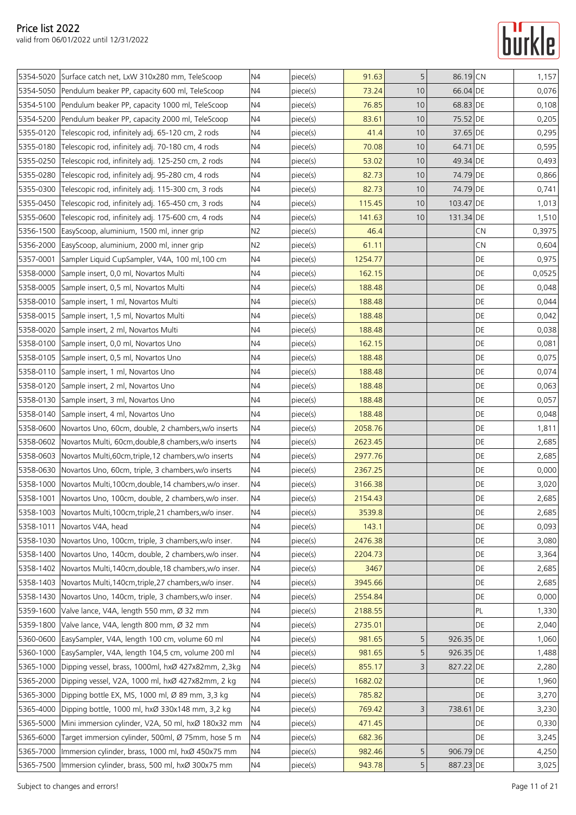|           | 5354-5020 Surface catch net, LxW 310x280 mm, TeleScoop           | N <sub>4</sub> | piece(s) | 91.63   | 5    | 86.19 CN  |           | 1,157  |
|-----------|------------------------------------------------------------------|----------------|----------|---------|------|-----------|-----------|--------|
|           | 5354-5050 Pendulum beaker PP, capacity 600 ml, TeleScoop         | N4             | piece(s) | 73.24   | 10   | 66.04 DE  |           | 0,076  |
|           | 5354-5100 Pendulum beaker PP, capacity 1000 ml, TeleScoop        | N <sub>4</sub> | piece(s) | 76.85   | $10$ | 68.83 DE  |           | 0,108  |
|           | 5354-5200 Pendulum beaker PP, capacity 2000 ml, TeleScoop        | N4             | piece(s) | 83.61   | 10   | 75.52 DE  |           | 0,205  |
| 5355-0120 | Telescopic rod, infinitely adj. 65-120 cm, 2 rods                | N4             | piece(s) | 41.4    | 10   | 37.65 DE  |           | 0,295  |
|           | 5355-0180 Telescopic rod, infinitely adj. 70-180 cm, 4 rods      | N4             | piece(s) | 70.08   | 10   | 64.71 DE  |           | 0,595  |
| 5355-0250 | Telescopic rod, infinitely adj. 125-250 cm, 2 rods               | N4             | piece(s) | 53.02   | 10   | 49.34 DE  |           | 0,493  |
| 5355-0280 | Telescopic rod, infinitely adj. 95-280 cm, 4 rods                | N4             | piece(s) | 82.73   | 10   | 74.79 DE  |           | 0,866  |
| 5355-0300 | Telescopic rod, infinitely adj. 115-300 cm, 3 rods               | N <sub>4</sub> | piece(s) | 82.73   | 10   | 74.79 DE  |           | 0,741  |
| 5355-0450 | Telescopic rod, infinitely adj. 165-450 cm, 3 rods               | N <sub>4</sub> | piece(s) | 115.45  | 10   | 103.47 DE |           | 1,013  |
|           | 5355-0600 Telescopic rod, infinitely adj. 175-600 cm, 4 rods     | N4             | piece(s) | 141.63  | 10   | 131.34 DE |           | 1,510  |
|           | 5356-1500 EasyScoop, aluminium, 1500 ml, inner grip              | N <sub>2</sub> | piece(s) | 46.4    |      |           | CN        | 0,3975 |
|           | 5356-2000 EasyScoop, aluminium, 2000 ml, inner grip              | N2             | piece(s) | 61.11   |      |           | CN        | 0,604  |
| 5357-0001 | Sampler Liquid CupSampler, V4A, 100 ml, 100 cm                   | N4             | piece(s) | 1254.77 |      |           | DE        | 0,975  |
|           | 5358-0000 Sample insert, 0,0 ml, Novartos Multi                  | N4             | piece(s) | 162.15  |      |           | DE        | 0,0525 |
|           | 5358-0005 Sample insert, 0,5 ml, Novartos Multi                  | N4             | piece(s) | 188.48  |      |           | DE        | 0,048  |
|           | 5358-0010 Sample insert, 1 ml, Novartos Multi                    | N4             | piece(s) | 188.48  |      |           | DE        | 0,044  |
|           | 5358-0015 Sample insert, 1,5 ml, Novartos Multi                  | N4             |          | 188.48  |      |           | DE        | 0,042  |
| 5358-0020 |                                                                  | N4             | piece(s) |         |      |           | DE        |        |
|           | Sample insert, 2 ml, Novartos Multi                              |                | piece(s) | 188.48  |      |           |           | 0,038  |
|           | 5358-0100 Sample insert, 0,0 ml, Novartos Uno                    | N <sub>4</sub> | piece(s) | 162.15  |      |           | DE        | 0,081  |
|           | 5358-0105 Sample insert, 0,5 ml, Novartos Uno                    | N4             | piece(s) | 188.48  |      |           | DE        | 0,075  |
|           | 5358-0110 Sample insert, 1 ml, Novartos Uno                      | N <sub>4</sub> | piece(s) | 188.48  |      |           | DE        | 0,074  |
|           | 5358-0120 Sample insert, 2 ml, Novartos Uno                      | N4             | piece(s) | 188.48  |      |           | DE        | 0,063  |
|           | 5358-0130 Sample insert, 3 ml, Novartos Uno                      | N4             | piece(s) | 188.48  |      |           | DE        | 0,057  |
|           | 5358-0140 Sample insert, 4 ml, Novartos Uno                      | N4             | piece(s) | 188.48  |      |           | DE        | 0,048  |
|           | 5358-0600 Novartos Uno, 60cm, double, 2 chambers, w/o inserts    | N4             | piece(s) | 2058.76 |      |           | DE        | 1,811  |
|           | 5358-0602 Novartos Multi, 60cm, double, 8 chambers, w/o inserts  | N4             | piece(s) | 2623.45 |      |           | DE        | 2,685  |
|           | 5358-0603 Novartos Multi, 60cm, triple, 12 chambers, w/o inserts | N4             | piece(s) | 2977.76 |      |           | DE        | 2,685  |
|           | 5358-0630 Novartos Uno, 60cm, triple, 3 chambers, w/o inserts    | N <sub>4</sub> | piece(s) | 2367.25 |      |           | DE        | 0,000  |
|           | 5358-1000 Novartos Multi, 100cm, double, 14 chambers, w/o inser. | N4             | piece(s) | 3166.38 |      |           | DE        | 3,020  |
|           | 5358-1001 Novartos Uno, 100cm, double, 2 chambers, w/o inser.    | N4             | piece(s) | 2154.43 |      |           | DE        | 2,685  |
|           | 5358-1003 Novartos Multi, 100cm, triple, 21 chambers, w/o inser. | N <sub>4</sub> | piece(s) | 3539.8  |      |           | DE        | 2,685  |
| 5358-1011 | Novartos V4A, head                                               | N4             | piece(s) | 143.1   |      |           | DE        | 0,093  |
|           | 5358-1030 Novartos Uno, 100cm, triple, 3 chambers, w/o inser.    | N <sub>4</sub> | piece(s) | 2476.38 |      |           | DE        | 3,080  |
|           | 5358-1400 Novartos Uno, 140cm, double, 2 chambers, w/o inser.    | N4             | piece(s) | 2204.73 |      |           | DE        | 3,364  |
|           | 5358-1402 Novartos Multi, 140cm, double, 18 chambers, w/o inser. | N4             | piece(s) | 3467    |      |           | DE        | 2,685  |
|           | 5358-1403 Novartos Multi, 140cm, triple, 27 chambers, w/o inser. | N4             | piece(s) | 3945.66 |      |           | DE        | 2,685  |
|           | 5358-1430 Novartos Uno, 140cm, triple, 3 chambers, w/o inser.    | N4             | piece(s) | 2554.84 |      |           | DE        | 0,000  |
| 5359-1600 | Valve lance, V4A, length 550 mm, Ø 32 mm                         | N <sub>4</sub> | piece(s) | 2188.55 |      |           | PL        | 1,330  |
| 5359-1800 | Valve lance, V4A, length 800 mm, Ø 32 mm                         | N4             | piece(s) | 2735.01 |      |           | DE        | 2,040  |
|           | 5360-0600 EasySampler, V4A, length 100 cm, volume 60 ml          | N4             | piece(s) | 981.65  | 5    | 926.35 DE |           | 1,060  |
|           | 5360-1000 EasySampler, V4A, length 104,5 cm, volume 200 ml       | N4             | piece(s) | 981.65  | 5    | 926.35 DE |           | 1,488  |
| 5365-1000 | Dipping vessel, brass, 1000ml, hxØ 427x82mm, 2,3kg               | N <sub>4</sub> | piece(s) | 855.17  | 3    | 827.22 DE |           | 2,280  |
| 5365-2000 | Dipping vessel, V2A, 1000 ml, hxØ 427x82mm, 2 kg                 | N4             | piece(s) | 1682.02 |      |           | DE        | 1,960  |
| 5365-3000 | Dipping bottle EX, MS, 1000 ml, Ø 89 mm, 3,3 kg                  | N <sub>4</sub> | piece(s) | 785.82  |      |           | DE        | 3,270  |
|           | 5365-4000 Dipping bottle, 1000 ml, hxØ 330x148 mm, 3,2 kg        | N <sub>4</sub> | piece(s) | 769.42  | 3    | 738.61 DE |           | 3,230  |
|           | 5365-5000 Mini immersion cylinder, V2A, 50 ml, hxØ 180x32 mm     | N4             | piece(s) | 471.45  |      |           | DE        | 0,330  |
|           | 5365-6000 Target immersion cylinder, 500ml, Ø 75mm, hose 5 m     | N4             | piece(s) | 682.36  |      |           | <b>DE</b> | 3,245  |
|           | 5365-7000   Immersion cylinder, brass, 1000 ml, hxØ 450x75 mm    | N4             | piece(s) | 982.46  | 5    | 906.79 DE |           | 4,250  |
|           | 5365-7500   Immersion cylinder, brass, 500 ml, hxØ 300x75 mm     | $\mathsf{N}4$  | piece(s) | 943.78  | 5    | 887.23 DE |           | 3,025  |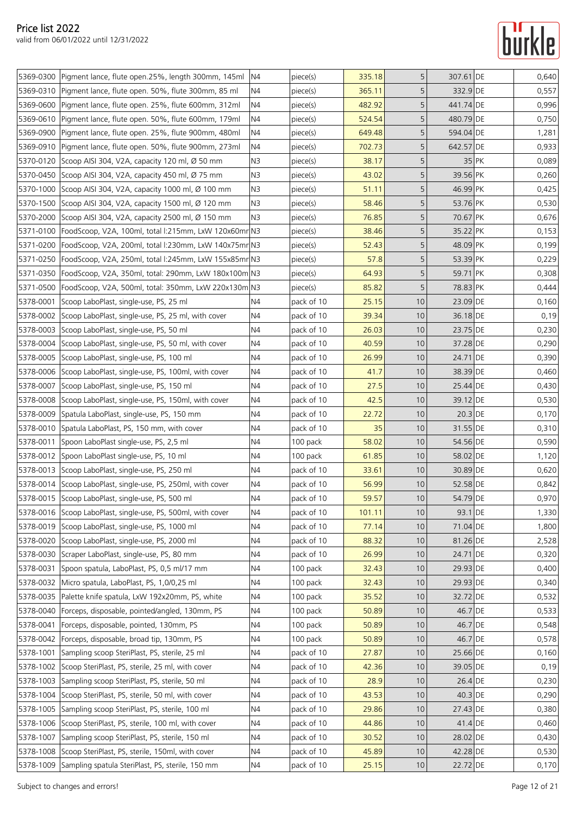|           | 5369-0300 Pigment lance, flute open.25%, length 300mm, 145ml N4    |                | piece(s)   | 335.18 | 5               | 307.61 DE |         | 0,640 |
|-----------|--------------------------------------------------------------------|----------------|------------|--------|-----------------|-----------|---------|-------|
|           | 5369-0310 Pigment lance, flute open. 50%, flute 300mm, 85 ml       | N4             | piece(s)   | 365.11 | 5               | 332.9 DE  |         | 0,557 |
|           | 5369-0600 Pigment lance, flute open. 25%, flute 600mm, 312ml       | N4             | piece(s)   | 482.92 | 5               | 441.74 DE |         | 0,996 |
|           | 5369-0610 Pigment lance, flute open. 50%, flute 600mm, 179ml       | N4             | piece(s)   | 524.54 | 5               | 480.79 DE |         | 0,750 |
|           | 5369-0900 Pigment lance, flute open. 25%, flute 900mm, 480ml       | N <sub>4</sub> | piece(s)   | 649.48 | 5               | 594.04 DE |         | 1,281 |
|           |                                                                    | N4             |            | 702.73 | 5               | 642.57 DE |         | 0,933 |
|           | 5369-0910   Pigment lance, flute open. 50%, flute 900mm, 273ml     |                | piece(s)   |        |                 |           |         |       |
|           | 5370-0120 Scoop AISI 304, V2A, capacity 120 ml, Ø 50 mm            | N <sub>3</sub> | piece(s)   | 38.17  | 5               |           | $35$ PK | 0,089 |
|           | 5370-0450 Scoop AISI 304, V2A, capacity 450 ml, Ø 75 mm            | N <sub>3</sub> | piece(s)   | 43.02  | 5               | 39.56 PK  |         | 0,260 |
|           | 5370-1000 Scoop AISI 304, V2A, capacity 1000 ml, Ø 100 mm          | N <sub>3</sub> | piece(s)   | 51.11  | 5               | 46.99 PK  |         | 0,425 |
|           | 5370-1500 Scoop AISI 304, V2A, capacity 1500 ml, Ø 120 mm          | N <sub>3</sub> | piece(s)   | 58.46  | 5               | 53.76 PK  |         | 0,530 |
|           | 5370-2000 Scoop AISI 304, V2A, capacity 2500 ml, Ø 150 mm          | N <sub>3</sub> | piece(s)   | 76.85  | 5               | 70.67 PK  |         | 0,676 |
|           | 5371-0100   FoodScoop, V2A, 100ml, total l:215mm, LxW 120x60mn N3  |                | piece(s)   | 38.46  | 5               | 35.22 PK  |         | 0,153 |
|           | 5371-0200   FoodScoop, V2A, 200ml, total l:230mm, LxW 140x75mn N3  |                | piece(s)   | 52.43  | 5               | 48.09 PK  |         | 0,199 |
|           | 5371-0250 FoodScoop, V2A, 250ml, total l:245mm, LxW 155x85mn N3    |                | piece(s)   | 57.8   | 5               | 53.39 PK  |         | 0,229 |
|           | 5371-0350   FoodScoop, V2A, 350ml, total: 290mm, LxW 180x100m   N3 |                | piece(s)   | 64.93  | 5               | 59.71 PK  |         | 0,308 |
|           | 5371-0500 FoodScoop, V2A, 500ml, total: 350mm, LxW 220x130m N3     |                | piece(s)   | 85.82  | 5               | 78.83 PK  |         | 0,444 |
| 5378-0001 | Scoop LaboPlast, single-use, PS, 25 ml                             | N4             | pack of 10 | 25.15  | 10 <sup>°</sup> | 23.09 DE  |         | 0,160 |
| 5378-0002 | Scoop LaboPlast, single-use, PS, 25 ml, with cover                 | N4             | pack of 10 | 39.34  | 10              | 36.18 DE  |         | 0,19  |
|           | 5378-0003 Scoop LaboPlast, single-use, PS, 50 ml                   | N4             | pack of 10 | 26.03  | 10              | 23.75 DE  |         | 0,230 |
|           | 5378-0004 Scoop LaboPlast, single-use, PS, 50 ml, with cover       | N4             | pack of 10 | 40.59  | 10              | 37.28 DE  |         | 0,290 |
|           | 5378-0005 Scoop LaboPlast, single-use, PS, 100 ml                  | N4             | pack of 10 | 26.99  | 10              | 24.71 DE  |         | 0,390 |
|           | 5378-0006 Scoop LaboPlast, single-use, PS, 100ml, with cover       | N4             | pack of 10 | 41.7   | 10              | 38.39 DE  |         | 0,460 |
| 5378-0007 | Scoop LaboPlast, single-use, PS, 150 ml                            | N4             | pack of 10 | 27.5   | 10              | 25.44 DE  |         | 0,430 |
|           | 5378-0008 Scoop LaboPlast, single-use, PS, 150ml, with cover       | N <sub>4</sub> | pack of 10 | 42.5   | 10              | 39.12 DE  |         | 0,530 |
|           | 5378-0009 Spatula LaboPlast, single-use, PS, 150 mm                | N4             | pack of 10 | 22.72  | 10              | $20.3$ DE |         | 0,170 |
|           | 5378-0010 Spatula LaboPlast, PS, 150 mm, with cover                | N4             | pack of 10 | 35     | 10              | 31.55 DE  |         | 0,310 |
| 5378-0011 | Spoon LaboPlast single-use, PS, 2,5 ml                             | N <sub>4</sub> | 100 pack   | 58.02  | 10              | 54.56 DE  |         | 0,590 |
| 5378-0012 | Spoon LaboPlast single-use, PS, 10 ml                              | N4             | 100 pack   | 61.85  | 10              | 58.02 DE  |         | 1,120 |
|           | 5378-0013 Scoop LaboPlast, single-use, PS, 250 ml                  | N4             | pack of 10 | 33.61  | 10              | 30.89 DE  |         | 0,620 |
|           | 5378-0014 Scoop LaboPlast, single-use, PS, 250ml, with cover       | N4             | pack of 10 | 56.99  | 10              | 52.58 DE  |         | 0,842 |
|           | 5378-0015 Scoop LaboPlast, single-use, PS, 500 ml                  | N <sub>4</sub> | pack of 10 | 59.57  | 10              | 54.79 DE  |         | 0,970 |
|           | 5378-0016 Scoop LaboPlast, single-use, PS, 500ml, with cover       | N4             | pack of 10 | 101.11 | $10$            | 93.1 DE   |         | 1,330 |
| 5378-0019 | Scoop LaboPlast, single-use, PS, 1000 ml                           | N4             | pack of 10 | 77.14  | 10              | 71.04 DE  |         | 1,800 |
|           | 5378-0020 Scoop LaboPlast, single-use, PS, 2000 ml                 | N4             | pack of 10 | 88.32  | 10              | 81.26 DE  |         | 2,528 |
|           | 5378-0030 Scraper LaboPlast, single-use, PS, 80 mm                 | N4             | pack of 10 | 26.99  | 10              | 24.71 DE  |         | 0,320 |
| 5378-0031 | Spoon spatula, LaboPlast, PS, 0.5 ml/17 mm                         | N4             | 100 pack   | 32.43  | 10 <sup>°</sup> | 29.93 DE  |         | 0,400 |
| 5378-0032 | Micro spatula, LaboPlast, PS, 1,0/0,25 ml                          | N4             | 100 pack   | 32.43  | 10              | 29.93 DE  |         | 0,340 |
|           | 5378-0035 Palette knife spatula, LxW 192x20mm, PS, white           | N4             | 100 pack   | 35.52  | 10              | 32.72 DE  |         | 0,532 |
| 5378-0040 | Forceps, disposable, pointed/angled, 130mm, PS                     | N4             | 100 pack   | 50.89  | 10              | 46.7 DE   |         | 0,533 |
| 5378-0041 | Forceps, disposable, pointed, 130mm, PS                            | N4             | 100 pack   | 50.89  | 10              | 46.7 DE   |         | 0,548 |
|           | 5378-0042 Forceps, disposable, broad tip, 130mm, PS                | N4             | 100 pack   | 50.89  | 10              | 46.7 DE   |         | 0,578 |
| 5378-1001 | Sampling scoop SteriPlast, PS, sterile, 25 ml                      | N4             | pack of 10 | 27.87  | 10              | 25.66 DE  |         | 0,160 |
| 5378-1002 | Scoop SteriPlast, PS, sterile, 25 ml, with cover                   | N4             | pack of 10 | 42.36  | 10              | 39.05 DE  |         | 0,19  |
| 5378-1003 | Sampling scoop SteriPlast, PS, sterile, 50 ml                      | N4             | pack of 10 | 28.9   | 10              | 26.4 DE   |         | 0,230 |
| 5378-1004 | Scoop SteriPlast, PS, sterile, 50 ml, with cover                   | N4             | pack of 10 | 43.53  | 10              | 40.3 DE   |         | 0,290 |
|           | 5378-1005 Sampling scoop SteriPlast, PS, sterile, 100 ml           | N4             | pack of 10 | 29.86  | 10              | 27.43 DE  |         | 0,380 |
|           | 5378-1006 Scoop SteriPlast, PS, sterile, 100 ml, with cover        | N4             | pack of 10 | 44.86  | 10              | $41.4$ DE |         | 0,460 |
| 5378-1007 | Sampling scoop SteriPlast, PS, sterile, 150 ml                     | N4             | pack of 10 | 30.52  | 10 <sup>°</sup> | 28.02 DE  |         | 0,430 |
|           | 5378-1008 Scoop SteriPlast, PS, sterile, 150ml, with cover         | N4             | pack of 10 | 45.89  | 10              | 42.28 DE  |         | 0,530 |
|           | 5378-1009 Sampling spatula SteriPlast, PS, sterile, 150 mm         | N4             | pack of 10 | 25.15  | 10 <sub>1</sub> | 22.72 DE  |         | 0,170 |
|           |                                                                    |                |            |        |                 |           |         |       |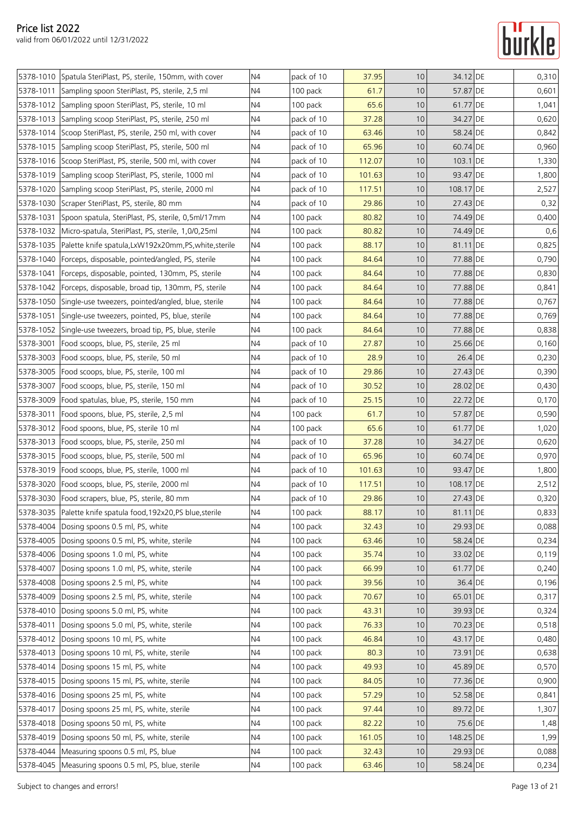

|           | 5378-1010 Spatula SteriPlast, PS, sterile, 150mm, with cover     | N4             | pack of 10 | 37.95  | 10 | 34.12 DE   | 0,310 |
|-----------|------------------------------------------------------------------|----------------|------------|--------|----|------------|-------|
| 5378-1011 | Sampling spoon SteriPlast, PS, sterile, 2,5 ml                   | N4             | 100 pack   | 61.7   | 10 | 57.87 DE   | 0,601 |
|           | 5378-1012 Sampling spoon SteriPlast, PS, sterile, 10 ml          | N4             | 100 pack   | 65.6   | 10 | 61.77 DE   | 1,041 |
| 5378-1013 | Sampling scoop SteriPlast, PS, sterile, 250 ml                   | N4             | pack of 10 | 37.28  | 10 | 34.27 DE   | 0,620 |
|           | 5378-1014 Scoop SteriPlast, PS, sterile, 250 ml, with cover      | N4             | pack of 10 | 63.46  | 10 | 58.24 DE   | 0,842 |
|           | 5378-1015 Sampling scoop SteriPlast, PS, sterile, 500 ml         | N4             | pack of 10 | 65.96  | 10 | 60.74 DE   | 0,960 |
|           | 5378-1016 Scoop SteriPlast, PS, sterile, 500 ml, with cover      | N4             | pack of 10 | 112.07 | 10 | $103.1$ DE | 1,330 |
| 5378-1019 | Sampling scoop SteriPlast, PS, sterile, 1000 ml                  | N4             | pack of 10 | 101.63 | 10 | 93.47 DE   | 1,800 |
| 5378-1020 | Sampling scoop SteriPlast, PS, sterile, 2000 ml                  | N4             | pack of 10 | 117.51 | 10 | 108.17 DE  | 2,527 |
|           | 5378-1030 Scraper SteriPlast, PS, sterile, 80 mm                 | N <sub>4</sub> | pack of 10 | 29.86  | 10 | 27.43 DE   | 0,32  |
| 5378-1031 | Spoon spatula, SteriPlast, PS, sterile, 0,5ml/17mm               | N4             | 100 pack   | 80.82  | 10 | 74.49 DE   | 0,400 |
|           | 5378-1032   Micro-spatula, SteriPlast, PS, sterile, 1,0/0,25ml   | N4             | 100 pack   | 80.82  | 10 | 74.49 DE   | 0,6   |
| 5378-1035 | Palette knife spatula, LxW192x20mm, PS, white, sterile           | N4             | 100 pack   | 88.17  | 10 | 81.11 DE   | 0,825 |
| 5378-1040 | Forceps, disposable, pointed/angled, PS, sterile                 | N4             | 100 pack   | 84.64  | 10 | 77.88 DE   | 0,790 |
| 5378-1041 | Forceps, disposable, pointed, 130mm, PS, sterile                 | N <sub>4</sub> | 100 pack   | 84.64  | 10 | 77.88 DE   | 0,830 |
|           | 5378-1042   Forceps, disposable, broad tip, 130mm, PS, sterile   | N4             | 100 pack   | 84.64  | 10 | 77.88 DE   | 0,841 |
|           | 5378-1050 Single-use tweezers, pointed/angled, blue, sterile     | N4             | 100 pack   | 84.64  | 10 | 77.88 DE   | 0,767 |
| 5378-1051 | Single-use tweezers, pointed, PS, blue, sterile                  | N4             | 100 pack   | 84.64  | 10 | 77.88 DE   | 0,769 |
| 5378-1052 | Single-use tweezers, broad tip, PS, blue, sterile                | N4             | 100 pack   | 84.64  | 10 | 77.88 DE   | 0,838 |
| 5378-3001 | Food scoops, blue, PS, sterile, 25 ml                            | N4             | pack of 10 | 27.87  | 10 | 25.66 DE   | 0,160 |
|           | 5378-3003 Food scoops, blue, PS, sterile, 50 ml                  | N4             | pack of 10 | 28.9   | 10 | 26.4 DE    | 0,230 |
| 5378-3005 | Food scoops, blue, PS, sterile, 100 ml                           | N <sub>4</sub> | pack of 10 | 29.86  | 10 | 27.43 DE   | 0,390 |
| 5378-3007 | Food scoops, blue, PS, sterile, 150 ml                           | N4             | pack of 10 | 30.52  | 10 | 28.02 DE   | 0,430 |
|           | 5378-3009   Food spatulas, blue, PS, sterile, 150 mm             | N4             | pack of 10 | 25.15  | 10 | 22.72 DE   | 0,170 |
|           | 5378-3011   Food spoons, blue, PS, sterile, 2,5 ml               | N4             | 100 pack   | 61.7   | 10 | 57.87 DE   | 0,590 |
|           | 5378-3012 Food spoons, blue, PS, sterile 10 ml                   | N4             | 100 pack   | 65.6   | 10 | 61.77 DE   | 1,020 |
|           | 5378-3013   Food scoops, blue, PS, sterile, 250 ml               | N4             | pack of 10 | 37.28  | 10 | 34.27 DE   | 0,620 |
|           | 5378-3015   Food scoops, blue, PS, sterile, 500 ml               | N4             | pack of 10 | 65.96  | 10 | 60.74 DE   | 0,970 |
|           | 5378-3019 Food scoops, blue, PS, sterile, 1000 ml                | N4             | pack of 10 | 101.63 | 10 | 93.47 DE   | 1,800 |
|           | 5378-3020 Food scoops, blue, PS, sterile, 2000 ml                | N4             | pack of 10 | 117.51 | 10 | 108.17 DE  | 2,512 |
|           | 5378-3030 Food scrapers, blue, PS, sterile, 80 mm                | N4             | pack of 10 | 29.86  | 10 | 27.43 DE   | 0,320 |
|           | 5378-3035   Palette knife spatula food, 192x20, PS blue, sterile | N4             | 100 pack   | 88.17  | 10 | 81.11 DE   | 0,833 |
| 5378-4004 | Dosing spoons 0.5 ml, PS, white                                  | N4             | 100 pack   | 32.43  | 10 | 29.93 DE   | 0,088 |
| 5378-4005 | Dosing spoons 0.5 ml, PS, white, sterile                         | N4             | 100 pack   | 63.46  | 10 | 58.24 DE   | 0,234 |
| 5378-4006 | Dosing spoons 1.0 ml, PS, white                                  | N4             | 100 pack   | 35.74  | 10 | 33.02 DE   | 0,119 |
| 5378-4007 | Dosing spoons 1.0 ml, PS, white, sterile                         | N4             | 100 pack   | 66.99  | 10 | 61.77 DE   | 0,240 |
| 5378-4008 | Dosing spoons 2.5 ml, PS, white                                  | N4             | 100 pack   | 39.56  | 10 | 36.4 DE    | 0,196 |
| 5378-4009 | Dosing spoons 2.5 ml, PS, white, sterile                         | N4             | 100 pack   | 70.67  | 10 | 65.01 DE   | 0,317 |
| 5378-4010 | Dosing spoons 5.0 ml, PS, white                                  | N4             | 100 pack   | 43.31  | 10 | 39.93 DE   | 0,324 |
| 5378-4011 | Dosing spoons 5.0 ml, PS, white, sterile                         | N4             | 100 pack   | 76.33  | 10 | 70.23 DE   | 0,518 |
| 5378-4012 | Dosing spoons 10 ml, PS, white                                   | N <sub>4</sub> | 100 pack   | 46.84  | 10 | 43.17 DE   | 0,480 |
| 5378-4013 | Dosing spoons 10 ml, PS, white, sterile                          | N4             | 100 pack   | 80.3   | 10 | 73.91 DE   | 0,638 |
| 5378-4014 | Dosing spoons 15 ml, PS, white                                   | N4             | 100 pack   | 49.93  | 10 | 45.89 DE   | 0,570 |
| 5378-4015 | Dosing spoons 15 ml, PS, white, sterile                          | N4             | 100 pack   | 84.05  | 10 | 77.36 DE   | 0,900 |
| 5378-4016 | Dosing spoons 25 ml, PS, white                                   | N4             | 100 pack   | 57.29  | 10 | 52.58 DE   | 0,841 |
| 5378-4017 | Dosing spoons 25 ml, PS, white, sterile                          | N <sub>4</sub> | 100 pack   | 97.44  | 10 | 89.72 DE   | 1,307 |
|           | 5378-4018 Dosing spoons 50 ml, PS, white                         | N4             | 100 pack   | 82.22  | 10 | 75.6 DE    | 1,48  |
| 5378-4019 | Dosing spoons 50 ml, PS, white, sterile                          | N4             | 100 pack   | 161.05 | 10 | 148.25 DE  | 1,99  |
| 5378-4044 | Measuring spoons 0.5 ml, PS, blue                                | N4             | 100 pack   | 32.43  | 10 | 29.93 DE   | 0,088 |
|           | 5378-4045   Measuring spoons 0.5 ml, PS, blue, sterile           | N4             | 100 pack   | 63.46  | 10 | 58.24 DE   | 0,234 |
|           |                                                                  |                |            |        |    |            |       |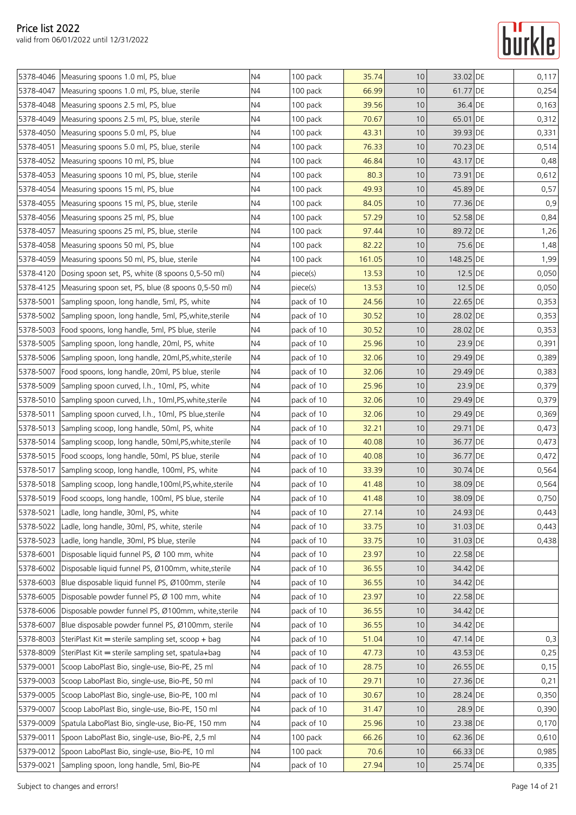|           | 5378-4046 Measuring spoons 1.0 ml, PS, blue                      | N4             | 100 pack   | 35.74  | 10 | 33.02 DE  | 0,117 |
|-----------|------------------------------------------------------------------|----------------|------------|--------|----|-----------|-------|
| 5378-4047 | Measuring spoons 1.0 ml, PS, blue, sterile                       | N4             | 100 pack   | 66.99  | 10 | 61.77 DE  | 0,254 |
| 5378-4048 | Measuring spoons 2.5 ml, PS, blue                                | N <sub>4</sub> | 100 pack   | 39.56  | 10 | 36.4 DE   | 0,163 |
| 5378-4049 | Measuring spoons 2.5 ml, PS, blue, sterile                       | N <sub>4</sub> | 100 pack   | 70.67  | 10 | 65.01 DE  | 0,312 |
| 5378-4050 | Measuring spoons 5.0 ml, PS, blue                                | N4             | 100 pack   | 43.31  | 10 | 39.93 DE  | 0,331 |
| 5378-4051 | Measuring spoons 5.0 ml, PS, blue, sterile                       | N <sub>4</sub> | 100 pack   | 76.33  | 10 | 70.23 DE  | 0,514 |
| 5378-4052 | Measuring spoons 10 ml, PS, blue                                 | N4             | 100 pack   | 46.84  | 10 | 43.17 DE  | 0,48  |
|           | 5378-4053 Measuring spoons 10 ml, PS, blue, sterile              | N4             | 100 pack   | 80.3   | 10 | 73.91 DE  | 0,612 |
| 5378-4054 | Measuring spoons 15 ml, PS, blue                                 | N <sub>4</sub> | 100 pack   | 49.93  | 10 | 45.89 DE  | 0,57  |
| 5378-4055 | Measuring spoons 15 ml, PS, blue, sterile                        | N4             | 100 pack   | 84.05  | 10 | 77.36 DE  | 0,9   |
| 5378-4056 | Measuring spoons 25 ml, PS, blue                                 | N4             | 100 pack   | 57.29  | 10 | 52.58 DE  | 0,84  |
| 5378-4057 | Measuring spoons 25 ml, PS, blue, sterile                        | N4             | 100 pack   | 97.44  | 10 | 89.72 DE  | 1,26  |
|           | 5378-4058   Measuring spoons 50 ml, PS, blue                     | N <sub>4</sub> | 100 pack   | 82.22  | 10 | 75.6 DE   | 1,48  |
| 5378-4059 | Measuring spoons 50 ml, PS, blue, sterile                        | N4             | 100 pack   | 161.05 | 10 | 148.25 DE | 1,99  |
| 5378-4120 | Dosing spoon set, PS, white (8 spoons 0,5-50 ml)                 | N4             | piece(s)   | 13.53  | 10 | $12.5$ DE | 0,050 |
| 5378-4125 | Measuring spoon set, PS, blue (8 spoons 0,5-50 ml)               | N <sub>4</sub> | piece(s)   | 13.53  | 10 | $12.5$ DE | 0,050 |
| 5378-5001 | Sampling spoon, long handle, 5ml, PS, white                      | N4             | pack of 10 | 24.56  | 10 | 22.65 DE  | 0,353 |
| 5378-5002 | Sampling spoon, long handle, 5ml, PS, white, sterile             | N <sub>4</sub> | pack of 10 | 30.52  | 10 | 28.02 DE  | 0,353 |
|           | 5378-5003   Food spoons, long handle, 5ml, PS blue, sterile      | N4             | pack of 10 | 30.52  | 10 | 28.02 DE  | 0,353 |
| 5378-5005 | Sampling spoon, long handle, 20ml, PS, white                     | N4             | pack of 10 | 25.96  | 10 | 23.9 DE   | 0,391 |
| 5378-5006 | Sampling spoon, long handle, 20ml, PS, white, sterile            | N4             | pack of 10 | 32.06  | 10 | 29.49 DE  | 0,389 |
| 5378-5007 | Food spoons, long handle, 20ml, PS blue, sterile                 | N4             | pack of 10 | 32.06  | 10 | 29.49 DE  | 0,383 |
| 5378-5009 | Sampling spoon curved, l.h., 10ml, PS, white                     | N4             | pack of 10 | 25.96  | 10 | $23.9$ DE | 0,379 |
|           | 5378-5010 Sampling spoon curved, I.h., 10ml, PS, white, sterile  | N4             | pack of 10 | 32.06  | 10 | 29.49 DE  | 0,379 |
| 5378-5011 | Sampling spoon curved, l.h., 10ml, PS blue, sterile              | N <sub>4</sub> | pack of 10 | 32.06  | 10 | 29.49 DE  | 0,369 |
| 5378-5013 | Sampling scoop, long handle, 50ml, PS, white                     | N4             | pack of 10 | 32.21  | 10 | 29.71 DE  | 0,473 |
| 5378-5014 | Sampling scoop, long handle, 50ml, PS, white, sterile            | N4             | pack of 10 | 40.08  | 10 | 36.77 DE  | 0,473 |
| 5378-5015 | Food scoops, long handle, 50ml, PS blue, sterile                 | N4             | pack of 10 | 40.08  | 10 | 36.77 DE  | 0,472 |
| 5378-5017 | Sampling scoop, long handle, 100ml, PS, white                    | N4             | pack of 10 | 33.39  | 10 | 30.74 DE  | 0,564 |
|           | 5378-5018 Sampling scoop, long handle, 100ml, PS, white, sterile | N4             | pack of 10 | 41.48  | 10 | 38.09 DE  | 0,564 |
|           | 5378-5019   Food scoops, long handle, 100ml, PS blue, sterile    | N <sub>4</sub> | pack of 10 | 41.48  | 10 | 38.09 DE  | 0,750 |
|           | 5378-5021 Ladle, long handle, 30ml, PS, white                    | N4             | pack of 10 | 27.14  | 10 | 24.93 DE  | 0,443 |
| 5378-5022 | Ladle, long handle, 30ml, PS, white, sterile                     | N4             | pack of 10 | 33.75  | 10 | 31.03 DE  | 0,443 |
| 5378-5023 | Ladle, long handle, 30ml, PS blue, sterile                       | N4             | pack of 10 | 33.75  | 10 | 31.03 DE  | 0,438 |
| 5378-6001 | Disposable liquid funnel PS, Ø 100 mm, white                     | N <sub>4</sub> | pack of 10 | 23.97  | 10 | 22.58 DE  |       |
| 5378-6002 | Disposable liquid funnel PS, Ø100mm, white, sterile              | N4             | pack of 10 | 36.55  | 10 | 34.42 DE  |       |
| 5378-6003 | Blue disposable liquid funnel PS, Ø100mm, sterile                | N4             | pack of 10 | 36.55  | 10 | 34.42 DE  |       |
| 5378-6005 | Disposable powder funnel PS, Ø 100 mm, white                     | N4             | pack of 10 | 23.97  | 10 | 22.58 DE  |       |
| 5378-6006 | Disposable powder funnel PS, Ø100mm, white, sterile              | N4             | pack of 10 | 36.55  | 10 | 34.42 DE  |       |
| 5378-6007 | Blue disposable powder funnel PS, Ø100mm, sterile                | N4             | pack of 10 | 36.55  | 10 | 34.42 DE  |       |
| 5378-8003 | SteriPlast Kit = sterile sampling set, scoop + bag               | N4             | pack of 10 | 51.04  | 10 | 47.14 DE  | 0,3   |
| 5378-8009 | SteriPlast Kit = sterile sampling set, spatula+bag               | N4             | pack of 10 | 47.73  | 10 | 43.53 DE  | 0,25  |
| 5379-0001 | Scoop LaboPlast Bio, single-use, Bio-PE, 25 ml                   | N4             | pack of 10 | 28.75  | 10 | 26.55 DE  | 0,15  |
| 5379-0003 | Scoop LaboPlast Bio, single-use, Bio-PE, 50 ml                   | N4             | pack of 10 | 29.71  | 10 | 27.36 DE  | 0,21  |
| 5379-0005 | Scoop LaboPlast Bio, single-use, Bio-PE, 100 ml                  | N4             | pack of 10 | 30.67  | 10 | 28.24 DE  | 0,350 |
| 5379-0007 | Scoop LaboPlast Bio, single-use, Bio-PE, 150 ml                  | N4             | pack of 10 | 31.47  | 10 | 28.9 DE   | 0,390 |
| 5379-0009 | Spatula LaboPlast Bio, single-use, Bio-PE, 150 mm                | N4             | pack of 10 | 25.96  | 10 | 23.38 DE  | 0,170 |
| 5379-0011 | Spoon LaboPlast Bio, single-use, Bio-PE, 2,5 ml                  | N4             | 100 pack   | 66.26  | 10 | 62.36 DE  | 0,610 |
| 5379-0012 | Spoon LaboPlast Bio, single-use, Bio-PE, 10 ml                   | N4             | 100 pack   | 70.6   | 10 | 66.33 DE  | 0,985 |
| 5379-0021 | Sampling spoon, long handle, 5ml, Bio-PE                         | N4             | pack of 10 | 27.94  | 10 | 25.74 DE  | 0,335 |
|           |                                                                  |                |            |        |    |           |       |

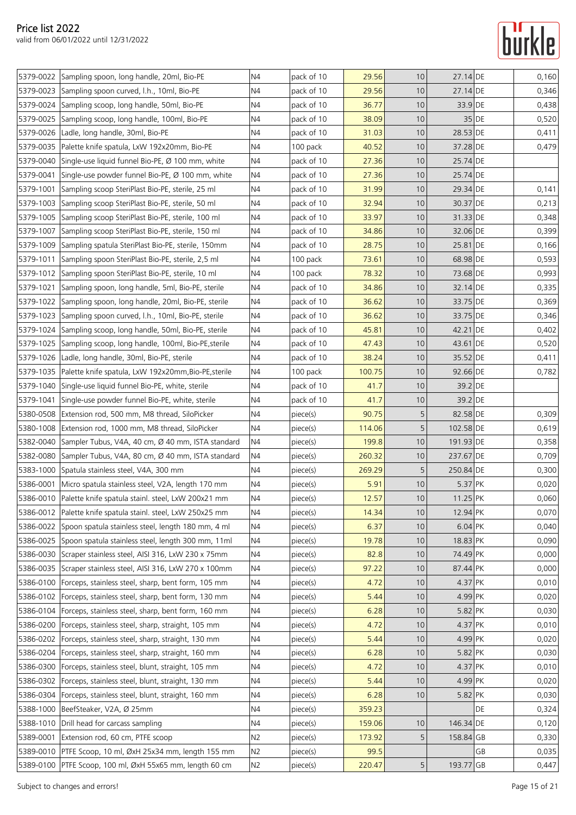|           | 5379-0022 Sampling spoon, long handle, 20ml, Bio-PE              | N4             | pack of 10 | 29.56  | 10 | 27.14 DE   |       | 0,160 |
|-----------|------------------------------------------------------------------|----------------|------------|--------|----|------------|-------|-------|
|           | 5379-0023 Sampling spoon curved, I.h., 10ml, Bio-PE              | N4             | pack of 10 | 29.56  | 10 | 27.14 DE   |       | 0,346 |
|           | 5379-0024 Sampling scoop, long handle, 50ml, Bio-PE              | N4             | pack of 10 | 36.77  | 10 | 33.9 DE    |       | 0,438 |
|           | 5379-0025 Sampling scoop, long handle, 100ml, Bio-PE             | N4             | pack of 10 | 38.09  | 10 |            | 35 DE | 0,520 |
|           | 5379-0026 Ladle, long handle, 30ml, Bio-PE                       | N4             | pack of 10 | 31.03  | 10 | 28.53 DE   |       | 0,411 |
| 5379-0035 | Palette knife spatula, LxW 192x20mm, Bio-PE                      | N4             | 100 pack   | 40.52  | 10 | 37.28 DE   |       | 0,479 |
|           | 5379-0040 Single-use liquid funnel Bio-PE, Ø 100 mm, white       | N4             | pack of 10 | 27.36  | 10 | 25.74 DE   |       |       |
| 5379-0041 | Single-use powder funnel Bio-PE, Ø 100 mm, white                 | N <sub>4</sub> | pack of 10 | 27.36  | 10 | 25.74 DE   |       |       |
| 5379-1001 | Sampling scoop SteriPlast Bio-PE, sterile, 25 ml                 | N4             | pack of 10 | 31.99  | 10 | 29.34 DE   |       | 0,141 |
|           | 5379-1003 Sampling scoop SteriPlast Bio-PE, sterile, 50 ml       | N4             | pack of 10 | 32.94  | 10 | 30.37 DE   |       | 0,213 |
|           | 5379-1005 Sampling scoop SteriPlast Bio-PE, sterile, 100 ml      | N4             | pack of 10 | 33.97  | 10 | 31.33 DE   |       | 0,348 |
|           | 5379-1007 Sampling scoop SteriPlast Bio-PE, sterile, 150 ml      | N4             | pack of 10 | 34.86  | 10 | 32.06 DE   |       | 0,399 |
| 5379-1009 | Sampling spatula SteriPlast Bio-PE, sterile, 150mm               | N4             | pack of 10 | 28.75  | 10 | 25.81 DE   |       | 0,166 |
| 5379-1011 | Sampling spoon SteriPlast Bio-PE, sterile, 2,5 ml                | N4             | 100 pack   | 73.61  | 10 | 68.98 DE   |       | 0,593 |
|           | 5379-1012 Sampling spoon SteriPlast Bio-PE, sterile, 10 ml       | N <sub>4</sub> | 100 pack   | 78.32  | 10 | 73.68 DE   |       | 0,993 |
| 5379-1021 | Sampling spoon, long handle, 5ml, Bio-PE, sterile                | N4             | pack of 10 | 34.86  | 10 | 32.14 DE   |       | 0,335 |
|           | 5379-1022 Sampling spoon, long handle, 20ml, Bio-PE, sterile     | N4             | pack of 10 | 36.62  | 10 | 33.75 DE   |       | 0,369 |
|           | 5379-1023 Sampling spoon curved, I.h., 10ml, Bio-PE, sterile     | N4             | pack of 10 | 36.62  | 10 | 33.75 DE   |       | 0,346 |
|           | 5379-1024 Sampling scoop, long handle, 50ml, Bio-PE, sterile     | N <sub>4</sub> | pack of 10 | 45.81  | 10 | 42.21 DE   |       | 0,402 |
|           | 5379-1025 Sampling scoop, long handle, 100ml, Bio-PE, sterile    | N <sub>4</sub> | pack of 10 | 47.43  | 10 | 43.61 DE   |       | 0,520 |
|           | 5379-1026 Ladle, long handle, 30ml, Bio-PE, sterile              | N4             | pack of 10 | 38.24  | 10 | 35.52 DE   |       | 0,411 |
|           | 5379-1035   Palette knife spatula, LxW 192x20mm, Bio-PE, sterile | N <sub>4</sub> | 100 pack   | 100.75 | 10 | 92.66 DE   |       | 0,782 |
| 5379-1040 | Single-use liquid funnel Bio-PE, white, sterile                  | N4             | pack of 10 | 41.7   | 10 | 39.2 DE    |       |       |
| 5379-1041 | Single-use powder funnel Bio-PE, white, sterile                  | N4             | pack of 10 | 41.7   | 10 | 39.2 DE    |       |       |
|           | 5380-0508 Extension rod, 500 mm, M8 thread, SiloPicker           | N4             | piece(s)   | 90.75  | 5  | 82.58 DE   |       | 0,309 |
|           | 5380-1008 Extension rod, 1000 mm, M8 thread, SiloPicker          | N4             | piece(s)   | 114.06 | 5  | 102.58 DE  |       | 0,619 |
|           | 5382-0040 Sampler Tubus, V4A, 40 cm, Ø 40 mm, ISTA standard      | N4             | piece(s)   | 199.8  | 10 | 191.93 DE  |       | 0,358 |
|           | 5382-0080 Sampler Tubus, V4A, 80 cm, Ø 40 mm, ISTA standard      | N4             | piece(s)   | 260.32 | 10 | 237.67 DE  |       | 0,709 |
|           | 5383-1000 Spatula stainless steel, V4A, 300 mm                   | N4             | piece(s)   | 269.29 | 5  | 250.84 DE  |       | 0,300 |
|           | 5386-0001 Micro spatula stainless steel, V2A, length 170 mm      | N4             | piece(s)   | 5.91   | 10 | 5.37 PK    |       | 0,020 |
|           | 5386-0010 Palette knife spatula stainl. steel, LxW 200x21 mm     | N4             | piece(s)   | 12.57  | 10 | $11.25$ PK |       | 0,060 |
|           | 5386-0012 Palette knife spatula stainl. steel, LxW 250x25 mm     | N <sub>4</sub> | piece(s)   | 14.34  | 10 | 12.94 PK   |       | 0,070 |
| 5386-0022 | Spoon spatula stainless steel, length 180 mm, 4 ml               | N4             | piece(s)   | 6.37   | 10 | 6.04 PK    |       | 0,040 |
|           | 5386-0025 Spoon spatula stainless steel, length 300 mm, 11ml     | N <sub>4</sub> | piece(s)   | 19.78  | 10 | 18.83 PK   |       | 0,090 |
| 5386-0030 | Scraper stainless steel, AISI 316, LxW 230 x 75mm                | N4             | piece(s)   | 82.8   | 10 | 74.49 PK   |       | 0,000 |
|           | 5386-0035 Scraper stainless steel, AISI 316, LxW 270 x 100mm     | N <sub>4</sub> | piece(s)   | 97.22  | 10 | 87.44 PK   |       | 0,000 |
|           | 5386-0100 Forceps, stainless steel, sharp, bent form, 105 mm     | N4             | piece(s)   | 4.72   | 10 | 4.37 PK    |       | 0,010 |
| 5386-0102 | Forceps, stainless steel, sharp, bent form, 130 mm               | N <sub>4</sub> | piece(s)   | 5.44   | 10 | 4.99 PK    |       | 0,020 |
| 5386-0104 | Forceps, stainless steel, sharp, bent form, 160 mm               | N4             | piece(s)   | 6.28   | 10 | 5.82 PK    |       | 0,030 |
| 5386-0200 | Forceps, stainless steel, sharp, straight, 105 mm                | N4             | piece(s)   | 4.72   | 10 | 4.37 PK    |       | 0,010 |
|           | 5386-0202   Forceps, stainless steel, sharp, straight, 130 mm    | N <sub>4</sub> | piece(s)   | 5.44   | 10 | 4.99 PK    |       | 0,020 |
|           | 5386-0204 Forceps, stainless steel, sharp, straight, 160 mm      | N4             | piece(s)   | 6.28   | 10 | 5.82 PK    |       | 0,030 |
|           | 5386-0300 Forceps, stainless steel, blunt, straight, 105 mm      | N <sub>4</sub> | piece(s)   | 4.72   | 10 | 4.37 PK    |       | 0,010 |
| 5386-0302 | Forceps, stainless steel, blunt, straight, 130 mm                | N4             | piece(s)   | 5.44   | 10 | 4.99 PK    |       | 0,020 |
| 5386-0304 | Forceps, stainless steel, blunt, straight, 160 mm                | N4             | piece(s)   | 6.28   | 10 | 5.82 PK    |       | 0,030 |
|           | 5388-1000 BeefSteaker, V2A, Ø 25mm                               | N4             | piece(s)   | 359.23 |    |            | DE    | 0,324 |
|           | 5388-1010 Drill head for carcass sampling                        | N4             | piece(s)   | 159.06 | 10 | 146.34 DE  |       | 0,120 |
| 5389-0001 | Extension rod, 60 cm, PTFE scoop                                 | N2             | piece(s)   | 173.92 | 5  | 158.84 GB  |       | 0,330 |
|           | 5389-0010 PTFE Scoop, 10 ml, ØxH 25x34 mm, length 155 mm         | N2             | piece(s)   | 99.5   |    |            | GВ    | 0,035 |
|           | 5389-0100 PTFE Scoop, 100 ml, ØxH 55x65 mm, length 60 cm         | N2             | piece(s)   | 220.47 | 5  | 193.77 GB  |       | 0,447 |
|           |                                                                  |                |            |        |    |            |       |       |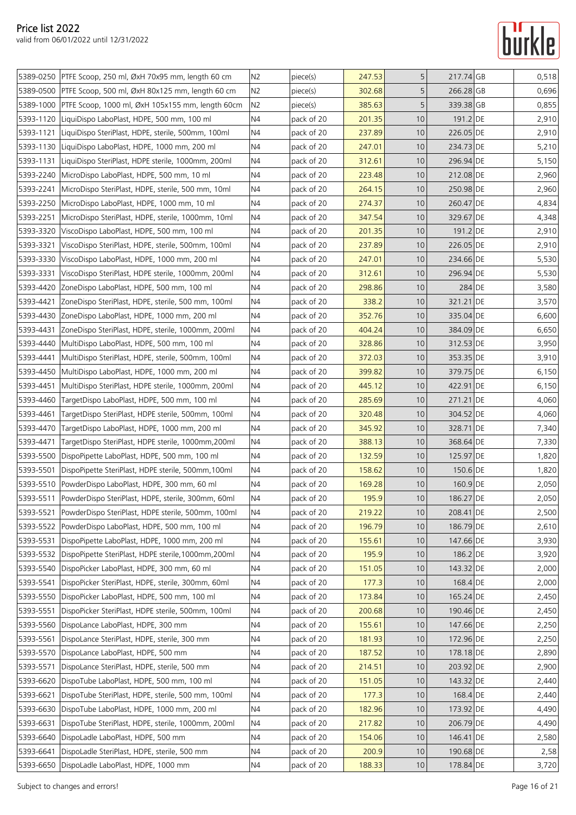|           | 5389-0250 PTFE Scoop, 250 ml, ØxH 70x95 mm, length 60 cm     | N2             | piece(s)   | 247.53 | 5               | 217.74 GB | 0,518 |
|-----------|--------------------------------------------------------------|----------------|------------|--------|-----------------|-----------|-------|
|           | 5389-0500 PTFE Scoop, 500 ml, ØxH 80x125 mm, length 60 cm    | N2             | piece(s)   | 302.68 | 5               | 266.28 GB | 0,696 |
| 5389-1000 | PTFE Scoop, 1000 ml, ØxH 105x155 mm, length 60cm             | N2             | piece(s)   | 385.63 | 5               | 339.38 GB | 0,855 |
|           | 5393-1120 LiquiDispo LaboPlast, HDPE, 500 mm, 100 ml         | N4             | pack of 20 | 201.35 | 10              | 191.2 DE  | 2,910 |
| 5393-1121 | LiquiDispo SteriPlast, HDPE, sterile, 500mm, 100ml           | N4             | pack of 20 | 237.89 | 10              | 226.05 DE | 2,910 |
| 5393-1130 | LiquiDispo LaboPlast, HDPE, 1000 mm, 200 ml                  | N4             | pack of 20 | 247.01 | 10              | 234.73 DE | 5,210 |
| 5393-1131 | LiquiDispo SteriPlast, HDPE sterile, 1000mm, 200ml           | N <sub>4</sub> | pack of 20 | 312.61 | 10              | 296.94 DE | 5,150 |
| 5393-2240 | MicroDispo LaboPlast, HDPE, 500 mm, 10 ml                    | N4             | pack of 20 | 223.48 | 10              | 212.08 DE | 2,960 |
| 5393-2241 | MicroDispo SteriPlast, HDPE, sterile, 500 mm, 10ml           | N4             | pack of 20 | 264.15 | 10              | 250.98 DE | 2,960 |
| 5393-2250 | MicroDispo LaboPlast, HDPE, 1000 mm, 10 ml                   | N <sub>4</sub> | pack of 20 | 274.37 | 10              | 260.47 DE | 4,834 |
| 5393-2251 | MicroDispo SteriPlast, HDPE, sterile, 1000mm, 10ml           | N4             | pack of 20 | 347.54 | 10              | 329.67 DE | 4,348 |
| 5393-3320 | ViscoDispo LaboPlast, HDPE, 500 mm, 100 ml                   | N <sub>4</sub> | pack of 20 | 201.35 | 10              | 191.2 DE  | 2,910 |
| 5393-3321 | ViscoDispo SteriPlast, HDPE, sterile, 500mm, 100ml           | N <sub>4</sub> | pack of 20 | 237.89 | 10              | 226.05 DE | 2,910 |
| 5393-3330 | ViscoDispo LaboPlast, HDPE, 1000 mm, 200 ml                  | N <sub>4</sub> | pack of 20 | 247.01 | 10              | 234.66 DE | 5,530 |
| 5393-3331 | ViscoDispo SteriPlast, HDPE sterile, 1000mm, 200ml           | N4             | pack of 20 | 312.61 | 10              | 296.94 DE | 5,530 |
| 5393-4420 | ZoneDispo LaboPlast, HDPE, 500 mm, 100 ml                    | N <sub>4</sub> | pack of 20 | 298.86 | 10              | 284 DE    | 3,580 |
| 5393-4421 | ZoneDispo SteriPlast, HDPE, sterile, 500 mm, 100ml           | N <sub>4</sub> | pack of 20 | 338.2  | 10              | 321.21 DE | 3,570 |
| 5393-4430 | ZoneDispo LaboPlast, HDPE, 1000 mm, 200 ml                   | N <sub>4</sub> | pack of 20 | 352.76 | 10              | 335.04 DE | 6,600 |
| 5393-4431 | ZoneDispo SteriPlast, HDPE, sterile, 1000mm, 200ml           | N <sub>4</sub> | pack of 20 | 404.24 | 10              | 384.09 DE | 6,650 |
| 5393-4440 | MultiDispo LaboPlast, HDPE, 500 mm, 100 ml                   | N4             | pack of 20 | 328.86 | 10              | 312.53 DE | 3,950 |
| 5393-4441 | MultiDispo SteriPlast, HDPE, sterile, 500mm, 100ml           | N4             | pack of 20 | 372.03 | 10              | 353.35 DE | 3,910 |
| 5393-4450 | MultiDispo LaboPlast, HDPE, 1000 mm, 200 ml                  | N4             | pack of 20 | 399.82 | 10              | 379.75 DE | 6,150 |
| 5393-4451 | MultiDispo SteriPlast, HDPE sterile, 1000mm, 200ml           | N <sub>4</sub> | pack of 20 | 445.12 | 10              | 422.91 DE | 6,150 |
| 5393-4460 | TargetDispo LaboPlast, HDPE, 500 mm, 100 ml                  | N4             | pack of 20 | 285.69 | 10              | 271.21 DE | 4,060 |
| 5393-4461 | TargetDispo SteriPlast, HDPE sterile, 500mm, 100ml           | N4             | pack of 20 | 320.48 | 10              | 304.52 DE | 4,060 |
| 5393-4470 | TargetDispo LaboPlast, HDPE, 1000 mm, 200 ml                 | N <sub>4</sub> | pack of 20 | 345.92 | 10              | 328.71 DE | 7,340 |
| 5393-4471 | TargetDispo SteriPlast, HDPE sterile, 1000mm,200ml           | N4             | pack of 20 | 388.13 | 10              | 368.64 DE | 7,330 |
| 5393-5500 | DispoPipette LaboPlast, HDPE, 500 mm, 100 ml                 | N <sub>4</sub> | pack of 20 | 132.59 | 10              | 125.97 DE | 1,820 |
| 5393-5501 | DispoPipette SteriPlast, HDPE sterile, 500mm, 100ml          | N <sub>4</sub> | pack of 20 | 158.62 | 10              | 150.6 DE  | 1,820 |
|           | 5393-5510 PowderDispo LaboPlast, HDPE, 300 mm, 60 ml         | N <sub>4</sub> | pack of 20 | 169.28 | 10              | 160.9 DE  | 2,050 |
|           | 5393-5511 PowderDispo SteriPlast, HDPE, sterile, 300mm, 60ml | N <sub>4</sub> | pack of 20 | 195.9  | 10              | 186.27 DE | 2,050 |
| 5393-5521 | PowderDispo SteriPlast, HDPE sterile, 500mm, 100ml           | N <sub>4</sub> | pack of 20 | 219.22 | 10 <sup>°</sup> | 208.41 DE | 2,500 |
| 5393-5522 | PowderDispo LaboPlast, HDPE, 500 mm, 100 ml                  | N <sub>4</sub> | pack of 20 | 196.79 | 10              | 186.79 DE | 2,610 |
| 5393-5531 | DispoPipette LaboPlast, HDPE, 1000 mm, 200 ml                | N4             | pack of 20 | 155.61 | 10              | 147.66 DE | 3,930 |
| 5393-5532 | DispoPipette SteriPlast, HDPE sterile, 1000mm, 200ml         | N <sub>4</sub> | pack of 20 | 195.9  | 10              | 186.2 DE  | 3,920 |
| 5393-5540 | DispoPicker LaboPlast, HDPE, 300 mm, 60 ml                   | N4             | pack of 20 | 151.05 | 10              | 143.32 DE | 2,000 |
| 5393-5541 | DispoPicker SteriPlast, HDPE, sterile, 300mm, 60ml           | N <sub>4</sub> | pack of 20 | 177.3  | 10              | 168.4 DE  | 2,000 |
| 5393-5550 | DispoPicker LaboPlast, HDPE, 500 mm, 100 ml                  | N <sub>4</sub> | pack of 20 | 173.84 | 10 <sup>°</sup> | 165.24 DE | 2,450 |
| 5393-5551 | DispoPicker SteriPlast, HDPE sterile, 500mm, 100ml           | N4             | pack of 20 | 200.68 | 10              | 190.46 DE | 2,450 |
| 5393-5560 | DispoLance LaboPlast, HDPE, 300 mm                           | N <sub>4</sub> | pack of 20 | 155.61 | 10              | 147.66 DE | 2,250 |
| 5393-5561 | DispoLance SteriPlast, HDPE, sterile, 300 mm                 | N4             | pack of 20 | 181.93 | 10              | 172.96 DE | 2,250 |
| 5393-5570 | DispoLance LaboPlast, HDPE, 500 mm                           | N4             | pack of 20 | 187.52 | 10              | 178.18 DE | 2,890 |
| 5393-5571 | DispoLance SteriPlast, HDPE, sterile, 500 mm                 | N4             | pack of 20 | 214.51 | 10              | 203.92 DE | 2,900 |
| 5393-6620 | DispoTube LaboPlast, HDPE, 500 mm, 100 ml                    | N4             | pack of 20 | 151.05 | 10              | 143.32 DE | 2,440 |
| 5393-6621 | DispoTube SteriPlast, HDPE, sterile, 500 mm, 100ml           | N <sub>4</sub> | pack of 20 | 177.3  | 10 <sup>°</sup> | 168.4 DE  | 2,440 |
| 5393-6630 | DispoTube LaboPlast, HDPE, 1000 mm, 200 ml                   | N4             | pack of 20 | 182.96 | 10              | 173.92 DE | 4,490 |
| 5393-6631 | DispoTube SteriPlast, HDPE, sterile, 1000mm, 200ml           | N <sub>4</sub> | pack of 20 | 217.82 | 10              | 206.79 DE | 4,490 |
| 5393-6640 | DispoLadle LaboPlast, HDPE, 500 mm                           | N4             | pack of 20 | 154.06 | 10              | 146.41 DE | 2,580 |
| 5393-6641 | DispoLadle SteriPlast, HDPE, sterile, 500 mm                 | N4             | pack of 20 | 200.9  | 10              | 190.68 DE | 2,58  |
|           | 5393-6650 DispoLadle LaboPlast, HDPE, 1000 mm                | N4             | pack of 20 | 188.33 | 10 <sup>°</sup> | 178.84 DE | 3,720 |
|           |                                                              |                |            |        |                 |           |       |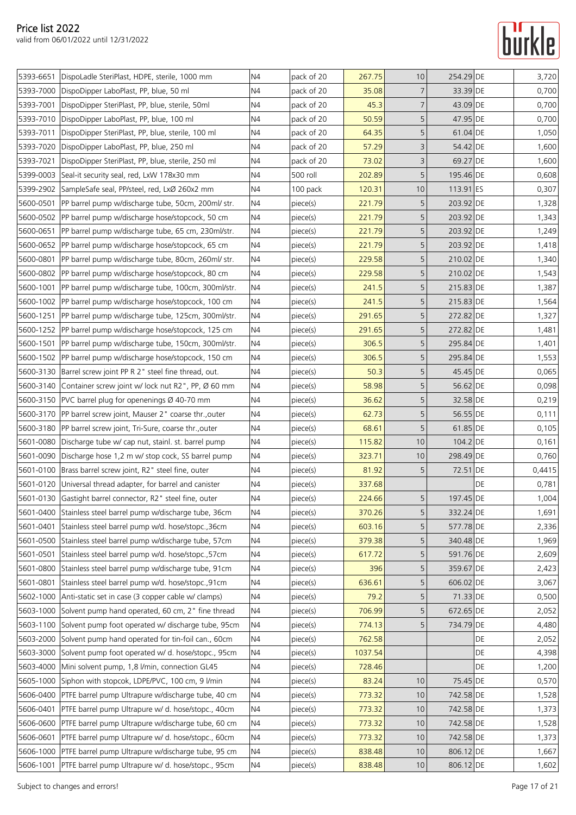| 5393-6651 | DispoLadle SteriPlast, HDPE, sterile, 1000 mm                   | N <sub>4</sub> | pack of 20 | 267.75  | 10             | 254.29 DE |    | 3,720  |
|-----------|-----------------------------------------------------------------|----------------|------------|---------|----------------|-----------|----|--------|
| 5393-7000 | DispoDipper LaboPlast, PP, blue, 50 ml                          | N4             | pack of 20 | 35.08   | $\overline{7}$ | 33.39 DE  |    | 0,700  |
| 5393-7001 | DispoDipper SteriPlast, PP, blue, sterile, 50ml                 | N4             | pack of 20 | 45.3    | $\overline{7}$ | 43.09 DE  |    | 0,700  |
| 5393-7010 | DispoDipper LaboPlast, PP, blue, 100 ml                         | N4             | pack of 20 | 50.59   | 5              | 47.95 DE  |    | 0,700  |
| 5393-7011 | DispoDipper SteriPlast, PP, blue, sterile, 100 ml               | N4             | pack of 20 | 64.35   | 5              | 61.04 DE  |    | 1,050  |
| 5393-7020 | DispoDipper LaboPlast, PP, blue, 250 ml                         | N4             | pack of 20 | 57.29   | $\mathsf 3$    | 54.42 DE  |    | 1,600  |
| 5393-7021 | DispoDipper SteriPlast, PP, blue, sterile, 250 ml               | N4             | pack of 20 | 73.02   | 3              | 69.27 DE  |    | 1,600  |
| 5399-0003 | Seal-it security seal, red, LxW 178x30 mm                       | N4             | 500 roll   | 202.89  | 5              | 195.46 DE |    | 0,608  |
| 5399-2902 | SampleSafe seal, PP/steel, red, LxØ 260x2 mm                    | N4             | 100 pack   | 120.31  | 10             | 113.91 ES |    | 0,307  |
| 5600-0501 | PP barrel pump w/discharge tube, 50cm, 200ml/ str.              | N4             | piece(s)   | 221.79  | 5              | 203.92 DE |    | 1,328  |
| 5600-0502 | PP barrel pump w/discharge hose/stopcock, 50 cm                 | N4             | piece(s)   | 221.79  | 5              | 203.92 DE |    | 1,343  |
|           | 5600-0651  PP barrel pump w/discharge tube, 65 cm, 230ml/str.   | N4             | piece(s)   | 221.79  | 5              | 203.92 DE |    | 1,249  |
| 5600-0652 | PP barrel pump w/discharge hose/stopcock, 65 cm                 | N4             | piece(s)   | 221.79  | 5              | 203.92 DE |    | 1,418  |
| 5600-0801 | PP barrel pump w/discharge tube, 80cm, 260ml/ str.              | N4             | piece(s)   | 229.58  | 5              | 210.02 DE |    | 1,340  |
| 5600-0802 | PP barrel pump w/discharge hose/stopcock, 80 cm                 | N <sub>4</sub> | piece(s)   | 229.58  | 5              | 210.02 DE |    | 1,543  |
|           | 5600-1001 PP barrel pump w/discharge tube, 100cm, 300ml/str.    | N4             | piece(s)   | 241.5   | 5              | 215.83 DE |    | 1,387  |
|           | 5600-1002 PP barrel pump w/discharge hose/stopcock, 100 cm      | N <sub>4</sub> | piece(s)   | 241.5   | 5              | 215.83 DE |    | 1,564  |
| 5600-1251 | PP barrel pump w/discharge tube, 125cm, 300ml/str.              | N4             | piece(s)   | 291.65  | 5              | 272.82 DE |    | 1,327  |
|           | 5600-1252  PP barrel pump w/discharge hose/stopcock, 125 cm     | N <sub>4</sub> | piece(s)   | 291.65  | 5              | 272.82 DE |    | 1,481  |
|           | 5600-1501  PP barrel pump w/discharge tube, 150cm, 300ml/str.   | N <sub>4</sub> | piece(s)   | 306.5   | 5              | 295.84 DE |    | 1,401  |
|           | 5600-1502 PP barrel pump w/discharge hose/stopcock, 150 cm      | N4             | piece(s)   | 306.5   | 5              | 295.84 DE |    | 1,553  |
| 5600-3130 | Barrel screw joint PP R 2" steel fine thread, out.              | N4             | piece(s)   | 50.3    | 5              | 45.45 DE  |    | 0,065  |
| 5600-3140 | Container screw joint w/ lock nut R2", PP, Ø 60 mm              | N4             | piece(s)   | 58.98   | 5              | 56.62 DE  |    | 0,098  |
|           | 5600-3150 PVC barrel plug for openenings Ø 40-70 mm             | N4             | piece(s)   | 36.62   | 5              | 32.58 DE  |    | 0,219  |
| 5600-3170 | PP barrel screw joint, Mauser 2" coarse thr., outer             | N4             | piece(s)   | 62.73   | 5              | 56.55 DE  |    | 0,111  |
|           | 5600-3180   PP barrel screw joint, Tri-Sure, coarse thr., outer | N4             | piece(s)   | 68.61   | 5              | 61.85 DE  |    | 0,105  |
| 5601-0080 | Discharge tube w/ cap nut, stainl. st. barrel pump              | N <sub>4</sub> | piece(s)   | 115.82  | 10             | 104.2 DE  |    | 0,161  |
| 5601-0090 | Discharge hose 1.2 m w/ stop cock, SS barrel pump               | N4             | piece(s)   | 323.71  | 10             | 298.49 DE |    | 0,760  |
|           | 5601-0100 Brass barrel screw joint, R2" steel fine, outer       | N <sub>4</sub> | piece(s)   | 81.92   | 5              | 72.51 DE  |    | 0,4415 |
|           | 5601-0120 Universal thread adapter, for barrel and canister     | N4             | piece(s)   | 337.68  |                |           | DE | 0,781  |
|           | 5601-0130 Gastight barrel connector, R2" steel fine, outer      | N4             | piece(s)   | 224.66  | 5              | 197.45 DE |    | 1,004  |
|           | 5601-0400 Stainless steel barrel pump w/discharge tube, 36cm    | N <sub>4</sub> | piece(s)   | 370.26  | 5              | 332.24 DE |    | 1,691  |
| 5601-0401 | Stainless steel barrel pump w/d. hose/stopc., 36cm              | N <sub>4</sub> | piece(s)   | 603.16  | 5              | 577.78 DE |    | 2,336  |
| 5601-0500 | Stainless steel barrel pump w/discharge tube, 57cm              | N <sub>4</sub> | piece(s)   | 379.38  | 5              | 340.48 DE |    | 1,969  |
| 5601-0501 | Stainless steel barrel pump w/d. hose/stopc.,57cm               | N4             | piece(s)   | 617.72  | 5              | 591.76 DE |    | 2,609  |
| 5601-0800 | Stainless steel barrel pump w/discharge tube, 91cm              | N <sub>4</sub> | piece(s)   | 396     | 5              | 359.67 DE |    | 2,423  |
| 5601-0801 | Stainless steel barrel pump w/d. hose/stopc.,91cm               | N4             | piece(s)   | 636.61  | 5              | 606.02 DE |    | 3,067  |
| 5602-1000 | Anti-static set in case (3 copper cable w/ clamps)              | N4             | piece(s)   | 79.2    | 5              | 71.33 DE  |    | 0,500  |
| 5603-1000 | Solvent pump hand operated, 60 cm, 2" fine thread               | N <sub>4</sub> | piece(s)   | 706.99  | 5              | 672.65 DE |    | 2,052  |
| 5603-1100 | Solvent pump foot operated w/ discharge tube, 95cm              | N <sub>4</sub> | piece(s)   | 774.13  | 5              | 734.79 DE |    | 4,480  |
| 5603-2000 | Solvent pump hand operated for tin-foil can., 60cm              | N <sub>4</sub> | piece(s)   | 762.58  |                |           | DE | 2,052  |
| 5603-3000 | Solvent pump foot operated w/ d. hose/stopc., 95cm              | N4             | piece(s)   | 1037.54 |                |           | DE | 4,398  |
| 5603-4000 | Mini solvent pump, 1,8 l/min, connection GL45                   | N <sub>4</sub> | piece(s)   | 728.46  |                |           | DE | 1,200  |
| 5605-1000 | Siphon with stopcok, LDPE/PVC, 100 cm, 9 l/min                  | N4             | piece(s)   | 83.24   | 10             | 75.45 DE  |    | 0,570  |
| 5606-0400 | PTFE barrel pump Ultrapure w/discharge tube, 40 cm              | N <sub>4</sub> | piece(s)   | 773.32  | 10             | 742.58 DE |    | 1,528  |
| 5606-0401 | PTFE barrel pump Ultrapure w/ d. hose/stopc., 40cm              | N <sub>4</sub> | piece(s)   | 773.32  | 10             | 742.58 DE |    | 1,373  |
| 5606-0600 | PTFE barrel pump Ultrapure w/discharge tube, 60 cm              | N <sub>4</sub> | piece(s)   | 773.32  | 10             | 742.58 DE |    | 1,528  |
| 5606-0601 | PTFE barrel pump Ultrapure w/ d. hose/stopc., 60cm              | N <sub>4</sub> | piece(s)   | 773.32  | 10             | 742.58 DE |    | 1,373  |
| 5606-1000 | PTFE barrel pump Ultrapure w/discharge tube, 95 cm              | N4             | piece(s)   | 838.48  | 10             | 806.12 DE |    | 1,667  |
| 5606-1001 | PTFE barrel pump Ultrapure w/ d. hose/stopc., 95cm              | N4             | piece(s)   | 838.48  | 10             | 806.12 DE |    | 1,602  |
|           |                                                                 |                |            |         |                |           |    |        |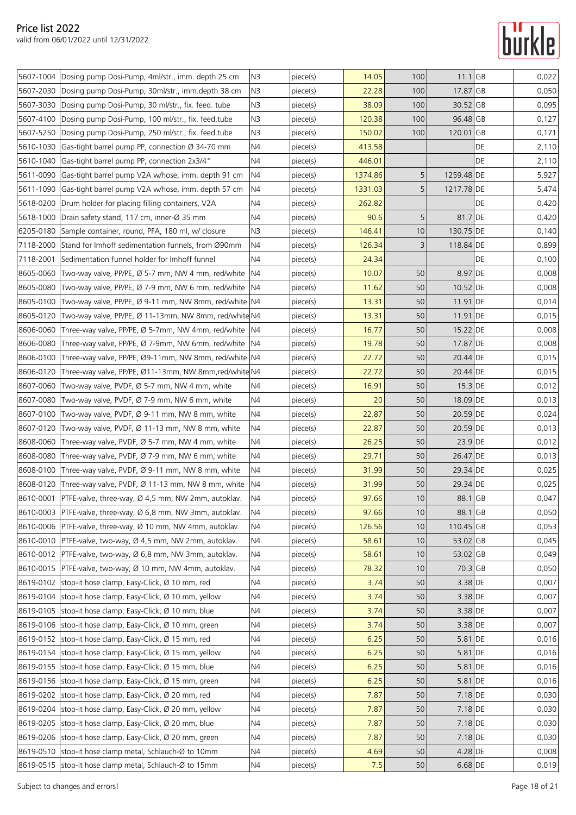## **Turkle**

|           | 5607-1004 Dosing pump Dosi-Pump, 4ml/str., imm. depth 25 cm    | N <sub>3</sub> | piece(s) | 14.05   | 100 | $11.1$ GB  |    | 0,022 |
|-----------|----------------------------------------------------------------|----------------|----------|---------|-----|------------|----|-------|
| 5607-2030 | Dosing pump Dosi-Pump, 30ml/str., imm.depth 38 cm              | N <sub>3</sub> | piece(s) | 22.28   | 100 | 17.87 GB   |    | 0,050 |
| 5607-3030 | Dosing pump Dosi-Pump, 30 ml/str., fix. feed. tube             | N3             | piece(s) | 38.09   | 100 | 30.52 GB   |    | 0,095 |
| 5607-4100 | Dosing pump Dosi-Pump, 100 ml/str., fix. feed.tube             | N <sub>3</sub> | piece(s) | 120.38  | 100 | 96.48 GB   |    | 0,127 |
| 5607-5250 | Dosing pump Dosi-Pump, 250 ml/str., fix. feed.tube             | N <sub>3</sub> | piece(s) | 150.02  | 100 | 120.01 GB  |    | 0,171 |
| 5610-1030 | Gas-tight barrel pump PP, connection Ø 34-70 mm                | N4             | piece(s) | 413.58  |     |            | DE | 2,110 |
| 5610-1040 | Gas-tight barrel pump PP, connection 2x3/4"                    | N <sub>4</sub> | piece(s) | 446.01  |     |            | DE | 2,110 |
| 5611-0090 | Gas-tight barrel pump V2A w/hose, imm. depth 91 cm             | N4             | piece(s) | 1374.86 | 5   | 1259.48 DE |    | 5,927 |
| 5611-1090 | Gas-tight barrel pump V2A w/hose, imm. depth 57 cm             | N <sub>4</sub> | piece(s) | 1331.03 | 5   | 1217.78 DE |    | 5,474 |
| 5618-0200 | Drum holder for placing filling containers, V2A                | N4             | piece(s) | 262.82  |     |            | DE | 0,420 |
| 5618-1000 | Drain safety stand, 117 cm, inner-Ø 35 mm                      | N4             | piece(s) | 90.6    | 5   | 81.7 DE    |    | 0,420 |
| 6205-0180 | Sample container, round, PFA, 180 ml, w/ closure               | N <sub>3</sub> | piece(s) | 146.41  | 10  | 130.75 DE  |    | 0,140 |
| 7118-2000 | Stand for Imhoff sedimentation funnels, from Ø90mm             | N4             | piece(s) | 126.34  | 3   | 118.84 DE  |    | 0,899 |
| 7118-2001 | Sedimentation funnel holder for Imhoff funnel                  | N <sub>4</sub> | piece(s) | 24.34   |     |            | DE | 0,100 |
| 8605-0060 | Two-way valve, PP/PE, Ø 5-7 mm, NW 4 mm, red/white             | N <sub>4</sub> | piece(s) | 10.07   | 50  | 8.97 DE    |    | 0,008 |
| 8605-0080 | Two-way valve, PP/PE, Ø 7-9 mm, NW 6 mm, red/white             | IN4            | piece(s) | 11.62   | 50  | 10.52 DE   |    | 0,008 |
| 8605-0100 | Two-way valve, PP/PE, Ø 9-11 mm, NW 8mm, red/white  N4         |                | piece(s) | 13.31   | 50  | 11.91 DE   |    | 0,014 |
| 8605-0120 | Two-way valve, PP/PE, Ø 11-13mm, NW 8mm, red/white N4          |                | piece(s) | 13.31   | 50  | 11.91 DE   |    | 0,015 |
| 8606-0060 | Three-way valve, PP/PE, Ø 5-7mm, NW 4mm, red/white             | N <sub>4</sub> | piece(s) | 16.77   | 50  | 15.22 DE   |    | 0,008 |
| 8606-0080 | Three-way valve, PP/PE, Ø 7-9mm, NW 6mm, red/white             | N4             | piece(s) | 19.78   | 50  | 17.87 DE   |    | 0,008 |
| 8606-0100 | Three-way valve, PP/PE, Ø9-11mm, NW 8mm, red/white N4          |                | piece(s) | 22.72   | 50  | 20.44 DE   |    | 0,015 |
| 8606-0120 | Three-way valve, PP/PE, Ø11-13mm, NW 8mm,red/white N4          |                | piece(s) | 22.72   | 50  | 20.44 DE   |    | 0,015 |
| 8607-0060 | Two-way valve, PVDF, Ø 5-7 mm, NW 4 mm, white                  | N4             | piece(s) | 16.91   | 50  | $15.3$ DE  |    | 0,012 |
| 8607-0080 | Two-way valve, PVDF, Ø 7-9 mm, NW 6 mm, white                  | N <sub>4</sub> | piece(s) | 20      | 50  | 18.09 DE   |    | 0,013 |
| 8607-0100 | Two-way valve, PVDF, $\varnothing$ 9-11 mm, NW 8 mm, white     | N4             | piece(s) | 22.87   | 50  | 20.59 DE   |    | 0,024 |
| 8607-0120 | Two-way valve, PVDF, Ø 11-13 mm, NW 8 mm, white                | N <sub>4</sub> | piece(s) | 22.87   | 50  | 20.59 DE   |    | 0,013 |
| 8608-0060 | Three-way valve, PVDF, $\varnothing$ 5-7 mm, NW 4 mm, white    | N4             | piece(s) | 26.25   | 50  | 23.9 DE    |    | 0,012 |
| 8608-0080 | Three-way valve, PVDF, Ø 7-9 mm, NW 6 mm, white                | N <sub>4</sub> | piece(s) | 29.71   | 50  | 26.47 DE   |    | 0,013 |
| 8608-0100 | Three-way valve, PVDF, $\varnothing$ 9-11 mm, NW 8 mm, white   | N <sub>4</sub> | piece(s) | 31.99   | 50  | 29.34 DE   |    | 0,025 |
| 8608-0120 | Three-way valve, PVDF, Ø 11-13 mm, NW 8 mm, white              | N4             | piece(s) | 31.99   | 50  | 29.34 DE   |    | 0,025 |
|           | 8610-0001   PTFE-valve, three-way, Ø 4,5 mm, NW 2mm, autoklav. | <b>N4</b>      | piece(s) | 97.66   | 10  | 88.1 GB    |    | 0,047 |
|           | 8610-0003 PTFE-valve, three-way, Ø 6,8 mm, NW 3mm, autoklav.   | N <sub>4</sub> | piece(s) | 97.66   | 10  | 88.1 GB    |    | 0,050 |
| 8610-0006 | PTFE-valve, three-way, Ø 10 mm, NW 4mm, autoklav.              | N4             | piece(s) | 126.56  | 10  | 110.45 GB  |    | 0,053 |
|           | 8610-0010 PTFE-valve, two-way, Ø 4,5 mm, NW 2mm, autoklav.     | N4             | piece(s) | 58.61   | 10  | 53.02 GB   |    | 0,045 |
| 8610-0012 | PTFE-valve, two-way, Ø 6,8 mm, NW 3mm, autoklav.               | N4             | piece(s) | 58.61   | 10  | 53.02 GB   |    | 0,049 |
| 8610-0015 | PTFE-valve, two-way, Ø 10 mm, NW 4mm, autoklav.                | N <sub>4</sub> | piece(s) | 78.32   | 10  | 70.3 GB    |    | 0,050 |
| 8619-0102 | stop-it hose clamp, Easy-Click, Ø 10 mm, red                   | N <sub>4</sub> | piece(s) | 3.74    | 50  | $3.38$ DE  |    | 0,007 |
| 8619-0104 | stop-it hose clamp, Easy-Click, Ø 10 mm, yellow                | N <sub>4</sub> | piece(s) | 3.74    | 50  | 3.38 DE    |    | 0,007 |
|           | 8619-0105 stop-it hose clamp, Easy-Click, Ø 10 mm, blue        | N4             | piece(s) | 3.74    | 50  | 3.38 DE    |    | 0,007 |
|           | 8619-0106 stop-it hose clamp, Easy-Click, Ø 10 mm, green       | N <sub>4</sub> | piece(s) | 3.74    | 50  | 3.38 DE    |    | 0,007 |
| 8619-0152 | stop-it hose clamp, Easy-Click, Ø 15 mm, red                   | N4             | piece(s) | 6.25    | 50  | $5.81$ DE  |    | 0,016 |
| 8619-0154 | stop-it hose clamp, Easy-Click, Ø 15 mm, yellow                | N4             | piece(s) | 6.25    | 50  | 5.81 DE    |    | 0,016 |
| 8619-0155 | stop-it hose clamp, Easy-Click, Ø 15 mm, blue                  | N <sub>4</sub> | piece(s) | 6.25    | 50  | 5.81 DE    |    | 0,016 |
| 8619-0156 | stop-it hose clamp, Easy-Click, Ø 15 mm, green                 | N4             | piece(s) | 6.25    | 50  | 5.81 DE    |    | 0,016 |
|           | 8619-0202 stop-it hose clamp, Easy-Click, Ø 20 mm, red         | N <sub>4</sub> | piece(s) | 7.87    | 50  | 7.18 DE    |    | 0,030 |
| 8619-0204 | stop-it hose clamp, Easy-Click, Ø 20 mm, yellow                | N4             | piece(s) | 7.87    | 50  | 7.18 DE    |    | 0,030 |
|           | 8619-0205 stop-it hose clamp, Easy-Click, Ø 20 mm, blue        | N4             | piece(s) | 7.87    | 50  | $7.18$ DE  |    | 0,030 |
| 8619-0206 | stop-it hose clamp, Easy-Click, Ø 20 mm, green                 | N4             | piece(s) | 7.87    | 50  | 7.18 DE    |    | 0,030 |
| 8619-0510 | stop-it hose clamp metal, Schlauch-Ø to 10mm                   | N4             | piece(s) | 4.69    | 50  | 4.28 DE    |    | 0,008 |
|           | 8619-0515 stop-it hose clamp metal, Schlauch-Ø to 15mm         | N <sub>4</sub> | piece(s) | 7.5     | 50  | $6.68$ DE  |    | 0,019 |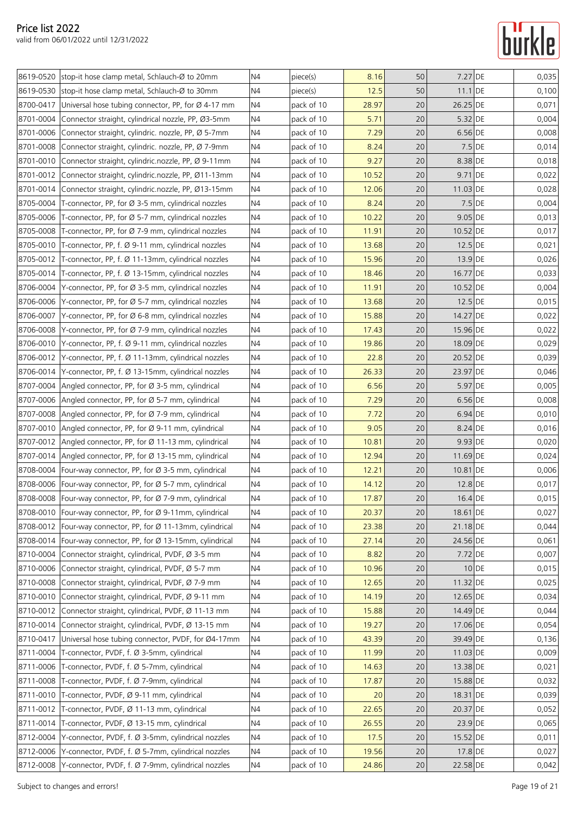|           | 8619-0520 stop-it hose clamp metal, Schlauch-Ø to 20mm         | N <sub>4</sub> | piece(s)   | 8.16  | 50     | 7.27 DE   |       | 0,035 |
|-----------|----------------------------------------------------------------|----------------|------------|-------|--------|-----------|-------|-------|
|           | 8619-0530 stop-it hose clamp metal, Schlauch-Ø to 30mm         | N <sub>4</sub> | piece(s)   | 12.5  | 50     | 11.1 DE   |       | 0,100 |
| 8700-0417 | Universal hose tubing connector, PP, for Ø 4-17 mm             | N4             | pack of 10 | 28.97 | 20     | 26.25 DE  |       | 0,071 |
| 8701-0004 | Connector straight, cylindrical nozzle, PP, Ø3-5mm             | N4             | pack of 10 | 5.71  | 20     | 5.32 DE   |       | 0,004 |
|           | 8701-0006 Connector straight, cylindric. nozzle, PP, Ø 5-7mm   | N <sub>4</sub> | pack of 10 | 7.29  | 20     | $6.56$ DE |       | 0,008 |
|           | 8701-0008 Connector straight, cylindric. nozzle, PP, Ø 7-9mm   | N4             | pack of 10 | 8.24  | 20     | $7.5$ DE  |       | 0,014 |
| 8701-0010 | Connector straight, cylindric.nozzle, PP, Ø 9-11mm             | N4             | pack of 10 | 9.27  | 20     | 8.38 DE   |       | 0,018 |
| 8701-0012 | Connector straight, cylindric.nozzle, PP, Ø11-13mm             | N <sub>4</sub> | pack of 10 | 10.52 | 20     | 9.71 DE   |       | 0,022 |
|           | 8701-0014 Connector straight, cylindric.nozzle, PP, Ø13-15mm   | N4             | pack of 10 | 12.06 | 20     | 11.03 DE  |       | 0,028 |
|           | 8705-0004 T-connector, PP, for Ø 3-5 mm, cylindrical nozzles   | N <sub>4</sub> | pack of 10 | 8.24  | 20     | $7.5$ DE  |       | 0,004 |
|           | 8705-0006 T-connector, PP, for Ø 5-7 mm, cylindrical nozzles   | N4             | pack of 10 | 10.22 | 20     | $9.05$ DE |       | 0,013 |
|           | 8705-0008 T-connector, PP, for Ø 7-9 mm, cylindrical nozzles   | N4             | pack of 10 | 11.91 | 20     | 10.52 DE  |       | 0,017 |
|           | 8705-0010 T-connector, PP, f. Ø 9-11 mm, cylindrical nozzles   | N4             | pack of 10 | 13.68 | 20     | $12.5$ DE |       | 0,021 |
|           | 8705-0012 T-connector, PP, f. Ø 11-13mm, cylindrical nozzles   | N4             | pack of 10 | 15.96 | 20     | 13.9 DE   |       | 0,026 |
|           | 8705-0014 T-connector, PP, f. Ø 13-15mm, cylindrical nozzles   | N <sub>4</sub> | pack of 10 | 18.46 | 20     | 16.77 DE  |       | 0,033 |
|           | 8706-0004 Y-connector, PP, for Ø 3-5 mm, cylindrical nozzles   | N4             | pack of 10 | 11.91 | 20     | 10.52 DE  |       | 0,004 |
|           | 8706-0006 Y-connector, PP, for Ø 5-7 mm, cylindrical nozzles   | N <sub>4</sub> | pack of 10 | 13.68 | 20     | 12.5 DE   |       | 0,015 |
| 8706-0007 | Y-connector, PP, for Ø 6-8 mm, cylindrical nozzles             | N4             | pack of 10 | 15.88 | 20     | 14.27 DE  |       | 0,022 |
| 8706-0008 | Y-connector, PP, for Ø 7-9 mm, cylindrical nozzles             | N <sub>4</sub> | pack of 10 | 17.43 | 20     | 15.96 DE  |       | 0,022 |
|           | 8706-0010 Y-connector, PP, f. Ø 9-11 mm, cylindrical nozzles   | N <sub>4</sub> | pack of 10 | 19.86 | 20     | 18.09 DE  |       | 0,029 |
|           | 8706-0012 Y-connector, PP, f. Ø 11-13mm, cylindrical nozzles   | N4             | pack of 10 | 22.8  | 20     | 20.52 DE  |       | 0,039 |
|           | 8706-0014 Y-connector, PP, f. Ø 13-15mm, cylindrical nozzles   | N <sub>4</sub> | pack of 10 | 26.33 | 20     | 23.97 DE  |       | 0,046 |
|           | 8707-0004   Angled connector, PP, for Ø 3-5 mm, cylindrical    | N4             | pack of 10 | 6.56  | 20     | 5.97 DE   |       | 0,005 |
|           | 8707-0006 Angled connector, PP, for Ø 5-7 mm, cylindrical      | N <sub>4</sub> | pack of 10 | 7.29  | 20     | 6.56 DE   |       | 0,008 |
|           | 8707-0008 Angled connector, PP, for Ø 7-9 mm, cylindrical      | N4             | pack of 10 | 7.72  | 20     | 6.94 DE   |       | 0,010 |
|           | 8707-0010 Angled connector, PP, for Ø 9-11 mm, cylindrical     | N <sub>4</sub> | pack of 10 | 9.05  | 20     | 8.24 DE   |       | 0,016 |
|           | 8707-0012 Angled connector, PP, for Ø 11-13 mm, cylindrical    | N <sub>4</sub> | pack of 10 | 10.81 | 20     | 9.93 DE   |       | 0,020 |
|           | 8707-0014   Angled connector, PP, for Ø 13-15 mm, cylindrical  | N <sub>4</sub> | pack of 10 | 12.94 | 20     | 11.69 DE  |       | 0,024 |
|           | 8708-0004 Four-way connector, PP, for Ø 3-5 mm, cylindrical    | N <sub>4</sub> | pack of 10 | 12.21 | 20     | 10.81 DE  |       | 0,006 |
|           | 8708-0006   Four-way connector, PP, for Ø 5-7 mm, cylindrical  | N4             | pack of 10 | 14.12 | 20     | $12.8$ DE |       | 0,017 |
|           | 8708-0008 Four-way connector, PP, for Ø 7-9 mm, cylindrical    | N4             | pack of 10 | 17.87 | 20     | 16.4 DE   |       | 0,015 |
|           | 8708-0010   Four-way connector, PP, for Ø 9-11mm, cylindrical  | N4             | pack of 10 | 20.37 | $20\,$ | 18.61 DE  |       | 0,027 |
|           | 8708-0012 Four-way connector, PP, for Ø 11-13mm, cylindrical   | N <sub>4</sub> | pack of 10 | 23.38 | 20     | 21.18 DE  |       | 0,044 |
|           | 8708-0014   Four-way connector, PP, for Ø 13-15mm, cylindrical | N <sub>4</sub> | pack of 10 | 27.14 | 20     | 24.56 DE  |       | 0,061 |
| 8710-0004 | Connector straight, cylindrical, PVDF, Ø 3-5 mm                | N4             | pack of 10 | 8.82  | 20     | 7.72 DE   |       | 0,007 |
|           | 8710-0006 Connector straight, cylindrical, PVDF, Ø 5-7 mm      | N <sub>4</sub> | pack of 10 | 10.96 | 20     |           | 10 DE | 0,015 |
| 8710-0008 | Connector straight, cylindrical, PVDF, Ø 7-9 mm                | N4             | pack of 10 | 12.65 | 20     | 11.32 DE  |       | 0,025 |
|           | 8710-0010 Connector straight, cylindrical, PVDF, Ø 9-11 mm     | N4             | pack of 10 | 14.19 | 20     | 12.65 DE  |       | 0,034 |
| 8710-0012 | Connector straight, cylindrical, PVDF, Ø 11-13 mm              | N <sub>4</sub> | pack of 10 | 15.88 | 20     | 14.49 DE  |       | 0,044 |
| 8710-0014 | Connector straight, cylindrical, PVDF, Ø 13-15 mm              | N <sub>4</sub> | pack of 10 | 19.27 | 20     | 17.06 DE  |       | 0,054 |
| 8710-0417 | Universal hose tubing connector, PVDF, for Ø4-17mm             | N <sub>4</sub> | pack of 10 | 43.39 | 20     | 39.49 DE  |       | 0,136 |
|           | 8711-0004 T-connector, PVDF, f. Ø 3-5mm, cylindrical           | N4             | pack of 10 | 11.99 | 20     | 11.03 DE  |       | 0,009 |
|           | 8711-0006 T-connector, PVDF, f. Ø 5-7mm, cylindrical           | N <sub>4</sub> | pack of 10 | 14.63 | 20     | 13.38 DE  |       | 0,021 |
|           | 8711-0008 T-connector, PVDF, f. Ø 7-9mm, cylindrical           | N4             | pack of 10 | 17.87 | 20     | 15.88 DE  |       | 0,032 |
|           | 8711-0010 T-connector, PVDF, Ø 9-11 mm, cylindrical            | N <sub>4</sub> | pack of 10 | 20    | 20     | 18.31 DE  |       | 0,039 |
|           | 8711-0012 T-connector, PVDF, Ø 11-13 mm, cylindrical           | N <sub>4</sub> | pack of 10 | 22.65 | 20     | 20.37 DE  |       | 0,052 |
|           | 8711-0014 T-connector, PVDF, Ø 13-15 mm, cylindrical           | N4             | pack of 10 | 26.55 | 20     | 23.9 DE   |       | 0,065 |
|           | 8712-0004 Y-connector, PVDF, f. Ø 3-5mm, cylindrical nozzles   | N <sub>4</sub> | pack of 10 | 17.5  | 20     | 15.52 DE  |       | 0,011 |
|           | 8712-0006 Y-connector, PVDF, f. Ø 5-7mm, cylindrical nozzles   | N4             | pack of 10 | 19.56 | 20     | 17.8 DE   |       | 0,027 |
| 8712-0008 | Y-connector, PVDF, f. Ø 7-9mm, cylindrical nozzles             | N4             | pack of 10 | 24.86 | 20     | 22.58 DE  |       | 0,042 |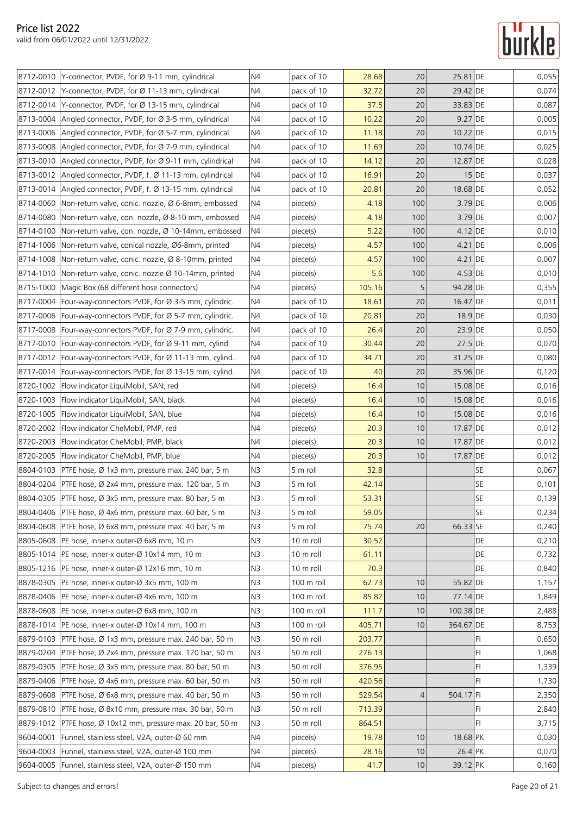|           | 8712-0010 Y-connector, PVDF, for Ø 9-11 mm, cylindrical        | N <sub>4</sub> | pack of 10 | 28.68  | 20  | 25.81 DE  |           | 0,055 |
|-----------|----------------------------------------------------------------|----------------|------------|--------|-----|-----------|-----------|-------|
|           | 8712-0012 Y-connector, PVDF, for Ø 11-13 mm, cylindrical       | N <sub>4</sub> | pack of 10 | 32.72  | 20  | 29.42 DE  |           | 0,074 |
|           | 8712-0014   Y-connector, PVDF, for Ø 13-15 mm, cylindrical     | N <sub>4</sub> | pack of 10 | 37.5   | 20  | 33.83 DE  |           | 0,087 |
|           | 8713-0004   Angled connector, PVDF, for Ø 3-5 mm, cylindrical  | N <sub>4</sub> | pack of 10 | 10.22  | 20  | 9.27 DE   |           | 0,005 |
|           | 8713-0006 Angled connector, PVDF, for Ø 5-7 mm, cylindrical    | N <sub>4</sub> | pack of 10 | 11.18  | 20  | 10.22 DE  |           | 0,015 |
|           | 8713-0008 Angled connector, PVDF, for Ø 7-9 mm, cylindrical    | N4             | pack of 10 | 11.69  | 20  | 10.74 DE  |           | 0,025 |
|           | 8713-0010 Angled connector, PVDF, for Ø 9-11 mm, cylindrical   | N <sub>4</sub> | pack of 10 | 14.12  | 20  | 12.87 DE  |           | 0,028 |
|           | 8713-0012 Angled connector, PVDF, f. Ø 11-13 mm, cylindrical   | N4             | pack of 10 | 16.91  | 20  |           | $15$ DE   | 0,037 |
|           | 8713-0014   Angled connector, PVDF, f. Ø 13-15 mm, cylindrical | N4             | pack of 10 | 20.81  | 20  | 18.68 DE  |           | 0,052 |
|           | 8714-0060 Non-return valve, conic. nozzle, Ø 6-8mm, embossed   | N <sub>4</sub> | piece(s)   | 4.18   | 100 | 3.79 DE   |           | 0,006 |
|           | 8714-0080 Non-return valve, con. nozzle, Ø 8-10 mm, embossed   | N4             | piece(s)   | 4.18   | 100 | 3.79 DE   |           | 0,007 |
|           | 8714-0100 Non-return valve, con. nozzle, Ø 10-14mm, embossed   | N <sub>4</sub> | piece(s)   | 5.22   | 100 | $4.12$ DE |           | 0,010 |
|           | 8714-1006 Non-return valve, conical nozzle, Ø6-8mm, printed    | N4             | piece(s)   | 4.57   | 100 | $4.21$ DE |           | 0,006 |
|           | 8714-1008 Non-return valve, conic. nozzle, Ø 8-10mm, printed   | N4             | piece(s)   | 4.57   | 100 | $4.21$ DE |           | 0,007 |
|           | 8714-1010   Non-return valve, conic. nozzle Ø 10-14mm, printed | N <sub>4</sub> | piece(s)   | 5.6    | 100 | $4.53$ DE |           | 0,010 |
|           | 8715-1000 Magic Box (68 different hose connectors)             | N <sub>4</sub> | piece(s)   | 105.16 | 5   | 94.28 DE  |           | 0,355 |
|           | 8717-0004   Four-way-connectors PVDF, for Ø 3-5 mm, cylindric. | N <sub>4</sub> | pack of 10 | 18.61  | 20  | 16.47 DE  |           | 0,011 |
|           | 8717-0006   Four-way-connectors PVDF, for Ø 5-7 mm, cylindric. | N4             | pack of 10 | 20.81  | 20  | 18.9 DE   |           | 0,030 |
|           | 8717-0008   Four-way-connectors PVDF, for Ø 7-9 mm, cylindric. | N4             | pack of 10 | 26.4   | 20  | 23.9 DE   |           | 0,050 |
|           | 8717-0010   Four-way-connectors PVDF, for Ø 9-11 mm, cylind.   | N4             | pack of 10 | 30.44  | 20  | $27.5$ DE |           | 0,070 |
|           | 8717-0012 Four-way-connectors PVDF, for Ø 11-13 mm, cylind.    | N <sub>4</sub> | pack of 10 | 34.71  | 20  | 31.25 DE  |           | 0,080 |
|           | 8717-0014   Four-way-connectors PVDF, for Ø 13-15 mm, cylind.  | N <sub>4</sub> | pack of 10 | 40     | 20  | 35.96 DE  |           | 0,120 |
|           | 8720-1002   Flow indicator LiquiMobil, SAN, red                | N <sub>4</sub> | piece(s)   | 16.4   | 10  | 15.08 DE  |           | 0,016 |
|           | 8720-1003   Flow indicator LiquiMobil, SAN, black              | N <sub>4</sub> | piece(s)   | 16.4   | 10  | 15.08 DE  |           | 0,016 |
|           | 8720-1005   Flow indicator LiquiMobil, SAN, blue               | N4             | piece(s)   | 16.4   | 10  | 15.08 DE  |           | 0,016 |
|           | 8720-2002   Flow indicator CheMobil, PMP, red                  | N4             | piece(s)   | 20.3   | 10  | 17.87 DE  |           | 0,012 |
|           | 8720-2003 Flow indicator CheMobil, PMP, black                  | N <sub>4</sub> | piece(s)   | 20.3   | 10  | 17.87 DE  |           | 0,012 |
|           | 8720-2005   Flow indicator CheMobil, PMP, blue                 | N <sub>4</sub> | piece(s)   | 20.3   | 10  | 17.87 DE  |           | 0,012 |
|           | 8804-0103 PTFE hose, Ø 1x3 mm, pressure max. 240 bar, 5 m      | N <sub>3</sub> | 5 m roll   | 32.8   |     |           | <b>SE</b> | 0,067 |
|           | 8804-0204 PTFE hose, Ø 2x4 mm, pressure max. 120 bar, 5 m      | N <sub>3</sub> | 5 m roll   | 42.14  |     |           | <b>SE</b> | 0,101 |
|           | 8804-0305 PTFE hose, Ø 3x5 mm, pressure max. 80 bar, 5 m       | N <sub>3</sub> | 5 m roll   | 53.31  |     |           | SE        | 0,139 |
|           | 8804-0406 PTFE hose, Ø 4x6 mm, pressure max. 60 bar, 5 m       | N <sub>3</sub> | 5 m roll   | 59.05  |     |           | <b>SE</b> | 0,234 |
|           | 8804-0608 PTFE hose, Ø 6x8 mm, pressure max. 40 bar, 5 m       | N <sub>3</sub> | 5 m roll   | 75.74  | 20  | 66.33 SE  |           | 0,240 |
|           | 8805-0608   PE hose, inner-x outer-Ø 6x8 mm, 10 m              | N <sub>3</sub> | 10 m roll  | 30.52  |     |           | DE        | 0,210 |
|           | 8805-1014   PE hose, inner-x outer-Ø 10x14 mm, 10 m            | N <sub>3</sub> | 10 m roll  | 61.11  |     |           | DE        | 0,732 |
|           | 8805-1216   PE hose, inner-x outer-Ø 12x16 mm, 10 m            | N <sub>3</sub> | 10 m roll  | 70.3   |     |           | DE        | 0,840 |
|           | 8878-0305   PE hose, inner-x outer-Ø 3x5 mm, 100 m             | N <sub>3</sub> | 100 m roll | 62.73  | 10  | 55.82 DE  |           | 1,157 |
|           | 8878-0406   PE hose, inner-x outer-Ø 4x6 mm, 100 m             | N <sub>3</sub> | 100 m roll | 85.82  | 10  | 77.14 DE  |           | 1,849 |
|           | 8878-0608   PE hose, inner-x outer-Ø 6x8 mm, 100 m             | N <sub>3</sub> | 100 m roll | 111.7  | 10  | 100.38 DE |           | 2,488 |
|           | 8878-1014   PE hose, inner-x outer-Ø 10x14 mm, 100 m           | N <sub>3</sub> | 100 m roll | 405.71 | 10  | 364.67 DE |           | 8,753 |
|           | 8879-0103 PTFE hose, Ø 1x3 mm, pressure max. 240 bar, 50 m     | N <sub>3</sub> | 50 m roll  | 203.77 |     |           | FI.       | 0,650 |
|           | 8879-0204 PTFE hose, Ø 2x4 mm, pressure max. 120 bar, 50 m     | N <sub>3</sub> | 50 m roll  | 276.13 |     |           | FI        | 1,068 |
|           | 8879-0305   PTFE hose, Ø 3x5 mm, pressure max. 80 bar, 50 m    | N <sub>3</sub> | 50 m roll  | 376.95 |     |           | FI        | 1,339 |
| 8879-0406 | PTFE hose, Ø 4x6 mm, pressure max. 60 bar, 50 m                | N <sub>3</sub> | 50 m roll  | 420.56 |     |           | H         | 1,730 |
|           | 8879-0608 PTFE hose, Ø 6x8 mm, pressure max. 40 bar, 50 m      | N <sub>3</sub> | 50 m roll  | 529.54 | 4   | 504.17 FI |           | 2,350 |
|           | 8879-0810 PTFE hose, Ø 8x10 mm, pressure max. 30 bar, 50 m     | N <sub>3</sub> | 50 m roll  | 713.39 |     |           | FI.       | 2,840 |
|           | 8879-1012   PTFE hose, Ø 10x12 mm, pressure max. 20 bar, 50 m  | N <sub>3</sub> | 50 m roll  | 864.51 |     |           | FI        | 3,715 |
| 9604-0001 | Funnel, stainless steel, V2A, outer-Ø 60 mm                    | N <sub>4</sub> | piece(s)   | 19.78  | 10  | 18.68 PK  |           | 0,030 |
|           | 9604-0003 Funnel, stainless steel, V2A, outer-Ø 100 mm         | N4             | piece(s)   | 28.16  | 10  | 26.4 PK   |           | 0,070 |
|           | 9604-0005   Funnel, stainless steel, V2A, outer-Ø 150 mm       | N4             | piece(s)   | 41.7   | 10  | 39.12 PK  |           | 0,160 |